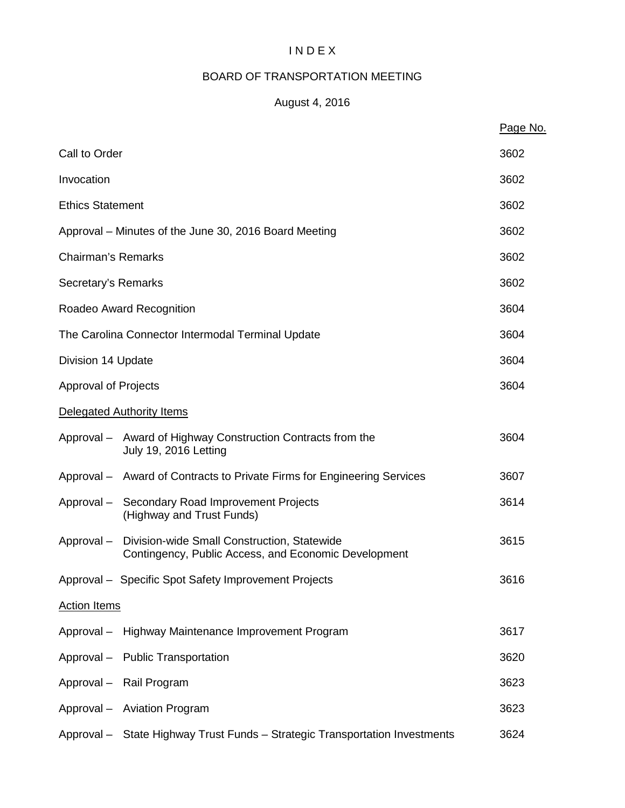# I N D E X

# BOARD OF TRANSPORTATION MEETING

# August 4, 2016

|                           |                                                                                                     | Page No. |  |
|---------------------------|-----------------------------------------------------------------------------------------------------|----------|--|
| Call to Order             |                                                                                                     | 3602     |  |
| Invocation                |                                                                                                     | 3602     |  |
| <b>Ethics Statement</b>   |                                                                                                     | 3602     |  |
|                           | Approval – Minutes of the June 30, 2016 Board Meeting                                               | 3602     |  |
| <b>Chairman's Remarks</b> |                                                                                                     | 3602     |  |
| Secretary's Remarks       |                                                                                                     | 3602     |  |
|                           | Roadeo Award Recognition                                                                            | 3604     |  |
|                           | The Carolina Connector Intermodal Terminal Update                                                   | 3604     |  |
| Division 14 Update        |                                                                                                     | 3604     |  |
| Approval of Projects      |                                                                                                     | 3604     |  |
|                           | Delegated Authority Items                                                                           |          |  |
|                           | Approval - Award of Highway Construction Contracts from the<br><b>July 19, 2016 Letting</b>         | 3604     |  |
|                           | Approval – Award of Contracts to Private Firms for Engineering Services                             | 3607     |  |
|                           | Approval - Secondary Road Improvement Projects<br>(Highway and Trust Funds)                         | 3614     |  |
| Approval-                 | Division-wide Small Construction, Statewide<br>Contingency, Public Access, and Economic Development | 3615     |  |
|                           | Approval - Specific Spot Safety Improvement Projects                                                | 3616     |  |
| <b>Action Items</b>       |                                                                                                     |          |  |
|                           | Approval - Highway Maintenance Improvement Program                                                  | 3617     |  |
|                           | Approval - Public Transportation                                                                    | 3620     |  |
|                           | Approval - Rail Program                                                                             | 3623     |  |
|                           | Approval - Aviation Program                                                                         | 3623     |  |
|                           | Approval - State Highway Trust Funds - Strategic Transportation Investments                         | 3624     |  |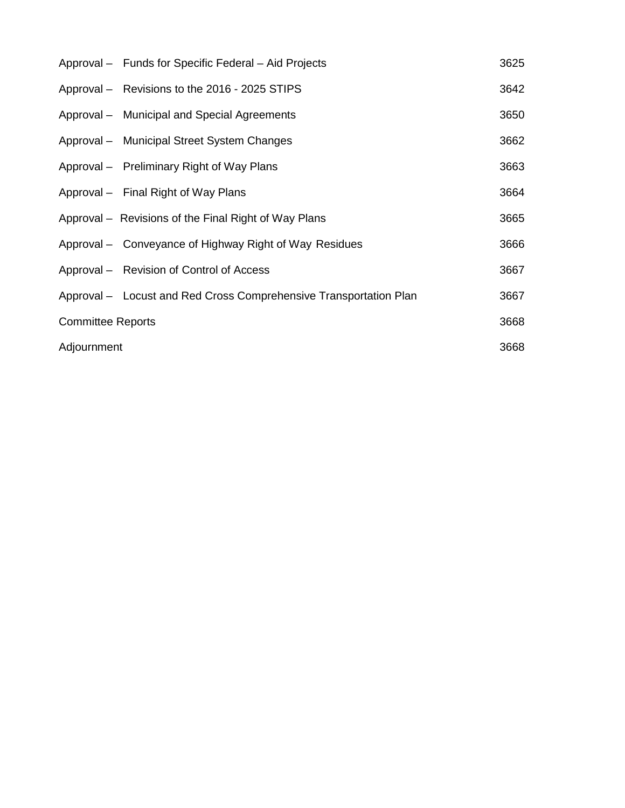|                          | Approval - Funds for Specific Federal - Aid Projects              | 3625 |
|--------------------------|-------------------------------------------------------------------|------|
|                          | Approval - Revisions to the 2016 - 2025 STIPS                     | 3642 |
|                          | Approval – Municipal and Special Agreements                       | 3650 |
|                          | Approval - Municipal Street System Changes                        | 3662 |
|                          | Approval – Preliminary Right of Way Plans                         | 3663 |
|                          | Approval – Final Right of Way Plans                               | 3664 |
|                          | Approval – Revisions of the Final Right of Way Plans              | 3665 |
|                          | Approval – Conveyance of Highway Right of Way Residues            | 3666 |
|                          | Approval – Revision of Control of Access                          | 3667 |
|                          | Approval - Locust and Red Cross Comprehensive Transportation Plan | 3667 |
| <b>Committee Reports</b> |                                                                   | 3668 |
| Adjournment              |                                                                   | 3668 |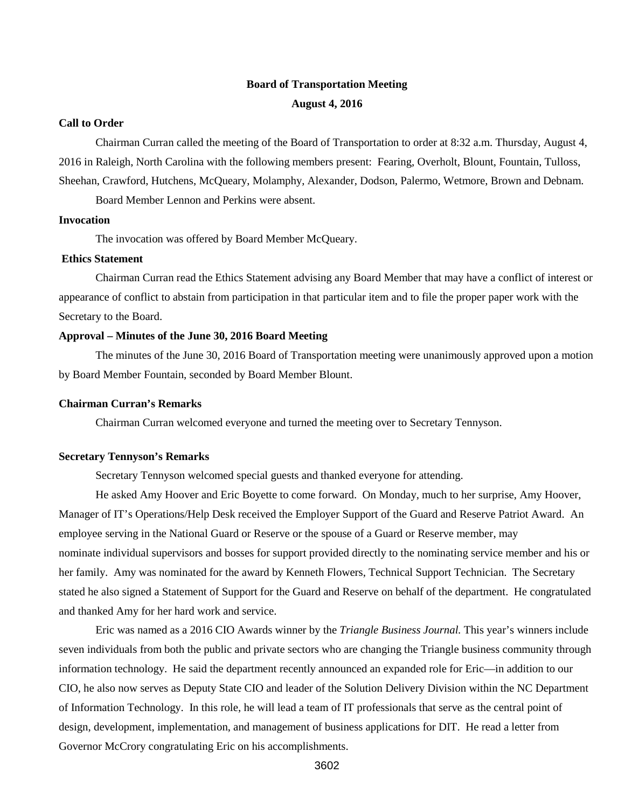# **Board of Transportation Meeting August 4, 2016**

### **Call to Order**

Chairman Curran called the meeting of the Board of Transportation to order at 8:32 a.m. Thursday, August 4, 2016 in Raleigh, North Carolina with the following members present: Fearing, Overholt, Blount, Fountain, Tulloss, Sheehan, Crawford, Hutchens, McQueary, Molamphy, Alexander, Dodson, Palermo, Wetmore, Brown and Debnam.

Board Member Lennon and Perkins were absent.

#### **Invocation**

The invocation was offered by Board Member McQueary.

#### **Ethics Statement**

Chairman Curran read the Ethics Statement advising any Board Member that may have a conflict of interest or appearance of conflict to abstain from participation in that particular item and to file the proper paper work with the Secretary to the Board.

#### **Approval – Minutes of the June 30, 2016 Board Meeting**

The minutes of the June 30, 2016 Board of Transportation meeting were unanimously approved upon a motion by Board Member Fountain, seconded by Board Member Blount.

#### **Chairman Curran's Remarks**

Chairman Curran welcomed everyone and turned the meeting over to Secretary Tennyson.

#### **Secretary Tennyson's Remarks**

Secretary Tennyson welcomed special guests and thanked everyone for attending.

He asked Amy Hoover and Eric Boyette to come forward. On Monday, much to her surprise, Amy Hoover, Manager of IT's Operations/Help Desk received the Employer Support of the Guard and Reserve Patriot Award. An employee serving in the National Guard or Reserve or the spouse of a Guard or Reserve member, may nominate individual supervisors and bosses for support provided directly to the nominating service member and his or her family. Amy was nominated for the award by Kenneth Flowers, Technical Support Technician. The Secretary stated he also signed a Statement of Support for the Guard and Reserve on behalf of the department. He congratulated and thanked Amy for her hard work and service.

Eric was named as a 2016 CIO Awards winner by the *Triangle Business Journal.* This year's winners include seven individuals from both the public and private sectors who are changing the Triangle business community through information technology. He said the department recently announced an expanded role for Eric—in addition to our CIO, he also now serves as Deputy State CIO and leader of the Solution Delivery Division within the NC Department of Information Technology. In this role, he will lead a team of IT professionals that serve as the central point of design, development, implementation, and management of business applications for DIT. He read a letter from Governor McCrory congratulating Eric on his accomplishments.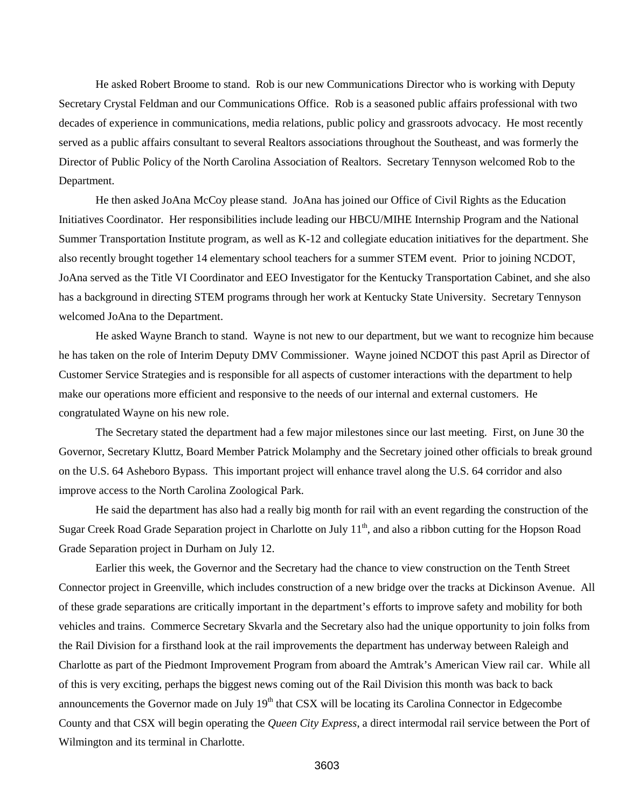He asked Robert Broome to stand. Rob is our new Communications Director who is working with Deputy Secretary Crystal Feldman and our Communications Office. Rob is a seasoned public affairs professional with two decades of experience in communications, media relations, public policy and grassroots advocacy. He most recently served as a public affairs consultant to several Realtors associations throughout the Southeast, and was formerly the Director of Public Policy of the North Carolina Association of Realtors. Secretary Tennyson welcomed Rob to the Department.

He then asked JoAna McCoy please stand. JoAna has joined our Office of Civil Rights as the Education Initiatives Coordinator. Her responsibilities include leading our HBCU/MIHE Internship Program and the National Summer Transportation Institute program, as well as K-12 and collegiate education initiatives for the department. She also recently brought together 14 elementary school teachers for a summer STEM event. Prior to joining NCDOT, JoAna served as the Title VI Coordinator and EEO Investigator for the Kentucky Transportation Cabinet, and she also has a background in directing STEM programs through her work at Kentucky State University. Secretary Tennyson welcomed JoAna to the Department.

He asked Wayne Branch to stand. Wayne is not new to our department, but we want to recognize him because he has taken on the role of Interim Deputy DMV Commissioner. Wayne joined NCDOT this past April as Director of Customer Service Strategies and is responsible for all aspects of customer interactions with the department to help make our operations more efficient and responsive to the needs of our internal and external customers. He congratulated Wayne on his new role.

The Secretary stated the department had a few major milestones since our last meeting. First, on June 30 the Governor, Secretary Kluttz, Board Member Patrick Molamphy and the Secretary joined other officials to break ground on the U.S. 64 Asheboro Bypass. This important project will enhance travel along the U.S. 64 corridor and also improve access to the North Carolina Zoological Park.

He said the department has also had a really big month for rail with an event regarding the construction of the Sugar Creek Road Grade Separation project in Charlotte on July 11<sup>th</sup>, and also a ribbon cutting for the Hopson Road Grade Separation project in Durham on July 12.

Earlier this week, the Governor and the Secretary had the chance to view construction on the Tenth Street Connector project in Greenville, which includes construction of a new bridge over the tracks at Dickinson Avenue. All of these grade separations are critically important in the department's efforts to improve safety and mobility for both vehicles and trains. Commerce Secretary Skvarla and the Secretary also had the unique opportunity to join folks from the Rail Division for a firsthand look at the rail improvements the department has underway between Raleigh and Charlotte as part of the Piedmont Improvement Program from aboard the Amtrak's American View rail car. While all of this is very exciting, perhaps the biggest news coming out of the Rail Division this month was back to back announcements the Governor made on July 19<sup>th</sup> that CSX will be locating its Carolina Connector in Edgecombe County and that CSX will begin operating the *Queen City Express*, a direct intermodal rail service between the Port of Wilmington and its terminal in Charlotte.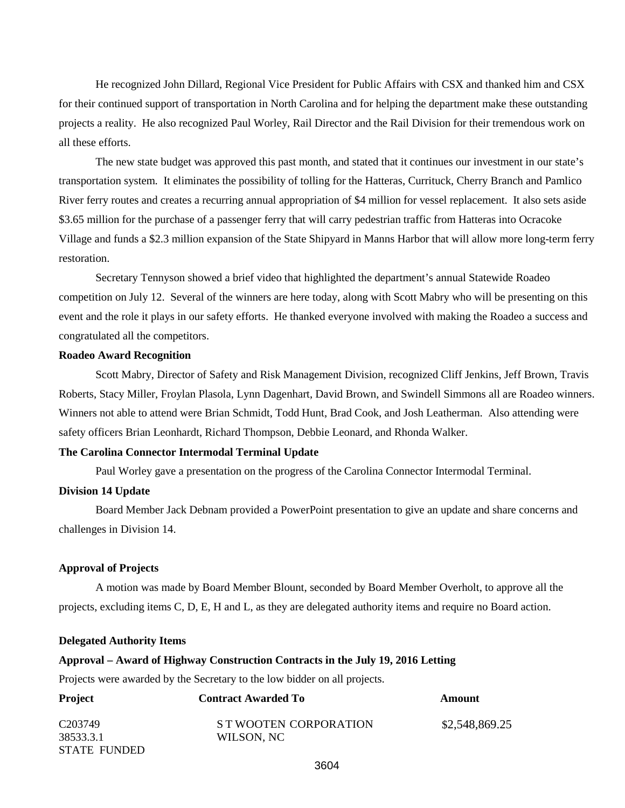He recognized John Dillard, Regional Vice President for Public Affairs with CSX and thanked him and CSX for their continued support of transportation in North Carolina and for helping the department make these outstanding projects a reality. He also recognized Paul Worley, Rail Director and the Rail Division for their tremendous work on all these efforts.

The new state budget was approved this past month, and stated that it continues our investment in our state's transportation system. It eliminates the possibility of tolling for the Hatteras, Currituck, Cherry Branch and Pamlico River ferry routes and creates a recurring annual appropriation of \$4 million for vessel replacement. It also sets aside \$3.65 million for the purchase of a passenger ferry that will carry pedestrian traffic from Hatteras into Ocracoke Village and funds a \$2.3 million expansion of the State Shipyard in Manns Harbor that will allow more long-term ferry restoration.

Secretary Tennyson showed a brief video that highlighted the department's annual Statewide Roadeo competition on July 12. Several of the winners are here today, along with Scott Mabry who will be presenting on this event and the role it plays in our safety efforts. He thanked everyone involved with making the Roadeo a success and congratulated all the competitors.

#### **Roadeo Award Recognition**

Scott Mabry, Director of Safety and Risk Management Division, recognized Cliff Jenkins, Jeff Brown, Travis Roberts, Stacy Miller, Froylan Plasola, Lynn Dagenhart, David Brown, and Swindell Simmons all are Roadeo winners. Winners not able to attend were Brian Schmidt, Todd Hunt, Brad Cook, and Josh Leatherman. Also attending were safety officers Brian Leonhardt, Richard Thompson, Debbie Leonard, and Rhonda Walker.

#### **The Carolina Connector Intermodal Terminal Update**

Paul Worley gave a presentation on the progress of the Carolina Connector Intermodal Terminal.

### **Division 14 Update**

Board Member Jack Debnam provided a PowerPoint presentation to give an update and share concerns and challenges in Division 14.

#### **Approval of Projects**

A motion was made by Board Member Blount, seconded by Board Member Overholt, to approve all the projects, excluding items C, D, E, H and L, as they are delegated authority items and require no Board action.

#### **Delegated Authority Items**

#### **Approval – Award of Highway Construction Contracts in the July 19, 2016 Letting**

Projects were awarded by the Secretary to the low bidder on all projects.

| <b>Project</b><br><b>Contract Awarded To</b> |                        | Amount         |  |
|----------------------------------------------|------------------------|----------------|--|
| C <sub>203749</sub>                          | S T WOOTEN CORPORATION | \$2,548,869.25 |  |
| 38533.3.1                                    | WILSON, NC             |                |  |
| STATE FUNDED                                 |                        |                |  |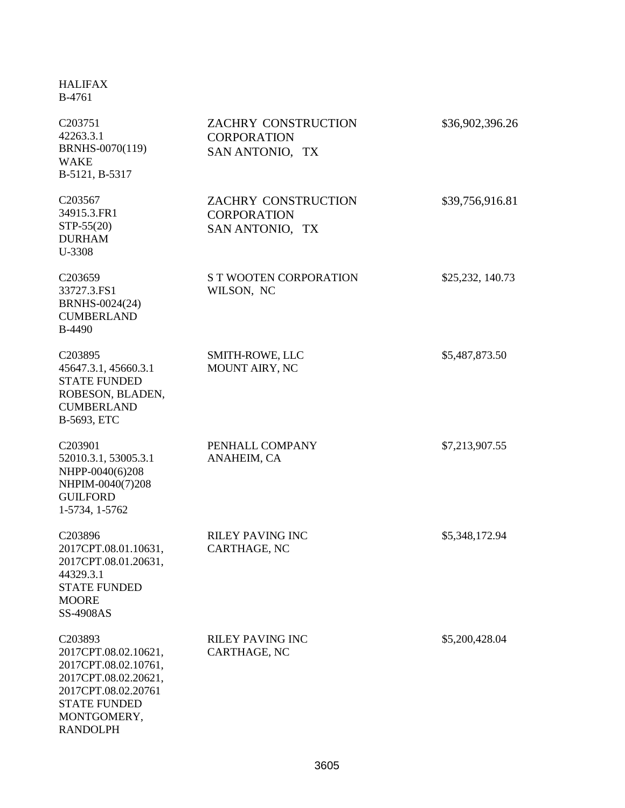## HALIFAX B-4761

| C <sub>203751</sub><br>42263.3.1<br>BRNHS-0070(119)<br><b>WAKE</b><br>B-5121, B-5317                                                                            | ZACHRY CONSTRUCTION<br><b>CORPORATION</b><br>SAN ANTONIO, TX | \$36,902,396.26  |
|-----------------------------------------------------------------------------------------------------------------------------------------------------------------|--------------------------------------------------------------|------------------|
| C203567<br>34915.3.FR1<br>STP-55(20)<br><b>DURHAM</b><br>U-3308                                                                                                 | ZACHRY CONSTRUCTION<br><b>CORPORATION</b><br>SAN ANTONIO, TX | \$39,756,916.81  |
| C203659<br>33727.3.FS1<br>BRNHS-0024(24)<br><b>CUMBERLAND</b><br>B-4490                                                                                         | <b>S T WOOTEN CORPORATION</b><br>WILSON, NC                  | \$25,232, 140.73 |
| C203895<br>45647.3.1, 45660.3.1<br><b>STATE FUNDED</b><br>ROBESON, BLADEN,<br><b>CUMBERLAND</b><br>B-5693, ETC                                                  | SMITH-ROWE, LLC<br><b>MOUNT AIRY, NC</b>                     | \$5,487,873.50   |
| C203901<br>52010.3.1, 53005.3.1<br>NHPP-0040(6)208<br>NHPIM-0040(7)208<br><b>GUILFORD</b><br>1-5734, 1-5762                                                     | PENHALL COMPANY<br>ANAHEIM, CA                               | \$7,213,907.55   |
| C203896<br>2017CPT.08.01.10631,<br>2017CPT.08.01.20631,<br>44329.3.1<br><b>STATE FUNDED</b><br><b>MOORE</b><br>SS-4908AS                                        | <b>RILEY PAVING INC</b><br>CARTHAGE, NC                      | \$5,348,172.94   |
| C203893<br>2017CPT.08.02.10621,<br>2017CPT.08.02.10761,<br>2017CPT.08.02.20621,<br>2017CPT.08.02.20761<br><b>STATE FUNDED</b><br>MONTGOMERY,<br><b>RANDOLPH</b> | <b>RILEY PAVING INC</b><br>CARTHAGE, NC                      | \$5,200,428.04   |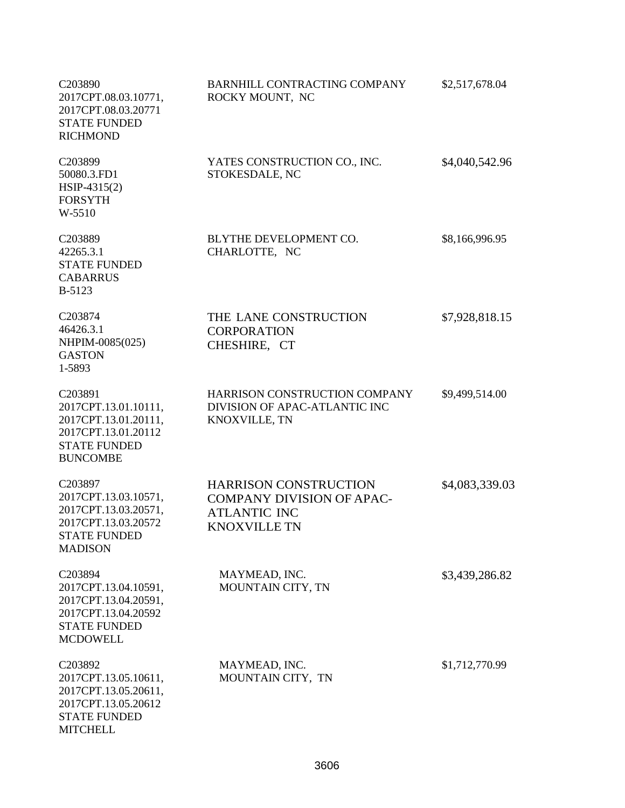| C203890<br>2017CPT.08.03.10771,<br>2017CPT.08.03.20771<br><b>STATE FUNDED</b><br><b>RICHMOND</b>                         | BARNHILL CONTRACTING COMPANY<br>ROCKY MOUNT, NC                                                                | \$2,517,678.04 |
|--------------------------------------------------------------------------------------------------------------------------|----------------------------------------------------------------------------------------------------------------|----------------|
| C203899<br>50080.3.FD1<br>$HSP-4315(2)$<br><b>FORSYTH</b><br>W-5510                                                      | YATES CONSTRUCTION CO., INC.<br>STOKESDALE, NC                                                                 | \$4,040,542.96 |
| C203889<br>42265.3.1<br><b>STATE FUNDED</b><br><b>CABARRUS</b><br><b>B-5123</b>                                          | BLYTHE DEVELOPMENT CO.<br>CHARLOTTE, NC                                                                        | \$8,166,996.95 |
| C203874<br>46426.3.1<br>NHPIM-0085(025)<br><b>GASTON</b><br>1-5893                                                       | THE LANE CONSTRUCTION<br><b>CORPORATION</b><br>CHESHIRE, CT                                                    | \$7,928,818.15 |
| C203891<br>2017CPT.13.01.10111,<br>2017CPT.13.01.20111,<br>2017CPT.13.01.20112<br><b>STATE FUNDED</b><br><b>BUNCOMBE</b> | HARRISON CONSTRUCTION COMPANY<br>DIVISION OF APAC-ATLANTIC INC<br>KNOXVILLE, TN                                | \$9,499,514.00 |
| C203897<br>2017CPT.13.03.10571,<br>2017CPT.13.03.20571,<br>2017CPT.13.03.20572<br><b>STATE FUNDED</b><br><b>MADISON</b>  | <b>HARRISON CONSTRUCTION</b><br><b>COMPANY DIVISION OF APAC-</b><br><b>ATLANTIC INC</b><br><b>KNOXVILLE TN</b> | \$4,083,339.03 |
| C203894<br>2017CPT.13.04.10591,<br>2017CPT.13.04.20591,<br>2017CPT.13.04.20592<br><b>STATE FUNDED</b><br><b>MCDOWELL</b> | MAYMEAD, INC.<br>MOUNTAIN CITY, TN                                                                             | \$3,439,286.82 |
| C203892<br>2017CPT.13.05.10611,<br>2017CPT.13.05.20611,<br>2017CPT.13.05.20612<br><b>STATE FUNDED</b><br><b>MITCHELL</b> | MAYMEAD, INC.<br>MOUNTAIN CITY, TN                                                                             | \$1,712,770.99 |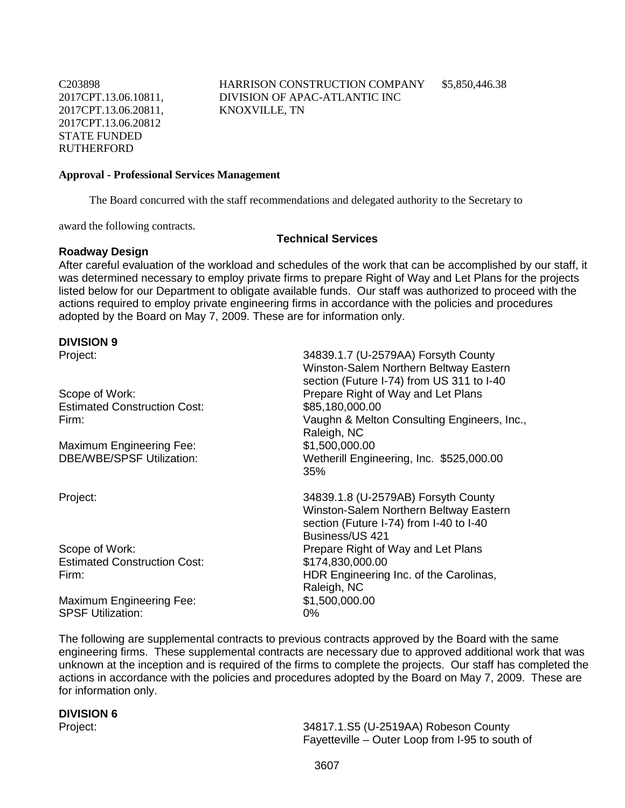C203898 2017CPT.13.06.10811, 2017CPT.13.06.20811, 2017CPT.13.06.20812 STATE FUNDED RUTHERFORD

HARRISON CONSTRUCTION COMPANY DIVISION OF APAC-ATLANTIC INC KNOXVILLE, TN

\$5,850,446.38

#### **Approval - Professional Services Management**

The Board concurred with the staff recommendations and delegated authority to the Secretary to

award the following contracts.

# **Roadway Design**

# **Technical Services**

After careful evaluation of the workload and schedules of the work that can be accomplished by our staff, it was determined necessary to employ private firms to prepare Right of Way and Let Plans for the projects listed below for our Department to obligate available funds. Our staff was authorized to proceed with the actions required to employ private engineering firms in accordance with the policies and procedures adopted by the Board on May 7, 2009. These are for information only.

# **DIVISION 9**

| Project:                            | 34839.1.7 (U-2579AA) Forsyth County<br>Winston-Salem Northern Beltway Eastern<br>section (Future I-74) from US 311 to I-40                  |
|-------------------------------------|---------------------------------------------------------------------------------------------------------------------------------------------|
| Scope of Work:                      | Prepare Right of Way and Let Plans                                                                                                          |
| <b>Estimated Construction Cost:</b> | \$85,180,000.00                                                                                                                             |
| Firm:                               | Vaughn & Melton Consulting Engineers, Inc.,<br>Raleigh, NC                                                                                  |
| <b>Maximum Engineering Fee:</b>     | \$1,500,000.00                                                                                                                              |
| <b>DBE/WBE/SPSF Utilization:</b>    | Wetherill Engineering, Inc. \$525,000.00<br>35%                                                                                             |
| Project:                            | 34839.1.8 (U-2579AB) Forsyth County<br>Winston-Salem Northern Beltway Eastern<br>section (Future I-74) from I-40 to I-40<br>Business/US 421 |
| Scope of Work:                      | Prepare Right of Way and Let Plans                                                                                                          |
| <b>Estimated Construction Cost:</b> | \$174,830,000.00                                                                                                                            |
| Firm:                               | HDR Engineering Inc. of the Carolinas,<br>Raleigh, NC                                                                                       |
| <b>Maximum Engineering Fee:</b>     | \$1,500,000.00                                                                                                                              |
| <b>SPSF Utilization:</b>            | 0%                                                                                                                                          |

The following are supplemental contracts to previous contracts approved by the Board with the same engineering firms. These supplemental contracts are necessary due to approved additional work that was unknown at the inception and is required of the firms to complete the projects. Our staff has completed the actions in accordance with the policies and procedures adopted by the Board on May 7, 2009. These are for information only.

## **DIVISION 6**

Project: 34817.1.S5 (U-2519AA) Robeson County Fayetteville – Outer Loop from I-95 to south of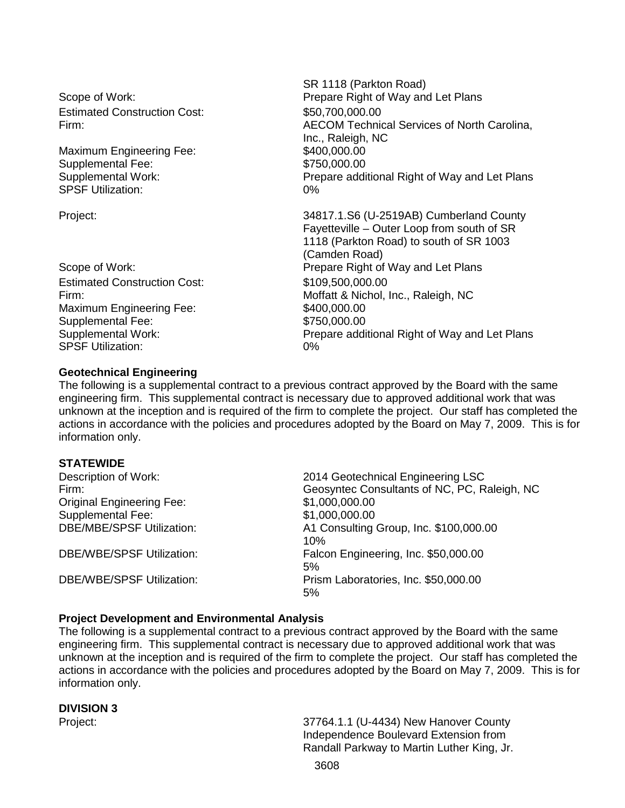Estimated Construction Cost: \$50,700,000.00

Maximum Engineering Fee: Supplemental Fee: \$750,000.00 SPSF Utilization: 0%

Estimated Construction Cost: \$109,500,000.00 Maximum Engineering Fee: \$400,000.00 Supplemental Fee: \$750,000.00 SPSF Utilization: 0%

SR 1118 (Parkton Road) Scope of Work: extending the Prepare Right of Way and Let Plans Firm: AECOM Technical Services of North Carolina, Inc., Raleigh, NC Supplemental Work: Prepare additional Right of Way and Let Plans

Project: 34817.1.S6 (U-2519AB) Cumberland County Fayetteville – Outer Loop from south of SR 1118 (Parkton Road) to south of SR 1003 (Camden Road) Scope of Work: example a set of Prepare Right of Way and Let Plans Firm: Moffatt & Nichol, Inc., Raleigh, NC Supplemental Work: Prepare additional Right of Way and Let Plans

## **Geotechnical Engineering**

The following is a supplemental contract to a previous contract approved by the Board with the same engineering firm. This supplemental contract is necessary due to approved additional work that was unknown at the inception and is required of the firm to complete the project. Our staff has completed the actions in accordance with the policies and procedures adopted by the Board on May 7, 2009. This is for information only.

## **STATEWIDE**

| Description of Work:             | 2014 Geotechnical Engineering LSC            |
|----------------------------------|----------------------------------------------|
| Firm:                            | Geosyntec Consultants of NC, PC, Raleigh, NC |
| <b>Original Engineering Fee:</b> | \$1,000,000.00                               |
| <b>Supplemental Fee:</b>         | \$1,000,000.00                               |
| <b>DBE/MBE/SPSF Utilization:</b> | A1 Consulting Group, Inc. \$100,000.00       |
|                                  | 10%                                          |
| <b>DBE/WBE/SPSF Utilization:</b> | Falcon Engineering, Inc. \$50,000.00         |
|                                  | 5%                                           |
| <b>DBE/WBE/SPSF Utilization:</b> | Prism Laboratories, Inc. \$50,000.00         |
|                                  | 5%                                           |

## **Project Development and Environmental Analysis**

The following is a supplemental contract to a previous contract approved by the Board with the same engineering firm. This supplemental contract is necessary due to approved additional work that was unknown at the inception and is required of the firm to complete the project. Our staff has completed the actions in accordance with the policies and procedures adopted by the Board on May 7, 2009. This is for information only.

# **DIVISION 3**

37764.1.1 (U-4434) New Hanover County Independence Boulevard Extension from Randall Parkway to Martin Luther King, Jr.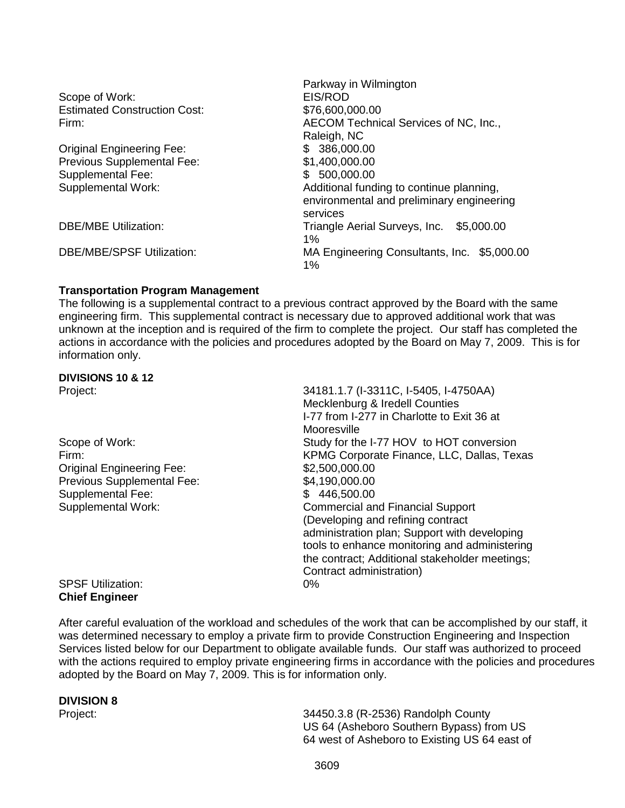| Parkway in Wilmington                       |  |
|---------------------------------------------|--|
| EIS/ROD                                     |  |
| \$76,600,000.00                             |  |
| AECOM Technical Services of NC, Inc.,       |  |
| Raleigh, NC                                 |  |
| \$ 386,000.00                               |  |
| \$1,400,000.00                              |  |
| \$500,000.00                                |  |
| Additional funding to continue planning,    |  |
| environmental and preliminary engineering   |  |
| services                                    |  |
| Triangle Aerial Surveys, Inc.<br>\$5,000.00 |  |
| 1%                                          |  |
| MA Engineering Consultants, Inc. \$5,000.00 |  |
| 1%                                          |  |
|                                             |  |

## **Transportation Program Management**

The following is a supplemental contract to a previous contract approved by the Board with the same engineering firm. This supplemental contract is necessary due to approved additional work that was unknown at the inception and is required of the firm to complete the project. Our staff has completed the actions in accordance with the policies and procedures adopted by the Board on May 7, 2009. This is for information only.

# **DIVISIONS 10 & 12**

| Project:                   | 34181.1.7 (I-3311C, I-5405, I-4750AA)          |
|----------------------------|------------------------------------------------|
|                            | Mecklenburg & Iredell Counties                 |
|                            | I-77 from I-277 in Charlotte to Exit 36 at     |
|                            | Mooresville                                    |
| Scope of Work:             | Study for the I-77 HOV to HOT conversion       |
| Firm:                      | KPMG Corporate Finance, LLC, Dallas, Texas     |
| Original Engineering Fee:  | \$2,500,000.00                                 |
| Previous Supplemental Fee: | \$4,190,000.00                                 |
| Supplemental Fee:          | \$446,500.00                                   |
| Supplemental Work:         | <b>Commercial and Financial Support</b>        |
|                            | (Developing and refining contract              |
|                            | administration plan; Support with developing   |
|                            | tools to enhance monitoring and administering  |
|                            | the contract; Additional stakeholder meetings; |
|                            | Contract administration)                       |
| <b>SPSF Utilization:</b>   | $0\%$                                          |
| Chiaf Engineer             |                                                |

# **Chief Engineer**

After careful evaluation of the workload and schedules of the work that can be accomplished by our staff, it was determined necessary to employ a private firm to provide Construction Engineering and Inspection Services listed below for our Department to obligate available funds. Our staff was authorized to proceed with the actions required to employ private engineering firms in accordance with the policies and procedures adopted by the Board on May 7, 2009. This is for information only.

# **DIVISION 8**

34450.3.8 (R-2536) Randolph County US 64 (Asheboro Southern Bypass) from US 64 west of Asheboro to Existing US 64 east of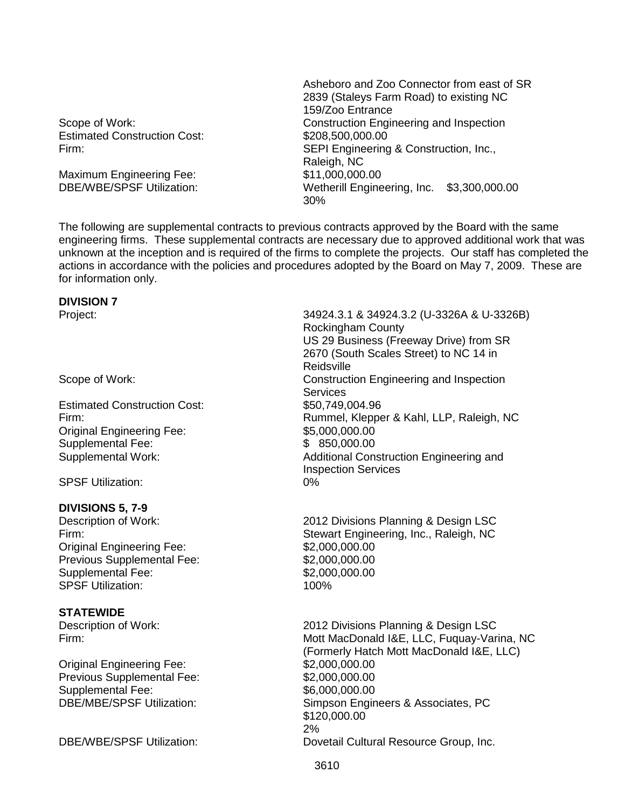Estimated Construction Cost: \$208,500,000.000

Maximum Engineering Fee:<br>DBE/WBE/SPSF Utilization:

Asheboro and Zoo Connector from east of SR 2839 (Staleys Farm Road) to existing NC 159/Zoo Entrance Scope of Work: Construction Engineering and Inspection Firm: SEPI Engineering & Construction, Inc., Raleigh, NC<br>\$11,000,000.00 Wetherill Engineering, Inc. \$3,300,000.00 30%

The following are supplemental contracts to previous contracts approved by the Board with the same engineering firms. These supplemental contracts are necessary due to approved additional work that was unknown at the inception and is required of the firms to complete the projects. Our staff has completed the actions in accordance with the policies and procedures adopted by the Board on May 7, 2009. These are for information only.

# **DIVISION 7**

**Estimated Construction Cost:** Original Engineering Fee: \$5,000,000.00 Supplemental Fee: \$ 850,000.00

SPSF Utilization: 0%

# **DIVISIONS 5, 7-9**

Original Engineering Fee: \$2,000,000.00 Previous Supplemental Fee: \$2,000,000.000 Supplemental Fee: \$2,000,000.00 SPSF Utilization: 100%

## **STATEWIDE**

Original Engineering Fee: \$2,000,000.00 Previous Supplemental Fee: \$2,000,000.000 Supplemental Fee:<br>
DBE/MBE/SPSF Utilization:<br>
DBE/MBE/SPSF Utilization:<br>
Simpson Engin

Project: 34924.3.1 & 34924.3.2 (U-3326A & U-3326B) Rockingham County US 29 Business (Freeway Drive) from SR 2670 (South Scales Street) to NC 14 in Reidsville Scope of Work: Construction Engineering and Inspection Services<br>\$50,749,004.96 Firm: Rummel, Klepper & Kahl, LLP, Raleigh, NC Supplemental Work: Additional Construction Engineering and Inspection Services

2012 Divisions Planning & Design LSC Firm: Stewart Engineering, Inc., Raleigh, NC

Description of Work: 2012 Divisions Planning & Design LSC Firm: Mott MacDonald I&E, LLC, Fuquay-Varina, NC (Formerly Hatch Mott MacDonald I&E, LLC) Simpson Engineers & Associates, PC \$120,000.00 2% DBE/WBE/SPSF Utilization: Dovetail Cultural Resource Group, Inc.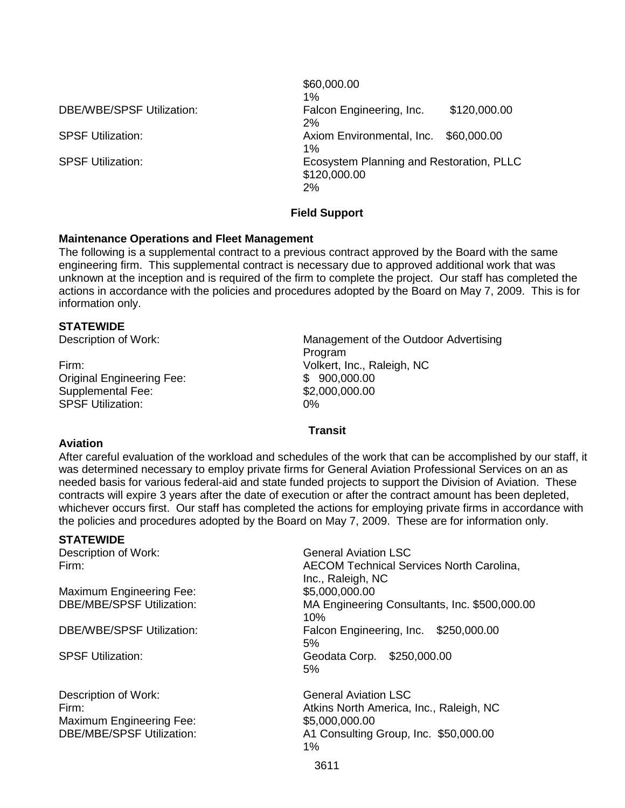| <b>DBE/WBE/SPSF Utilization:</b> |  |
|----------------------------------|--|
|----------------------------------|--|

\$60,000.00 1% Falcon Engineering, Inc. \$120,000.00 2% SPSF Utilization: Axiom Environmental, Inc. \$60,000.00 1% SPSF Utilization: Ecosystem Planning and Restoration, PLLC \$120,000.00 2%

## **Field Support**

## **Maintenance Operations and Fleet Management**

The following is a supplemental contract to a previous contract approved by the Board with the same engineering firm. This supplemental contract is necessary due to approved additional work that was unknown at the inception and is required of the firm to complete the project. Our staff has completed the actions in accordance with the policies and procedures adopted by the Board on May 7, 2009. This is for information only.

## **STATEWIDE**

Firm: Volkert, Inc., Raleigh, NC Original Engineering Fee: \$ 900,000.00 Supplemental Fee:  $$2,000,000.00$ <br>SPSF Utilization:  $0\%$ SPSF Utilization:

Description of Work: Management of the Outdoor Advertising Program

## **Transit**

## **Aviation**

After careful evaluation of the workload and schedules of the work that can be accomplished by our staff, it was determined necessary to employ private firms for General Aviation Professional Services on an as needed basis for various federal-aid and state funded projects to support the Division of Aviation. These contracts will expire 3 years after the date of execution or after the contract amount has been depleted, whichever occurs first. Our staff has completed the actions for employing private firms in accordance with the policies and procedures adopted by the Board on May 7, 2009. These are for information only.

## **STATEWIDE**

Description of Work: General Aviation LSC

Maximum Engineering Fee: \$5,000,000.00<br>DBE/MBE/SPSF Utilization: 6 MA Engineering

Description of Work:<br>
Firm:<br>
Firm:<br>
Atkins North America. Maximum Engineering Fee: \$5,000,000.000

Firm: AECOM Technical Services North Carolina, Inc., Raleigh, NC MA Engineering Consultants, Inc. \$500,000.00 10% DBE/WBE/SPSF Utilization: Falcon Engineering, Inc. \$250,000.00 5% SPSF Utilization: Geodata Corp. \$250,000.00 5%

Atkins North America, Inc., Raleigh, NC DBE/MBE/SPSF Utilization: A1 Consulting Group, Inc. \$50,000.00 1%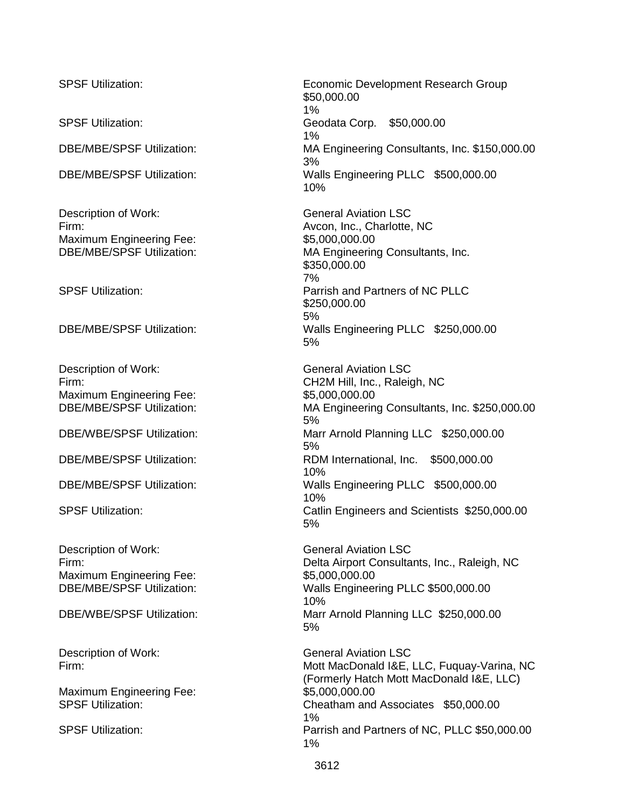Description of Work: General Aviation LSC Firm: Avcon, Inc., Charlotte, NC Maximum Engineering Fee:  $$5,000,000.00$ <br>DBE/MBE/SPSF Utilization: MA Engineerin

Description of Work: General Aviation LSC Maximum Engineering Fee: \$5,000,000.000

Description of Work:<br>
Firm:<br>
Ceneral Aviation LSC Maximum Engineering Fee: \$5,000,000.000

Maximum Engineering Fee: \$5,000,000.000

SPSF Utilization: Economic Development Research Group \$50,000.00 1% SPSF Utilization: Geodata Corp. \$50,000.00 1% DBE/MBE/SPSF Utilization: MA Engineering Consultants, Inc. \$150,000.00 3% DBE/MBE/SPSF Utilization: Walls Engineering PLLC \$500,000.00 10%

MA Engineering Consultants, Inc. \$350,000.00 7% SPSF Utilization: Parrish and Partners of NC PLLC \$250,000.00 5% DBE/MBE/SPSF Utilization: Walls Engineering PLLC \$250,000.00 5%

Firm: CH2M Hill, Inc., Raleigh, NC DBE/MBE/SPSF Utilization: MA Engineering Consultants, Inc. \$250,000.00 5% DBE/WBE/SPSF Utilization: Marr Arnold Planning LLC \$250,000.00 5% DBE/MBE/SPSF Utilization: RDM International, Inc. \$500,000.00 10% DBE/MBE/SPSF Utilization: Walls Engineering PLLC \$500,000.00 10% SPSF Utilization: Catlin Engineers and Scientists \$250,000.00 5%

Delta Airport Consultants, Inc., Raleigh, NC DBE/MBE/SPSF Utilization: Walls Engineering PLLC \$500,000.00 10% DBE/WBE/SPSF Utilization: Marr Arnold Planning LLC \$250,000.00 5%

Description of Work: General Aviation LSC Firm: **Firm:** The Mott MacDonald I&E, LLC, Fuquay-Varina, NC (Formerly Hatch Mott MacDonald I&E, LLC) SPSF Utilization: Cheatham and Associates \$50,000.00 1% SPSF Utilization: Parrish and Partners of NC, PLLC \$50,000.00 1%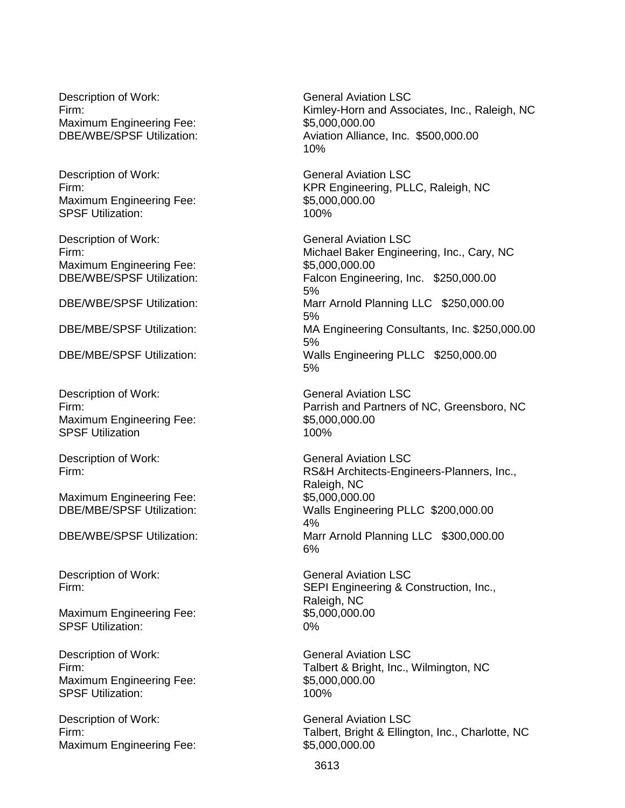Description of Work: General Aviation LSC Maximum Engineering Fee: \$5,000,000.00<br>DBE/WBE/SPSF Utilization: http://www.aviation Alliand

Description of Work: General Aviation LSC Maximum Engineering Fee: \$5,000,000.000 SPSF Utilization: 100%

Description of Work: General Aviation LSC Maximum Engineering Fee: \$5,000,000.000.00

Description of Work: General Aviation LSC Maximum Engineering Fee: \$5,000,000.000 SPSF Utilization 100%

Description of Work: General Aviation LSC

Maximum Engineering Fee: \$5,000,000.000

Maximum Engineering Fee: SPSF Utilization: 0%

Description of Work: General Aviation LSC Maximum Engineering Fee:  $$5,000,000.00$ <br>SPSF Utilization:  $100\%$ **SPSF Utilization:** 

Description of Work: General Aviation LSC Maximum Engineering Fee: \$5,000,000.000

Firm: Kimley-Horn and Associates, Inc., Raleigh, NC Aviation Alliance, Inc. \$500,000.00 10%

Firm: KPR Engineering, PLLC, Raleigh, NC

Firm: Michael Baker Engineering, Inc., Cary, NC DBE/WBE/SPSF Utilization: Falcon Engineering, Inc. \$250,000.00 5% DBE/WBE/SPSF Utilization: Marr Arnold Planning LLC \$250,000.00 5% DBE/MBE/SPSF Utilization: MA Engineering Consultants, Inc. \$250,000.00 5% DBE/MBE/SPSF Utilization: Walls Engineering PLLC \$250,000.00 5%

Firm: Parrish and Partners of NC, Greensboro, NC

Firm: RS&H Architects-Engineers-Planners, Inc., Raleigh, NC DBE/MBE/SPSF Utilization: Walls Engineering PLLC \$200,000.00 4% DBE/WBE/SPSF Utilization: Marr Arnold Planning LLC \$300,000.00 6%

Description of Work: General Aviation LSC Firm: SEPI Engineering & Construction, Inc., Raleigh, NC<br>\$5,000,000.00

Firm: Talbert & Bright, Inc., Wilmington, NC

Firm: Talbert, Bright & Ellington, Inc., Charlotte, NC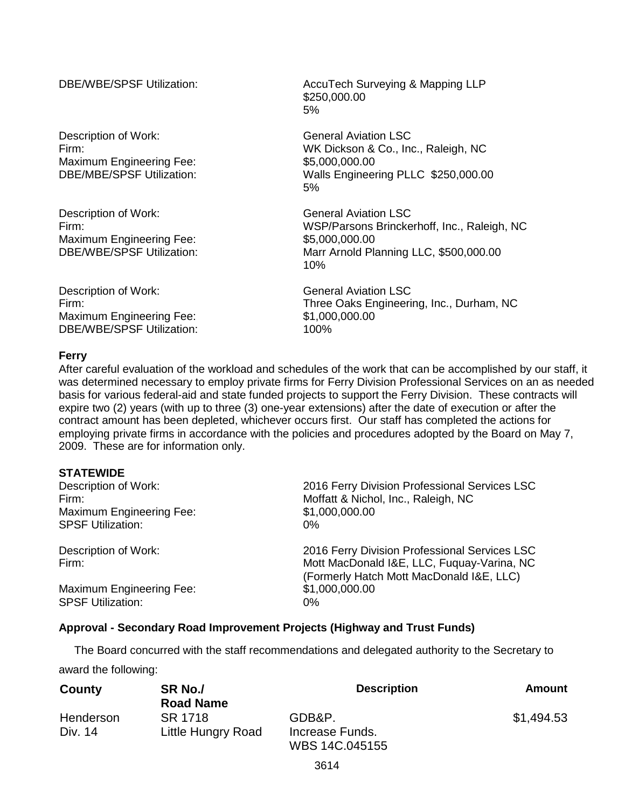Description of Work: General Aviation LSC Maximum Engineering Fee:  $$5,000,000.00$ <br>DBE/MBE/SPSF Utilization: Walls Engineer

Description of Work: General Aviation LSC Maximum Engineering Fee:  $$5,000,000.00$ <br>DBE/WBE/SPSF Utilization: Marr Arnold Pla

Description of Work: General Aviation LSC Maximum Engineering Fee: \$1,000,000.000 DBE/WBE/SPSF Utilization: 100%

DBE/WBE/SPSF Utilization: AccuTech Surveying & Mapping LLP \$250,000.00 5%

Firm: WK Dickson & Co., Inc., Raleigh, NC Walls Engineering PLLC \$250,000.00 5%

Firm: WSP/Parsons Brinckerhoff, Inc., Raleigh, NC Marr Arnold Planning LLC, \$500,000.00 10%

Firm: Three Oaks Engineering, Inc., Durham, NC

## **Ferry**

After careful evaluation of the workload and schedules of the work that can be accomplished by our staff, it was determined necessary to employ private firms for Ferry Division Professional Services on an as needed basis for various federal-aid and state funded projects to support the Ferry Division. These contracts will expire two (2) years (with up to three (3) one-year extensions) after the date of execution or after the contract amount has been depleted, whichever occurs first. Our staff has completed the actions for employing private firms in accordance with the policies and procedures adopted by the Board on May 7, 2009. These are for information only.

## **STATEWIDE**

| Description of Work:            | 2016 Ferry Division Professional Services LSC                                                                                           |
|---------------------------------|-----------------------------------------------------------------------------------------------------------------------------------------|
| Firm:                           | Moffatt & Nichol, Inc., Raleigh, NC                                                                                                     |
| <b>Maximum Engineering Fee:</b> | \$1,000,000.00                                                                                                                          |
| <b>SPSF Utilization:</b>        | $0\%$                                                                                                                                   |
| Description of Work:<br>Firm:   | 2016 Ferry Division Professional Services LSC<br>Mott MacDonald I&E, LLC, Fuquay-Varina, NC<br>(Formerly Hatch Mott MacDonald I&E, LLC) |
| <b>Maximum Engineering Fee:</b> | \$1,000,000.00                                                                                                                          |
| <b>SPSF Utilization:</b>        | $0\%$                                                                                                                                   |

## **Approval - Secondary Road Improvement Projects (Highway and Trust Funds)**

 The Board concurred with the staff recommendations and delegated authority to the Secretary to award the following:

| County    | SR No./            | <b>Description</b> | <b>Amount</b> |
|-----------|--------------------|--------------------|---------------|
|           | <b>Road Name</b>   |                    |               |
| Henderson | SR 1718            | GDB&P.             | \$1,494.53    |
| Div. 14   | Little Hungry Road | Increase Funds.    |               |
|           |                    | WBS 14C.045155     |               |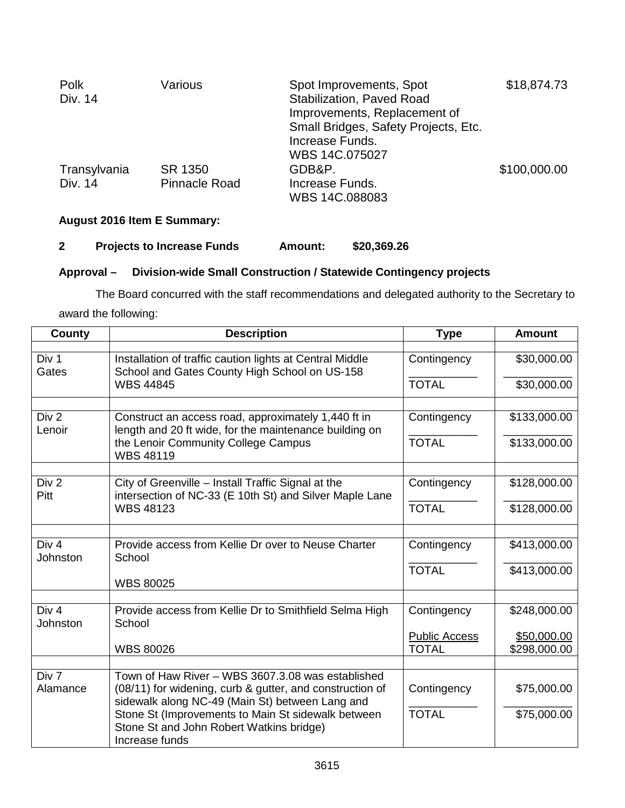| Polk<br>Div. 14         | Various                         | Spot Improvements, Spot<br><b>Stabilization, Paved Road</b><br>Improvements, Replacement of<br>Small Bridges, Safety Projects, Etc. | \$18,874.73  |
|-------------------------|---------------------------------|-------------------------------------------------------------------------------------------------------------------------------------|--------------|
| Transylvania<br>Div. 14 | SR 1350<br><b>Pinnacle Road</b> | Increase Funds.<br>WBS 14C.075027<br>GDB&P.<br>Increase Funds.                                                                      | \$100,000.00 |
|                         |                                 | WBS 14C.088083                                                                                                                      |              |

# **August 2016 Item E Summary:**

## **2 Projects to Increase Funds Amount: \$20,369.26**

# **Approval – Division-wide Small Construction / Statewide Contingency projects**

The Board concurred with the staff recommendations and delegated authority to the Secretary to award the following:

| <b>County</b>            | <b>Description</b>                                                                                               | <b>Type</b>          | <b>Amount</b> |
|--------------------------|------------------------------------------------------------------------------------------------------------------|----------------------|---------------|
| Div 1<br>Gates           | Installation of traffic caution lights at Central Middle<br>School and Gates County High School on US-158        | Contingency          | \$30,000.00   |
|                          | <b>WBS 44845</b>                                                                                                 | <b>TOTAL</b>         | \$30,000.00   |
| Div 2<br>Lenoir          | Construct an access road, approximately 1,440 ft in<br>length and 20 ft wide, for the maintenance building on    | Contingency          | \$133,000.00  |
|                          | the Lenoir Community College Campus<br><b>WBS 48119</b>                                                          | <b>TOTAL</b>         | \$133,000.00  |
|                          |                                                                                                                  |                      |               |
| Div <sub>2</sub><br>Pitt | City of Greenville - Install Traffic Signal at the<br>intersection of NC-33 (E 10th St) and Silver Maple Lane    | Contingency          | \$128,000.00  |
|                          | <b>WBS 48123</b>                                                                                                 | <b>TOTAL</b>         | \$128,000.00  |
| Div 4                    | Provide access from Kellie Dr over to Neuse Charter                                                              |                      |               |
| Johnston                 | School                                                                                                           | Contingency          | \$413,000.00  |
|                          |                                                                                                                  | <b>TOTAL</b>         | \$413,000.00  |
|                          | <b>WBS 80025</b>                                                                                                 |                      |               |
| Div 4<br>Johnston        | Provide access from Kellie Dr to Smithfield Selma High<br>School                                                 | Contingency          | \$248,000.00  |
|                          |                                                                                                                  | <b>Public Access</b> | \$50,000.00   |
|                          | <b>WBS 80026</b>                                                                                                 | <b>TOTAL</b>         | \$298,000.00  |
| Div 7                    | Town of Haw River - WBS 3607.3.08 was established                                                                |                      |               |
| Alamance                 | (08/11) for widening, curb & gutter, and construction of<br>sidewalk along NC-49 (Main St) between Lang and      | Contingency          | \$75,000.00   |
|                          | Stone St (Improvements to Main St sidewalk between<br>Stone St and John Robert Watkins bridge)<br>Increase funds | <b>TOTAL</b>         | \$75,000.00   |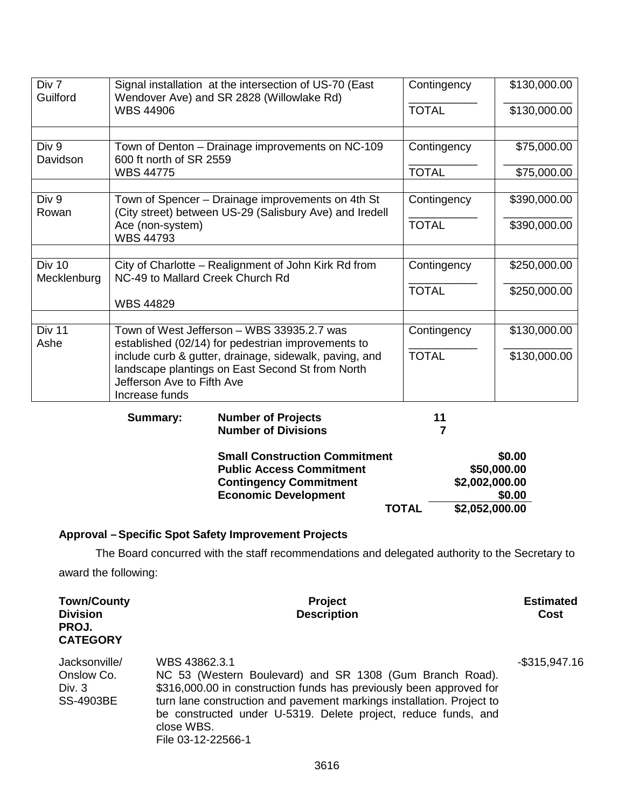| Div 7<br>Guilford            |                                                                                                              | Signal installation at the intersection of US-70 (East<br>Wendover Ave) and SR 2828 (Willowlake Rd)                                     | Contingency  | \$130,000.00                                                        |
|------------------------------|--------------------------------------------------------------------------------------------------------------|-----------------------------------------------------------------------------------------------------------------------------------------|--------------|---------------------------------------------------------------------|
|                              | <b>WBS 44906</b>                                                                                             |                                                                                                                                         | <b>TOTAL</b> | \$130,000.00                                                        |
|                              |                                                                                                              |                                                                                                                                         |              |                                                                     |
| Div 9<br>Davidson            | 600 ft north of SR 2559                                                                                      | Town of Denton - Drainage improvements on NC-109                                                                                        | Contingency  | \$75,000.00                                                         |
|                              | <b>WBS 44775</b>                                                                                             |                                                                                                                                         | <b>TOTAL</b> | \$75,000.00                                                         |
|                              |                                                                                                              |                                                                                                                                         |              |                                                                     |
| Div 9<br>Rowan               | Town of Spencer - Drainage improvements on 4th St<br>(City street) between US-29 (Salisbury Ave) and Iredell | Contingency                                                                                                                             | \$390,000.00 |                                                                     |
|                              | Ace (non-system)<br><b>WBS 44793</b>                                                                         |                                                                                                                                         | <b>TOTAL</b> | \$390,000.00                                                        |
|                              |                                                                                                              |                                                                                                                                         |              |                                                                     |
| <b>Div 10</b><br>Mecklenburg | NC-49 to Mallard Creek Church Rd                                                                             | City of Charlotte - Realignment of John Kirk Rd from                                                                                    | Contingency  | \$250,000.00                                                        |
|                              |                                                                                                              |                                                                                                                                         | <b>TOTAL</b> | \$250,000.00                                                        |
|                              | <b>WBS 44829</b>                                                                                             |                                                                                                                                         |              |                                                                     |
|                              |                                                                                                              |                                                                                                                                         |              |                                                                     |
| Div 11<br>Ashe               |                                                                                                              | Town of West Jefferson - WBS 33935.2.7 was<br>established (02/14) for pedestrian improvements to                                        | Contingency  | \$130,000.00                                                        |
|                              | Jefferson Ave to Fifth Ave<br>Increase funds                                                                 | include curb & gutter, drainage, sidewalk, paving, and<br>landscape plantings on East Second St from North                              | <b>TOTAL</b> | \$130,000.00                                                        |
|                              | <b>Summary:</b>                                                                                              | <b>Number of Projects</b><br><b>Number of Divisions</b>                                                                                 | 11<br>7      |                                                                     |
|                              |                                                                                                              | <b>Small Construction Commitment</b><br><b>Public Access Commitment</b><br><b>Contingency Commitment</b><br><b>Economic Development</b> | <b>TOTAL</b> | \$0.00<br>\$50,000.00<br>\$2,002,000.00<br>\$0.00<br>\$2,052,000.00 |
|                              |                                                                                                              |                                                                                                                                         |              |                                                                     |

# **Approval –Specific Spot Safety Improvement Projects**

The Board concurred with the staff recommendations and delegated authority to the Secretary to award the following:

| <b>Town/County</b><br><b>Division</b><br>PROJ.<br><b>CATEGORY</b> | <b>Project</b><br><b>Description</b>                                                                                                                                                                                                                                                                                            | <b>Estimated</b><br><b>Cost</b> |
|-------------------------------------------------------------------|---------------------------------------------------------------------------------------------------------------------------------------------------------------------------------------------------------------------------------------------------------------------------------------------------------------------------------|---------------------------------|
| Jacksonville/<br>Onslow Co.<br>Div. 3<br><b>SS-4903BE</b>         | WBS 43862.3.1<br>NC 53 (Western Boulevard) and SR 1308 (Gum Branch Road).<br>\$316,000.00 in construction funds has previously been approved for<br>turn lane construction and pavement markings installation. Project to<br>be constructed under U-5319. Delete project, reduce funds, and<br>close WBS.<br>File 03-12-22566-1 | $-$ \$315,947.16                |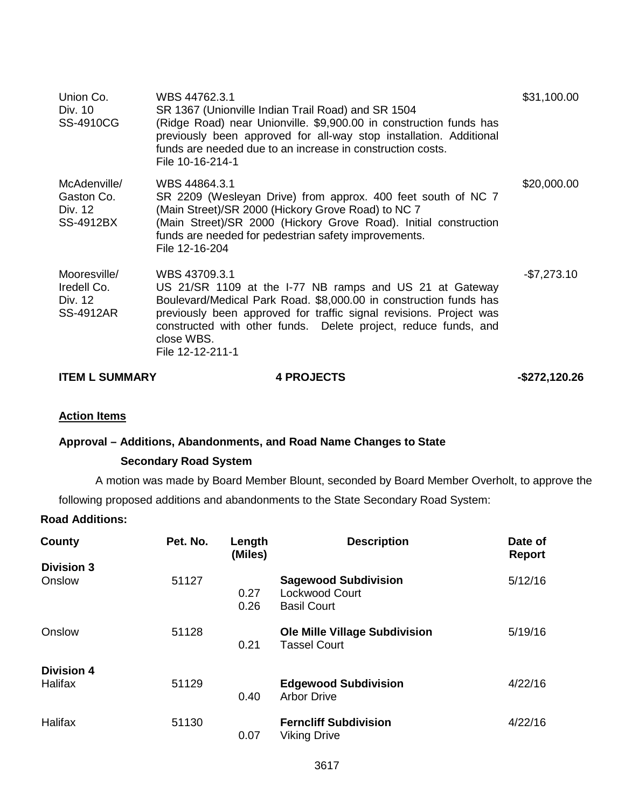| Union Co.<br>Div. 10<br>SS-4910CG                          | WBS 44762.3.1<br>SR 1367 (Unionville Indian Trail Road) and SR 1504<br>(Ridge Road) near Unionville. \$9,900.00 in construction funds has<br>previously been approved for all-way stop installation. Additional<br>funds are needed due to an increase in construction costs.<br>File 10-16-214-1                        | \$31,100.00  |
|------------------------------------------------------------|--------------------------------------------------------------------------------------------------------------------------------------------------------------------------------------------------------------------------------------------------------------------------------------------------------------------------|--------------|
| McAdenville/<br>Gaston Co.<br>Div. 12<br>SS-4912BX         | WBS 44864.3.1<br>SR 2209 (Wesleyan Drive) from approx. 400 feet south of NC 7<br>(Main Street)/SR 2000 (Hickory Grove Road) to NC 7<br>(Main Street)/SR 2000 (Hickory Grove Road). Initial construction<br>funds are needed for pedestrian safety improvements.<br>File 12-16-204                                        | \$20,000.00  |
| Mooresville/<br>Iredell Co.<br>Div. 12<br><b>SS-4912AR</b> | WBS 43709.3.1<br>US 21/SR 1109 at the I-77 NB ramps and US 21 at Gateway<br>Boulevard/Medical Park Road. \$8,000.00 in construction funds has<br>previously been approved for traffic signal revisions. Project was<br>constructed with other funds. Delete project, reduce funds, and<br>close WBS.<br>File 12-12-211-1 | $-$7,273.10$ |

| <b>ITEM L SUMMARY</b> | <b>4 PROJECTS</b> |  | $-$ \$272,120.26 |
|-----------------------|-------------------|--|------------------|
|-----------------------|-------------------|--|------------------|

## **Action Items**

## **Approval – Additions, Abandonments, and Road Name Changes to State**

## **Secondary Road System**

A motion was made by Board Member Blount, seconded by Board Member Overholt, to approve the

following proposed additions and abandonments to the State Secondary Road System:

## **Road Additions:**

| County            | Pet. No. | Length<br>(Miles) | <b>Description</b>                                                  | Date of<br><b>Report</b> |
|-------------------|----------|-------------------|---------------------------------------------------------------------|--------------------------|
| <b>Division 3</b> |          |                   |                                                                     |                          |
| Onslow            | 51127    | 0.27<br>0.26      | <b>Sagewood Subdivision</b><br>Lockwood Court<br><b>Basil Court</b> | 5/12/16                  |
| Onslow            | 51128    | 0.21              | <b>Ole Mille Village Subdivision</b><br><b>Tassel Court</b>         | 5/19/16                  |
| <b>Division 4</b> |          |                   |                                                                     |                          |
| Halifax           | 51129    | 0.40              | <b>Edgewood Subdivision</b><br><b>Arbor Drive</b>                   | 4/22/16                  |
| <b>Halifax</b>    | 51130    | 0.07              | <b>Ferncliff Subdivision</b><br><b>Viking Drive</b>                 | 4/22/16                  |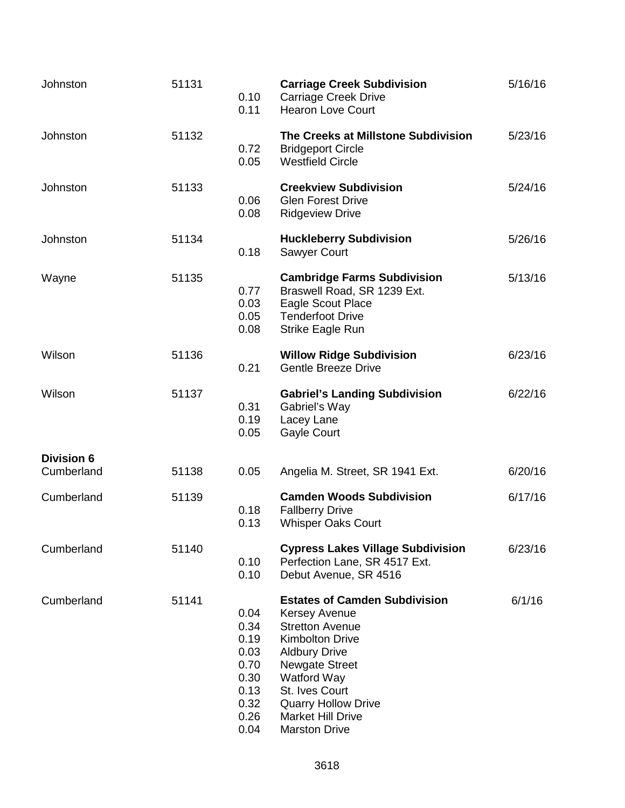| Johnston                        | 51131 | 0.10<br>0.11                                                                 | <b>Carriage Creek Subdivision</b><br><b>Carriage Creek Drive</b><br><b>Hearon Love Court</b>                                                                                                                                                                                         | 5/16/16 |
|---------------------------------|-------|------------------------------------------------------------------------------|--------------------------------------------------------------------------------------------------------------------------------------------------------------------------------------------------------------------------------------------------------------------------------------|---------|
| Johnston                        | 51132 | 0.72<br>0.05                                                                 | The Creeks at Millstone Subdivision<br><b>Bridgeport Circle</b><br><b>Westfield Circle</b>                                                                                                                                                                                           | 5/23/16 |
| Johnston                        | 51133 | 0.06<br>0.08                                                                 | <b>Creekview Subdivision</b><br><b>Glen Forest Drive</b><br><b>Ridgeview Drive</b>                                                                                                                                                                                                   | 5/24/16 |
| Johnston                        | 51134 | 0.18                                                                         | <b>Huckleberry Subdivision</b><br><b>Sawyer Court</b>                                                                                                                                                                                                                                | 5/26/16 |
| Wayne                           | 51135 | 0.77<br>0.03<br>0.05<br>0.08                                                 | <b>Cambridge Farms Subdivision</b><br>Braswell Road, SR 1239 Ext.<br>Eagle Scout Place<br><b>Tenderfoot Drive</b><br>Strike Eagle Run                                                                                                                                                | 5/13/16 |
| Wilson                          | 51136 | 0.21                                                                         | <b>Willow Ridge Subdivision</b><br><b>Gentle Breeze Drive</b>                                                                                                                                                                                                                        | 6/23/16 |
| Wilson                          | 51137 | 0.31<br>0.19<br>0.05                                                         | <b>Gabriel's Landing Subdivision</b><br>Gabriel's Way<br>Lacey Lane<br><b>Gayle Court</b>                                                                                                                                                                                            | 6/22/16 |
| <b>Division 6</b><br>Cumberland | 51138 | 0.05                                                                         | Angelia M. Street, SR 1941 Ext.                                                                                                                                                                                                                                                      | 6/20/16 |
| Cumberland                      | 51139 | 0.18<br>0.13                                                                 | <b>Camden Woods Subdivision</b><br><b>Fallberry Drive</b><br><b>Whisper Oaks Court</b>                                                                                                                                                                                               | 6/17/16 |
| Cumberland                      | 51140 | 0.10<br>0.10                                                                 | <b>Cypress Lakes Village Subdivision</b><br>Perfection Lane, SR 4517 Ext.<br>Debut Avenue, SR 4516                                                                                                                                                                                   | 6/23/16 |
| Cumberland                      | 51141 | 0.04<br>0.34<br>0.19<br>0.03<br>0.70<br>0.30<br>0.13<br>0.32<br>0.26<br>0.04 | <b>Estates of Camden Subdivision</b><br><b>Kersey Avenue</b><br><b>Stretton Avenue</b><br><b>Kimbolton Drive</b><br><b>Aldbury Drive</b><br><b>Newgate Street</b><br>Watford Way<br>St. Ives Court<br><b>Quarry Hollow Drive</b><br><b>Market Hill Drive</b><br><b>Marston Drive</b> | 6/1/16  |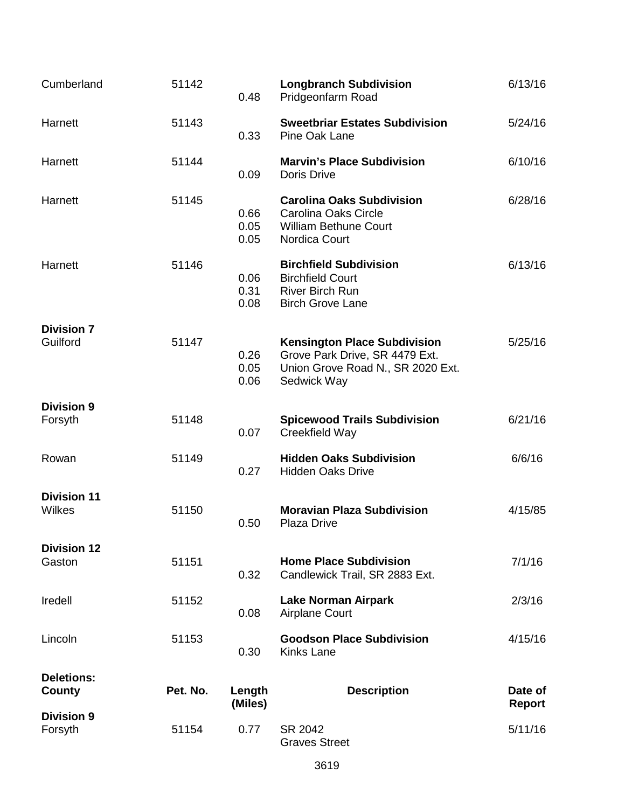| Cumberland                    | 51142    | 0.48                 | <b>Longbranch Subdivision</b><br>Pridgeonfarm Road                                                                        | 6/13/16                  |
|-------------------------------|----------|----------------------|---------------------------------------------------------------------------------------------------------------------------|--------------------------|
| Harnett                       | 51143    | 0.33                 | <b>Sweetbriar Estates Subdivision</b><br>Pine Oak Lane                                                                    | 5/24/16                  |
| Harnett                       | 51144    | 0.09                 | <b>Marvin's Place Subdivision</b><br>Doris Drive                                                                          | 6/10/16                  |
| Harnett                       | 51145    | 0.66<br>0.05<br>0.05 | <b>Carolina Oaks Subdivision</b><br>Carolina Oaks Circle<br>William Bethune Court<br><b>Nordica Court</b>                 | 6/28/16                  |
| Harnett                       | 51146    | 0.06<br>0.31<br>0.08 | <b>Birchfield Subdivision</b><br><b>Birchfield Court</b><br><b>River Birch Run</b><br><b>Birch Grove Lane</b>             | 6/13/16                  |
| <b>Division 7</b><br>Guilford | 51147    | 0.26<br>0.05<br>0.06 | <b>Kensington Place Subdivision</b><br>Grove Park Drive, SR 4479 Ext.<br>Union Grove Road N., SR 2020 Ext.<br>Sedwick Way | 5/25/16                  |
| <b>Division 9</b><br>Forsyth  | 51148    | 0.07                 | <b>Spicewood Trails Subdivision</b><br>Creekfield Way                                                                     | 6/21/16                  |
| Rowan                         | 51149    | 0.27                 | <b>Hidden Oaks Subdivision</b><br><b>Hidden Oaks Drive</b>                                                                | 6/6/16                   |
| <b>Division 11</b><br>Wilkes  | 51150    | 0.50                 | <b>Moravian Plaza Subdivision</b><br>Plaza Drive                                                                          | 4/15/85                  |
| <b>Division 12</b><br>Gaston  | 51151    | 0.32                 | <b>Home Place Subdivision</b><br>Candlewick Trail, SR 2883 Ext.                                                           | 7/1/16                   |
| Iredell                       | 51152    | 0.08                 | <b>Lake Norman Airpark</b><br><b>Airplane Court</b>                                                                       | 2/3/16                   |
| Lincoln                       | 51153    | 0.30                 | <b>Goodson Place Subdivision</b><br><b>Kinks Lane</b>                                                                     | 4/15/16                  |
| <b>Deletions:</b><br>County   | Pet. No. | Length<br>(Miles)    | <b>Description</b>                                                                                                        | Date of<br><b>Report</b> |
| <b>Division 9</b><br>Forsyth  | 51154    | 0.77                 | SR 2042<br><b>Graves Street</b>                                                                                           | 5/11/16                  |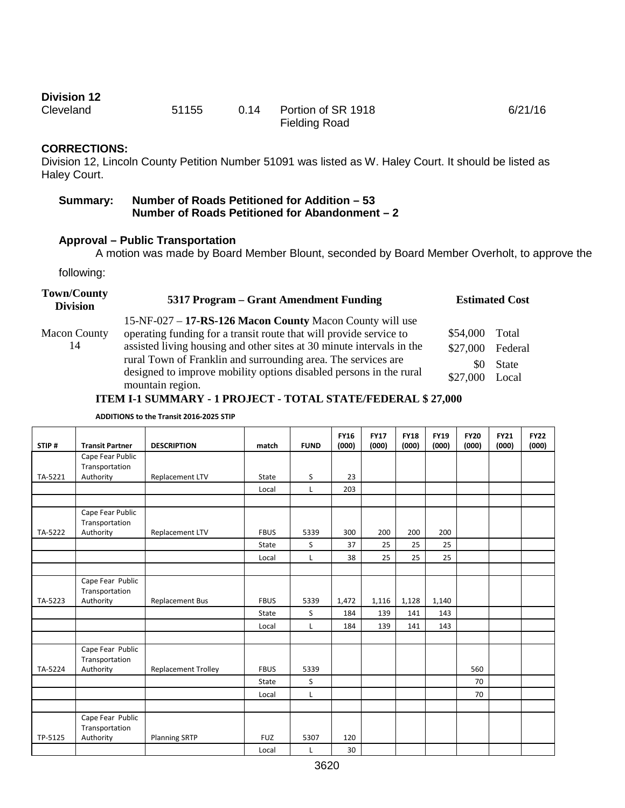# **Division 12**<br>Cleveland

51155 0.14 Portion of SR 1918 Fielding Road 6/21/16

## **CORRECTIONS:**

Division 12, Lincoln County Petition Number 51091 was listed as W. Haley Court. It should be listed as Haley Court.

| <b>Summary:</b> | Number of Roads Petitioned for Addition - 53   |
|-----------------|------------------------------------------------|
|                 | Number of Roads Petitioned for Abandonment – 2 |

## **Approval – Public Transportation**

A motion was made by Board Member Blount, seconded by Board Member Overholt, to approve the

following:

| <b>Town/County</b><br><b>Division</b> | 5317 Program – Grant Amendment Funding                                                                                                                                                                                                                                                                                                                             | <b>Estimated Cost</b>                                                         |  |  |
|---------------------------------------|--------------------------------------------------------------------------------------------------------------------------------------------------------------------------------------------------------------------------------------------------------------------------------------------------------------------------------------------------------------------|-------------------------------------------------------------------------------|--|--|
| <b>Macon County</b><br>14             | 15-NF-027 – 17-RS-126 Macon County Macon County will use<br>operating funding for a transit route that will provide service to<br>assisted living housing and other sites at 30 minute intervals in the<br>rural Town of Franklin and surrounding area. The services are<br>designed to improve mobility options disabled persons in the rural<br>mountain region. | \$54,000<br>Total<br>\$27,000<br>Federal<br>State<br>\$0<br>\$27,000<br>Local |  |  |

## **ITEM I-1 SUMMARY - 1 PROJECT - TOTAL STATE/FEDERAL \$ 27,000**

**ADDITIONS to the Transit 2016-2025 STIP**

|         |                                    |                            |             |              | <b>FY16</b> | <b>FY17</b> | <b>FY18</b> | <b>FY19</b> | <b>FY20</b> | <b>FY21</b> | <b>FY22</b> |
|---------|------------------------------------|----------------------------|-------------|--------------|-------------|-------------|-------------|-------------|-------------|-------------|-------------|
| STIP#   | <b>Transit Partner</b>             | <b>DESCRIPTION</b>         | match       | <b>FUND</b>  | (000)       | (000)       | (000)       | (000)       | (000)       | (000)       | (000)       |
|         | Cape Fear Public                   |                            |             |              |             |             |             |             |             |             |             |
|         | Transportation                     |                            |             |              |             |             |             |             |             |             |             |
| TA-5221 | Authority                          | Replacement LTV            | State       | S            | 23          |             |             |             |             |             |             |
|         |                                    |                            | Local       | $\mathsf{L}$ | 203         |             |             |             |             |             |             |
|         |                                    |                            |             |              |             |             |             |             |             |             |             |
|         | Cape Fear Public<br>Transportation |                            |             |              |             |             |             |             |             |             |             |
| TA-5222 | Authority                          | Replacement LTV            | <b>FBUS</b> | 5339         | 300         | 200         | 200         | 200         |             |             |             |
|         |                                    |                            | State       | S            | 37          | 25          | 25          | 25          |             |             |             |
|         |                                    |                            | Local       | L            | 38          | 25          | 25          | 25          |             |             |             |
|         |                                    |                            |             |              |             |             |             |             |             |             |             |
|         | Cape Fear Public<br>Transportation |                            |             |              |             |             |             |             |             |             |             |
| TA-5223 | Authority                          | <b>Replacement Bus</b>     | <b>FBUS</b> | 5339         | 1,472       | 1,116       | 1,128       | 1,140       |             |             |             |
|         |                                    |                            | State       | S            | 184         | 139         | 141         | 143         |             |             |             |
|         |                                    |                            | Local       | L            | 184         | 139         | 141         | 143         |             |             |             |
|         |                                    |                            |             |              |             |             |             |             |             |             |             |
|         | Cape Fear Public<br>Transportation |                            |             |              |             |             |             |             |             |             |             |
| TA-5224 | Authority                          | <b>Replacement Trolley</b> | <b>FBUS</b> | 5339         |             |             |             |             | 560         |             |             |
|         |                                    |                            | State       | S            |             |             |             |             | 70          |             |             |
|         |                                    |                            | Local       | $\mathsf{L}$ |             |             |             |             | 70          |             |             |
|         |                                    |                            |             |              |             |             |             |             |             |             |             |
|         | Cape Fear Public<br>Transportation |                            |             |              |             |             |             |             |             |             |             |
| TP-5125 | Authority                          | <b>Planning SRTP</b>       | <b>FUZ</b>  | 5307         | 120         |             |             |             |             |             |             |
|         |                                    |                            | Local       | L            | 30          |             |             |             |             |             |             |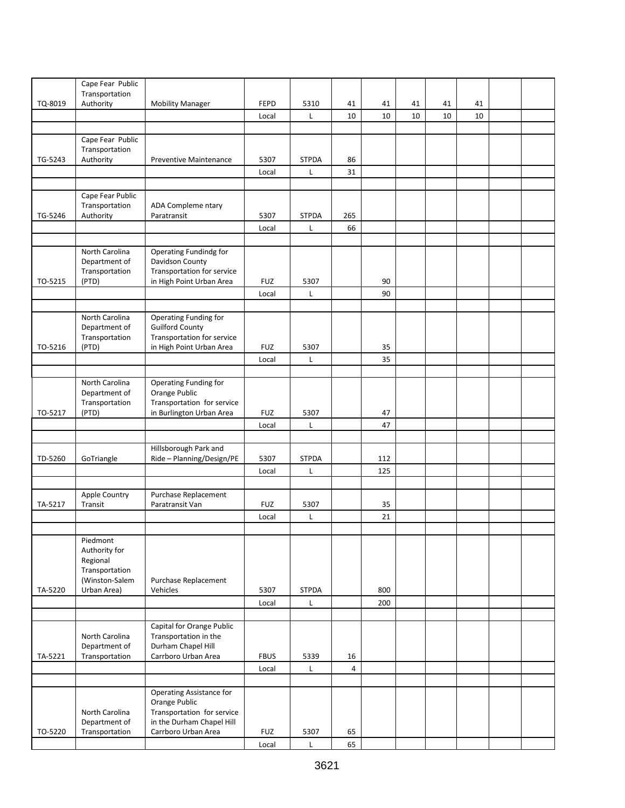|         | Cape Fear Public<br>Transportation |                                                         |             |              |                |     |    |    |    |  |
|---------|------------------------------------|---------------------------------------------------------|-------------|--------------|----------------|-----|----|----|----|--|
| TQ-8019 | Authority                          | <b>Mobility Manager</b>                                 | <b>FEPD</b> | 5310         | 41             | 41  | 41 | 41 | 41 |  |
|         |                                    |                                                         | Local       | L            | 10             | 10  | 10 | 10 | 10 |  |
|         |                                    |                                                         |             |              |                |     |    |    |    |  |
|         | Cape Fear Public                   |                                                         |             |              |                |     |    |    |    |  |
|         | Transportation                     |                                                         |             |              |                |     |    |    |    |  |
| TG-5243 | Authority                          | Preventive Maintenance                                  | 5307        | <b>STPDA</b> | 86             |     |    |    |    |  |
|         |                                    |                                                         | Local       | Г            | 31             |     |    |    |    |  |
|         |                                    |                                                         |             |              |                |     |    |    |    |  |
|         | Cape Fear Public<br>Transportation | ADA Compleme ntary                                      |             |              |                |     |    |    |    |  |
| TG-5246 | Authority                          | Paratransit                                             | 5307        | <b>STPDA</b> | 265            |     |    |    |    |  |
|         |                                    |                                                         | Local       | Г            | 66             |     |    |    |    |  |
|         |                                    |                                                         |             |              |                |     |    |    |    |  |
|         | North Carolina                     | Operating Fundindg for                                  |             |              |                |     |    |    |    |  |
|         | Department of                      | Davidson County                                         |             |              |                |     |    |    |    |  |
|         | Transportation                     | Transportation for service                              |             |              |                |     |    |    |    |  |
| TO-5215 | (PTD)                              | in High Point Urban Area                                | <b>FUZ</b>  | 5307         |                | 90  |    |    |    |  |
|         |                                    |                                                         | Local       | Г            |                | 90  |    |    |    |  |
|         |                                    |                                                         |             |              |                |     |    |    |    |  |
|         | North Carolina                     | Operating Funding for                                   |             |              |                |     |    |    |    |  |
|         | Department of<br>Transportation    | <b>Guilford County</b><br>Transportation for service    |             |              |                |     |    |    |    |  |
| TO-5216 | (PTD)                              | in High Point Urban Area                                | <b>FUZ</b>  | 5307         |                | 35  |    |    |    |  |
|         |                                    |                                                         | Local       | Г            |                | 35  |    |    |    |  |
|         |                                    |                                                         |             |              |                |     |    |    |    |  |
|         | North Carolina                     | Operating Funding for                                   |             |              |                |     |    |    |    |  |
|         | Department of                      | Orange Public                                           |             |              |                |     |    |    |    |  |
|         | Transportation                     | Transportation for service                              |             |              |                |     |    |    |    |  |
| TO-5217 | (PTD)                              | in Burlington Urban Area                                | <b>FUZ</b>  | 5307         |                | 47  |    |    |    |  |
|         |                                    |                                                         | Local       | L            |                | 47  |    |    |    |  |
|         |                                    |                                                         |             |              |                |     |    |    |    |  |
| TD-5260 | GoTriangle                         | Hillsborough Park and<br>Ride - Planning/Design/PE      | 5307        | <b>STPDA</b> |                | 112 |    |    |    |  |
|         |                                    |                                                         | Local       | Г            |                | 125 |    |    |    |  |
|         |                                    |                                                         |             |              |                |     |    |    |    |  |
|         | Apple Country                      | Purchase Replacement                                    |             |              |                |     |    |    |    |  |
| TA-5217 | Transit                            | Paratransit Van                                         | <b>FUZ</b>  | 5307         |                | 35  |    |    |    |  |
|         |                                    |                                                         | Local       | L            |                | 21  |    |    |    |  |
|         |                                    |                                                         |             |              |                |     |    |    |    |  |
|         | Piedmont                           |                                                         |             |              |                |     |    |    |    |  |
|         | Authority for                      |                                                         |             |              |                |     |    |    |    |  |
|         | Regional                           |                                                         |             |              |                |     |    |    |    |  |
|         | Transportation                     |                                                         |             |              |                |     |    |    |    |  |
| TA-5220 | (Winston-Salem<br>Urban Area)      | Purchase Replacement<br>Vehicles                        | 5307        | <b>STPDA</b> |                | 800 |    |    |    |  |
|         |                                    |                                                         | Local       |              |                | 200 |    |    |    |  |
|         |                                    |                                                         |             | L            |                |     |    |    |    |  |
|         |                                    | Capital for Orange Public                               |             |              |                |     |    |    |    |  |
|         | North Carolina                     | Transportation in the                                   |             |              |                |     |    |    |    |  |
|         | Department of                      | Durham Chapel Hill                                      |             |              |                |     |    |    |    |  |
| TA-5221 | Transportation                     | Carrboro Urban Area                                     | <b>FBUS</b> | 5339         | 16             |     |    |    |    |  |
|         |                                    |                                                         | Local       | Г            | $\overline{4}$ |     |    |    |    |  |
|         |                                    |                                                         |             |              |                |     |    |    |    |  |
|         |                                    | <b>Operating Assistance for</b>                         |             |              |                |     |    |    |    |  |
|         |                                    | Orange Public                                           |             |              |                |     |    |    |    |  |
|         | North Carolina<br>Department of    | Transportation for service<br>in the Durham Chapel Hill |             |              |                |     |    |    |    |  |
| TO-5220 | Transportation                     | Carrboro Urban Area                                     | <b>FUZ</b>  | 5307         | 65             |     |    |    |    |  |
|         |                                    |                                                         | Local       | Г            | 65             |     |    |    |    |  |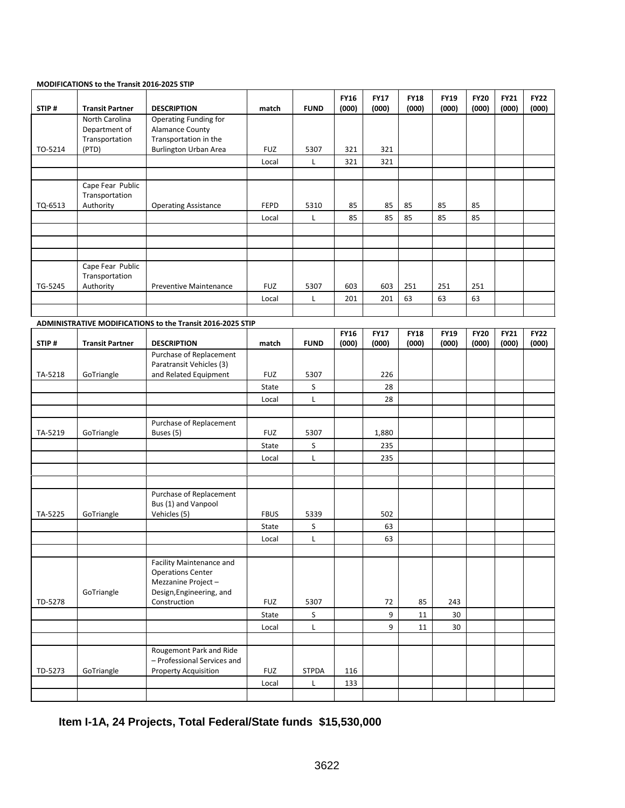|         | MODIFICATIONS to the Transit 2016-2025 STIP |                                                            |             |              |                      |                      |                      |                      |                      |                      |                      |
|---------|---------------------------------------------|------------------------------------------------------------|-------------|--------------|----------------------|----------------------|----------------------|----------------------|----------------------|----------------------|----------------------|
| STIP#   | <b>Transit Partner</b>                      | <b>DESCRIPTION</b>                                         | match       | <b>FUND</b>  | <b>FY16</b><br>(000) | <b>FY17</b><br>(000) | <b>FY18</b><br>(000) | <b>FY19</b><br>(000) | <b>FY20</b><br>(000) | <b>FY21</b><br>(000) | <b>FY22</b><br>(000) |
|         | North Carolina                              | Operating Funding for                                      |             |              |                      |                      |                      |                      |                      |                      |                      |
|         | Department of                               | <b>Alamance County</b>                                     |             |              |                      |                      |                      |                      |                      |                      |                      |
|         | Transportation                              | Transportation in the                                      |             |              |                      |                      |                      |                      |                      |                      |                      |
| TO-5214 | (PTD)                                       | <b>Burlington Urban Area</b>                               | <b>FUZ</b>  | 5307         | 321                  | 321                  |                      |                      |                      |                      |                      |
|         |                                             |                                                            | Local       | L            | 321                  | 321                  |                      |                      |                      |                      |                      |
|         |                                             |                                                            |             |              |                      |                      |                      |                      |                      |                      |                      |
|         | Cape Fear Public                            |                                                            |             |              |                      |                      |                      |                      |                      |                      |                      |
| TQ-6513 | Transportation<br>Authority                 | <b>Operating Assistance</b>                                | <b>FEPD</b> | 5310         | 85                   | 85                   | 85                   | 85                   | 85                   |                      |                      |
|         |                                             |                                                            | Local       | L            | 85                   | 85                   | 85                   | 85                   | 85                   |                      |                      |
|         |                                             |                                                            |             |              |                      |                      |                      |                      |                      |                      |                      |
|         |                                             |                                                            |             |              |                      |                      |                      |                      |                      |                      |                      |
|         |                                             |                                                            |             |              |                      |                      |                      |                      |                      |                      |                      |
|         | Cape Fear Public                            |                                                            |             |              |                      |                      |                      |                      |                      |                      |                      |
|         | Transportation                              |                                                            |             |              |                      |                      |                      |                      |                      |                      |                      |
| TG-5245 | Authority                                   | <b>Preventive Maintenance</b>                              | <b>FUZ</b>  | 5307         | 603                  | 603                  | 251                  | 251                  | 251                  |                      |                      |
|         |                                             |                                                            | Local       | Г            | 201                  | 201                  | 63                   | 63                   | 63                   |                      |                      |
|         |                                             |                                                            |             |              |                      |                      |                      |                      |                      |                      |                      |
|         |                                             | ADMINISTRATIVE MODIFICATIONS to the Transit 2016-2025 STIP |             |              |                      |                      |                      |                      |                      |                      |                      |
|         |                                             |                                                            |             |              | <b>FY16</b>          | <b>FY17</b>          | <b>FY18</b>          | <b>FY19</b>          | <b>FY20</b>          | <b>FY21</b>          | <b>FY22</b>          |
| STIP#   | <b>Transit Partner</b>                      | <b>DESCRIPTION</b>                                         | match       | <b>FUND</b>  | (000)                | (000)                | (000)                | (000)                | (000)                | (000)                | (000)                |
|         |                                             | Purchase of Replacement                                    |             |              |                      |                      |                      |                      |                      |                      |                      |
|         |                                             | Paratransit Vehicles (3)                                   |             |              |                      |                      |                      |                      |                      |                      |                      |
| TA-5218 | GoTriangle                                  | and Related Equipment                                      | <b>FUZ</b>  | 5307         |                      | 226                  |                      |                      |                      |                      |                      |
|         |                                             |                                                            | State       | S            |                      | 28                   |                      |                      |                      |                      |                      |
|         |                                             |                                                            | Local       | Г            |                      | 28                   |                      |                      |                      |                      |                      |
|         |                                             |                                                            |             |              |                      |                      |                      |                      |                      |                      |                      |
| TA-5219 | GoTriangle                                  | Purchase of Replacement<br>Buses (5)                       | <b>FUZ</b>  | 5307         |                      | 1,880                |                      |                      |                      |                      |                      |
|         |                                             |                                                            | State       | S            |                      | 235                  |                      |                      |                      |                      |                      |
|         |                                             |                                                            |             | L            |                      | 235                  |                      |                      |                      |                      |                      |
|         |                                             |                                                            | Local       |              |                      |                      |                      |                      |                      |                      |                      |
|         |                                             |                                                            |             |              |                      |                      |                      |                      |                      |                      |                      |
|         |                                             |                                                            |             |              |                      |                      |                      |                      |                      |                      |                      |
|         |                                             | Purchase of Replacement<br>Bus (1) and Vanpool             |             |              |                      |                      |                      |                      |                      |                      |                      |
| TA-5225 | GoTriangle                                  | Vehicles (5)                                               | <b>FBUS</b> | 5339         |                      | 502                  |                      |                      |                      |                      |                      |
|         |                                             |                                                            | State       | S            |                      | 63                   |                      |                      |                      |                      |                      |
|         |                                             |                                                            | Local       | Г            |                      | 63                   |                      |                      |                      |                      |                      |
|         |                                             |                                                            |             |              |                      |                      |                      |                      |                      |                      |                      |
|         |                                             | Facility Maintenance and                                   |             |              |                      |                      |                      |                      |                      |                      |                      |
|         |                                             | <b>Operations Center</b>                                   |             |              |                      |                      |                      |                      |                      |                      |                      |
|         |                                             | Mezzanine Project-                                         |             |              |                      |                      |                      |                      |                      |                      |                      |
|         | GoTriangle                                  | Design, Engineering, and                                   |             |              |                      |                      |                      |                      |                      |                      |                      |
| TD-5278 |                                             | Construction                                               | <b>FUZ</b>  | 5307         |                      | 72                   | 85                   | 243                  |                      |                      |                      |
|         |                                             |                                                            | State       | S            |                      | 9                    | 11                   | 30                   |                      |                      |                      |
|         |                                             |                                                            | Local       | L            |                      | 9                    | 11                   | 30                   |                      |                      |                      |
|         |                                             |                                                            |             |              |                      |                      |                      |                      |                      |                      |                      |
|         |                                             | Rougemont Park and Ride<br>- Professional Services and     |             |              |                      |                      |                      |                      |                      |                      |                      |
| TD-5273 | GoTriangle                                  | <b>Property Acquisition</b>                                | <b>FUZ</b>  | <b>STPDA</b> | 116                  |                      |                      |                      |                      |                      |                      |
|         |                                             |                                                            | Local       | L            | 133                  |                      |                      |                      |                      |                      |                      |
|         |                                             |                                                            |             |              |                      |                      |                      |                      |                      |                      |                      |

# **Item I-1A, 24 Projects, Total Federal/State funds \$15,530,000**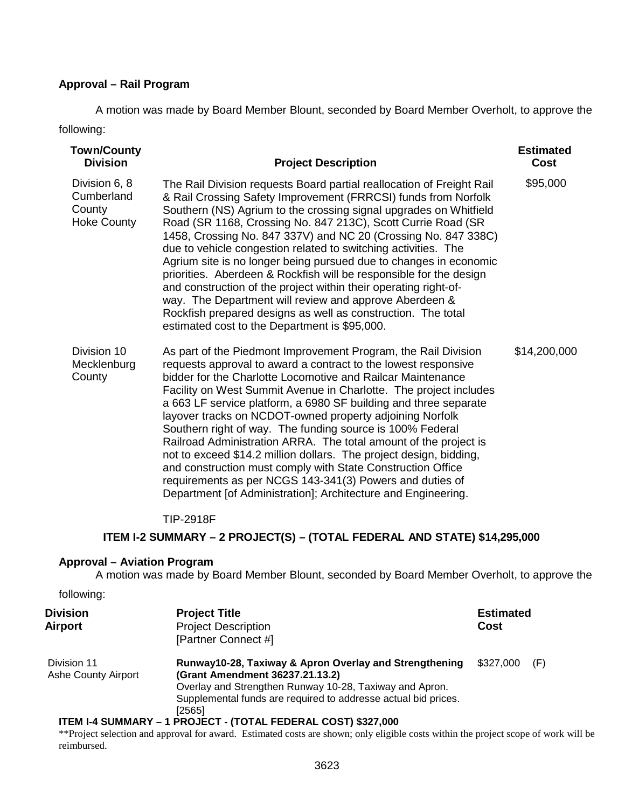## **Approval – Rail Program**

A motion was made by Board Member Blount, seconded by Board Member Overholt, to approve the following:

| <b>Town/County</b><br><b>Division</b>                       | <b>Project Description</b>                                                                                                                                                                                                                                                                                                                                                                                                                                                                                                                                                                                                                                                                                                                                                                                 | <b>Estimated</b><br>Cost |
|-------------------------------------------------------------|------------------------------------------------------------------------------------------------------------------------------------------------------------------------------------------------------------------------------------------------------------------------------------------------------------------------------------------------------------------------------------------------------------------------------------------------------------------------------------------------------------------------------------------------------------------------------------------------------------------------------------------------------------------------------------------------------------------------------------------------------------------------------------------------------------|--------------------------|
| Division 6, 8<br>Cumberland<br>County<br><b>Hoke County</b> | The Rail Division requests Board partial reallocation of Freight Rail<br>& Rail Crossing Safety Improvement (FRRCSI) funds from Norfolk<br>Southern (NS) Agrium to the crossing signal upgrades on Whitfield<br>Road (SR 1168, Crossing No. 847 213C), Scott Currie Road (SR<br>1458, Crossing No. 847 337V) and NC 20 (Crossing No. 847 338C)<br>due to vehicle congestion related to switching activities. The<br>Agrium site is no longer being pursued due to changes in economic<br>priorities. Aberdeen & Rockfish will be responsible for the design<br>and construction of the project within their operating right-of-<br>way. The Department will review and approve Aberdeen &<br>Rockfish prepared designs as well as construction. The total<br>estimated cost to the Department is \$95,000. | \$95,000                 |
| Division 10<br>Mecklenburg<br>County                        | As part of the Piedmont Improvement Program, the Rail Division<br>requests approval to award a contract to the lowest responsive<br>bidder for the Charlotte Locomotive and Railcar Maintenance<br>Facility on West Summit Avenue in Charlotte. The project includes<br>a 663 LF service platform, a 6980 SF building and three separate<br>layover tracks on NCDOT-owned property adjoining Norfolk<br>Southern right of way. The funding source is 100% Federal<br>Railroad Administration ARRA. The total amount of the project is<br>not to exceed \$14.2 million dollars. The project design, bidding,<br>and construction must comply with State Construction Office<br>requirements as per NCGS 143-341(3) Powers and duties of<br>Department [of Administration]; Architecture and Engineering.    | \$14,200,000             |

## TIP-2918F

## **ITEM I-2 SUMMARY – 2 PROJECT(S) – (TOTAL FEDERAL AND STATE) \$14,295,000**

## **Approval – Aviation Program**

A motion was made by Board Member Blount, seconded by Board Member Overholt, to approve the

#### following:

| <b>Division</b><br><b>Airport</b>         | <b>Project Title</b><br><b>Project Description</b><br>[Partner Connect #]                                                                                                                                                        | <b>Estimated</b><br>Cost |     |
|-------------------------------------------|----------------------------------------------------------------------------------------------------------------------------------------------------------------------------------------------------------------------------------|--------------------------|-----|
| Division 11<br><b>Ashe County Airport</b> | Runway10-28, Taxiway & Apron Overlay and Strengthening<br>(Grant Amendment 36237.21.13.2)<br>Overlay and Strengthen Runway 10-28, Taxiway and Apron.<br>Supplemental funds are required to addresse actual bid prices.<br>[2565] | \$327,000                | (F) |
|                                           | ITEM I-4 SUMMARY - 1 PROJECT - (TOTAL FEDERAL COST) \$327,000                                                                                                                                                                    |                          |     |

#### \*\*Project selection and approval for award. Estimated costs are shown; only eligible costs within the project scope of work will be reimbursed.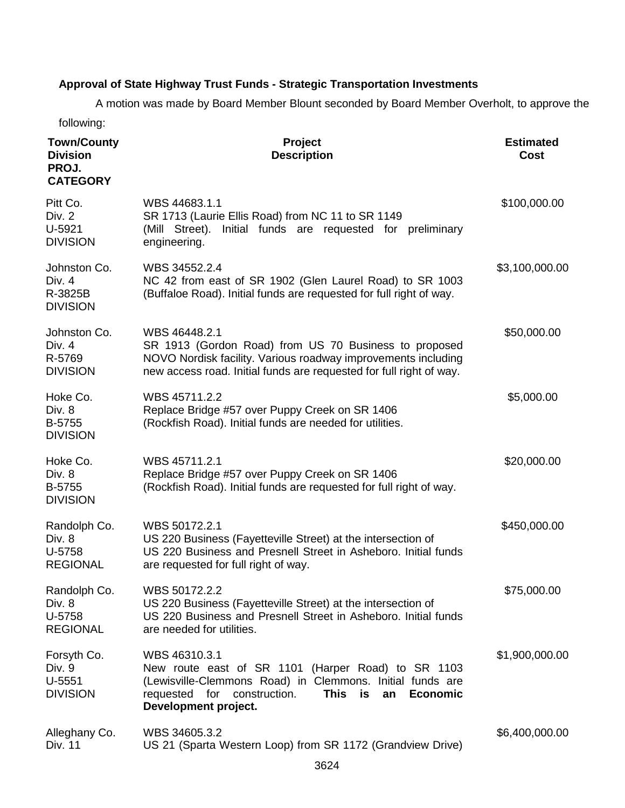# **Approval of State Highway Trust Funds - Strategic Transportation Investments**

A motion was made by Board Member Blount seconded by Board Member Overholt, to approve the

following:

| <b>Town/County</b><br><b>Division</b><br>PROJ.<br><b>CATEGORY</b> | <b>Project</b><br><b>Description</b>                                                                                                                                                                                                  | <b>Estimated</b><br><b>Cost</b> |
|-------------------------------------------------------------------|---------------------------------------------------------------------------------------------------------------------------------------------------------------------------------------------------------------------------------------|---------------------------------|
| Pitt Co.<br>Div. 2<br>U-5921<br><b>DIVISION</b>                   | WBS 44683.1.1<br>SR 1713 (Laurie Ellis Road) from NC 11 to SR 1149<br>Initial funds are requested for<br>(Mill Street).<br>preliminary<br>engineering.                                                                                | \$100,000.00                    |
| Johnston Co.<br>Div. 4<br>R-3825B<br><b>DIVISION</b>              | WBS 34552.2.4<br>NC 42 from east of SR 1902 (Glen Laurel Road) to SR 1003<br>(Buffaloe Road). Initial funds are requested for full right of way.                                                                                      | \$3,100,000.00                  |
| Johnston Co.<br>Div. 4<br>R-5769<br><b>DIVISION</b>               | WBS 46448.2.1<br>SR 1913 (Gordon Road) from US 70 Business to proposed<br>NOVO Nordisk facility. Various roadway improvements including<br>new access road. Initial funds are requested for full right of way.                        | \$50,000.00                     |
| Hoke Co.<br>Div. 8<br>B-5755<br><b>DIVISION</b>                   | WBS 45711.2.2<br>Replace Bridge #57 over Puppy Creek on SR 1406<br>(Rockfish Road). Initial funds are needed for utilities.                                                                                                           | \$5,000.00                      |
| Hoke Co.<br>Div. 8<br>B-5755<br><b>DIVISION</b>                   | WBS 45711.2.1<br>Replace Bridge #57 over Puppy Creek on SR 1406<br>(Rockfish Road). Initial funds are requested for full right of way.                                                                                                | \$20,000.00                     |
| Randolph Co.<br>Div. 8<br>U-5758<br><b>REGIONAL</b>               | WBS 50172.2.1<br>US 220 Business (Fayetteville Street) at the intersection of<br>US 220 Business and Presnell Street in Asheboro. Initial funds<br>are requested for full right of way.                                               | \$450,000.00                    |
| Randolph Co.<br>Div. 8<br>U-5758<br><b>REGIONAL</b>               | WBS 50172.2.2<br>US 220 Business (Fayetteville Street) at the intersection of<br>US 220 Business and Presnell Street in Asheboro, Initial funds<br>are needed for utilities.                                                          | \$75,000.00                     |
| Forsyth Co.<br>Div. 9<br>$U-5551$<br><b>DIVISION</b>              | WBS 46310.3.1<br>New route east of SR 1101 (Harper Road) to SR 1103<br>(Lewisville-Clemmons Road) in Clemmons. Initial funds are<br><b>This</b><br>requested for construction.<br>is<br><b>Economic</b><br>an<br>Development project. | \$1,900,000.00                  |
| Alleghany Co.<br>Div. 11                                          | WBS 34605.3.2<br>US 21 (Sparta Western Loop) from SR 1172 (Grandview Drive)                                                                                                                                                           | \$6,400,000.00                  |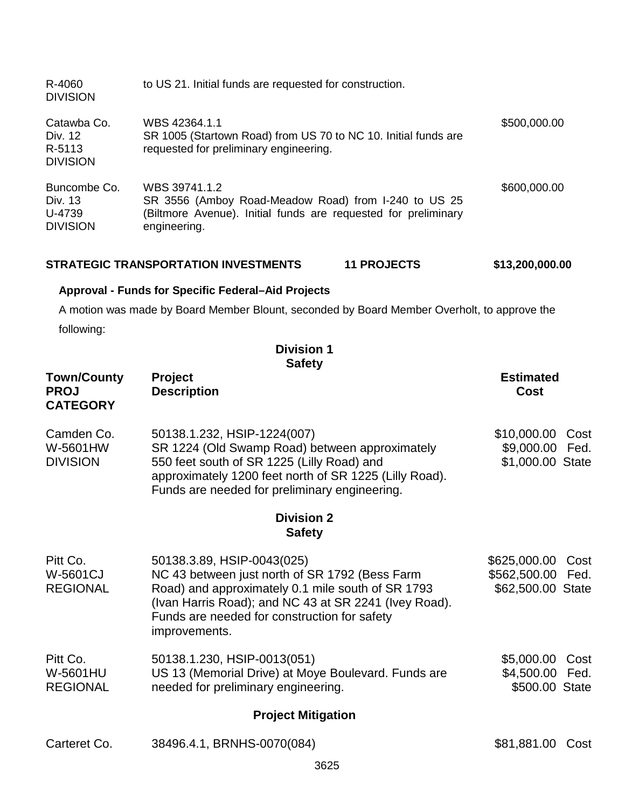| R-4060<br><b>DIVISION</b>                            | to US 21. Initial funds are requested for construction.                                                                                                 |              |
|------------------------------------------------------|---------------------------------------------------------------------------------------------------------------------------------------------------------|--------------|
| Catawba Co.<br>Div. 12<br>R-5113<br><b>DIVISION</b>  | WBS 42364.1.1<br>SR 1005 (Startown Road) from US 70 to NC 10. Initial funds are<br>requested for preliminary engineering.                               | \$500,000.00 |
| Buncombe Co.<br>Div. 13<br>U-4739<br><b>DIVISION</b> | WBS 39741.1.2<br>SR 3556 (Amboy Road-Meadow Road) from I-240 to US 25<br>(Biltmore Avenue). Initial funds are requested for preliminary<br>engineering. | \$600,000.00 |

| <b>STRATEGIC TRANSPORTATION INVESTMENTS</b> | <b>11 PROJECTS</b> | \$13,200,000.00 |
|---------------------------------------------|--------------------|-----------------|
|---------------------------------------------|--------------------|-----------------|

# **Approval - Funds for Specific Federal–Aid Projects**

A motion was made by Board Member Blount, seconded by Board Member Overholt, to approve the

following:

**Division 1 Safety**

| <b>Town/County</b><br><b>PROJ</b><br><b>CATEGORY</b> | Project<br><b>Description</b>                                                                                                                                                                                                                               | <b>Estimated</b><br><b>Cost</b>                                |  |  |  |  |
|------------------------------------------------------|-------------------------------------------------------------------------------------------------------------------------------------------------------------------------------------------------------------------------------------------------------------|----------------------------------------------------------------|--|--|--|--|
| Camden Co.<br>W-5601HW<br><b>DIVISION</b>            | 50138.1.232, HSIP-1224(007)<br>SR 1224 (Old Swamp Road) between approximately<br>550 feet south of SR 1225 (Lilly Road) and<br>approximately 1200 feet north of SR 1225 (Lilly Road).<br>Funds are needed for preliminary engineering.                      | \$10,000.00<br>Cost<br>\$9,000.00<br>Fed.<br>\$1,000.00 State  |  |  |  |  |
|                                                      | <b>Division 2</b><br><b>Safety</b>                                                                                                                                                                                                                          |                                                                |  |  |  |  |
| Pitt Co.<br>W-5601CJ<br><b>REGIONAL</b>              | 50138.3.89, HSIP-0043(025)<br>NC 43 between just north of SR 1792 (Bess Farm<br>Road) and approximately 0.1 mile south of SR 1793<br>(Ivan Harris Road); and NC 43 at SR 2241 (Ivey Road).<br>Funds are needed for construction for safety<br>improvements. | \$625,000.00<br>Cost<br>\$562,500.00 Fed.<br>\$62,500.00 State |  |  |  |  |
| Pitt Co.<br>W-5601HU<br><b>REGIONAL</b>              | 50138.1.230, HSIP-0013(051)<br>US 13 (Memorial Drive) at Moye Boulevard. Funds are<br>needed for preliminary engineering.                                                                                                                                   | \$5,000.00<br>Cost<br>\$4,500.00 Fed.<br>\$500.00 State        |  |  |  |  |
|                                                      | <b>Project Mitigation</b>                                                                                                                                                                                                                                   |                                                                |  |  |  |  |
| Carteret Co.                                         | 38496.4.1, BRNHS-0070(084)                                                                                                                                                                                                                                  | \$81,881.00 Cost                                               |  |  |  |  |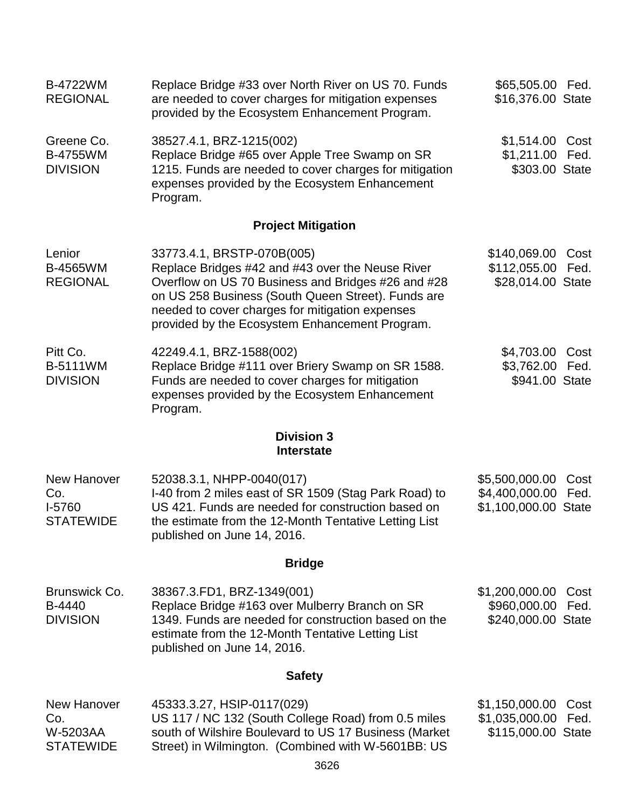| <b>B-4722WM</b><br><b>REGIONAL</b>                        | Replace Bridge #33 over North River on US 70. Funds<br>are needed to cover charges for mitigation expenses<br>provided by the Ecosystem Enhancement Program.                                                                                                                                    | \$65,505.00 Fed.<br>\$16,376.00 State                    |              |  |  |
|-----------------------------------------------------------|-------------------------------------------------------------------------------------------------------------------------------------------------------------------------------------------------------------------------------------------------------------------------------------------------|----------------------------------------------------------|--------------|--|--|
| Greene Co.<br><b>B-4755WM</b><br><b>DIVISION</b>          | 38527.4.1, BRZ-1215(002)<br>Replace Bridge #65 over Apple Tree Swamp on SR<br>1215. Funds are needed to cover charges for mitigation<br>expenses provided by the Ecosystem Enhancement<br>Program.                                                                                              | \$1,514.00 Cost<br>\$1,211.00 Fed.<br>\$303.00 State     |              |  |  |
|                                                           | <b>Project Mitigation</b>                                                                                                                                                                                                                                                                       |                                                          |              |  |  |
| Lenior<br><b>B-4565WM</b><br><b>REGIONAL</b>              | 33773.4.1, BRSTP-070B(005)<br>Replace Bridges #42 and #43 over the Neuse River<br>Overflow on US 70 Business and Bridges #26 and #28<br>on US 258 Business (South Queen Street). Funds are<br>needed to cover charges for mitigation expenses<br>provided by the Ecosystem Enhancement Program. | \$140,069.00<br>\$112,055.00<br>\$28,014.00 State        | Cost<br>Fed. |  |  |
| Pitt Co.<br><b>B-5111WM</b><br><b>DIVISION</b>            | 42249.4.1, BRZ-1588(002)<br>Replace Bridge #111 over Briery Swamp on SR 1588.<br>Funds are needed to cover charges for mitigation<br>expenses provided by the Ecosystem Enhancement<br>Program.                                                                                                 | \$4,703.00<br>\$3,762.00<br>\$941.00 State               | Cost<br>Fed. |  |  |
|                                                           | <b>Division 3</b><br><b>Interstate</b>                                                                                                                                                                                                                                                          |                                                          |              |  |  |
| <b>New Hanover</b><br>Co.<br>I-5760<br><b>STATEWIDE</b>   | 52038.3.1, NHPP-0040(017)<br>I-40 from 2 miles east of SR 1509 (Stag Park Road) to<br>US 421. Funds are needed for construction based on<br>the estimate from the 12-Month Tentative Letting List<br>published on June 14, 2016.                                                                | \$5,500,000.00<br>\$4,400,000.00<br>\$1,100,000.00 State | Cost<br>Fed. |  |  |
|                                                           | <b>Bridge</b>                                                                                                                                                                                                                                                                                   |                                                          |              |  |  |
| Brunswick Co.<br>B-4440<br><b>DIVISION</b>                | 38367.3.FD1, BRZ-1349(001)<br>Replace Bridge #163 over Mulberry Branch on SR<br>1349. Funds are needed for construction based on the<br>estimate from the 12-Month Tentative Letting List<br>published on June 14, 2016.                                                                        | \$1,200,000.00<br>\$960,000.00<br>\$240,000.00 State     | Cost<br>Fed. |  |  |
| <b>Safety</b>                                             |                                                                                                                                                                                                                                                                                                 |                                                          |              |  |  |
| <b>New Hanover</b><br>Co.<br>W-5203AA<br><b>STATEWIDE</b> | 45333.3.27, HSIP-0117(029)<br>US 117 / NC 132 (South College Road) from 0.5 miles<br>south of Wilshire Boulevard to US 17 Business (Market<br>Street) in Wilmington. (Combined with W-5601BB: US                                                                                                | \$1,150,000.00<br>\$1,035,000.00<br>\$115,000.00 State   | Cost<br>Fed. |  |  |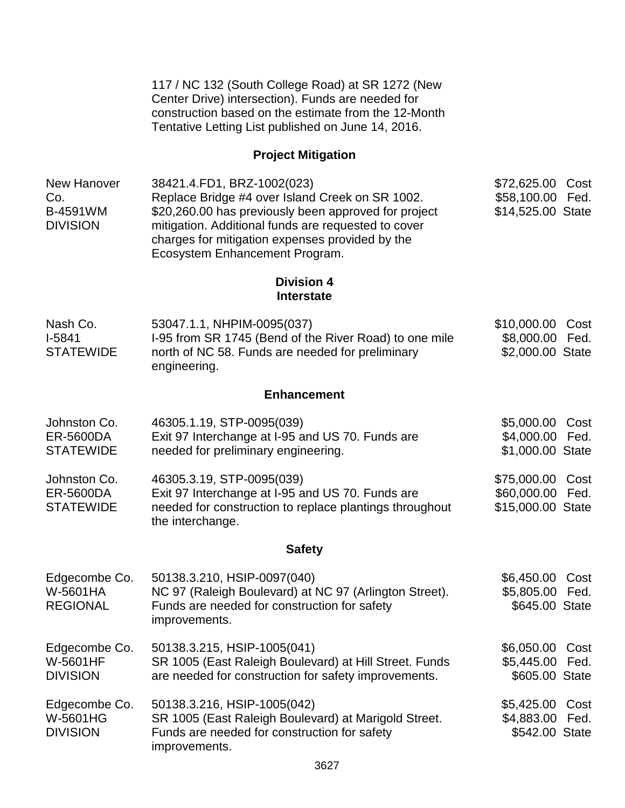117 / NC 132 (South College Road) at SR 1272 (New Center Drive) intersection). Funds are needed for construction based on the estimate from the 12-Month Tentative Letting List published on June 14, 2016.

# **Project Mitigation**

| New Hanover     | 38421.4.FD1, BRZ-1002(023)                           | \$72,625.00 Cost  |  |
|-----------------|------------------------------------------------------|-------------------|--|
| Co.             | Replace Bridge #4 over Island Creek on SR 1002.      | \$58,100.00 Fed.  |  |
| B-4591WM        | \$20,260.00 has previously been approved for project | \$14,525.00 State |  |
| <b>DIVISION</b> | mitigation. Additional funds are requested to cover  |                   |  |
|                 | charges for mitigation expenses provided by the      |                   |  |
|                 | Ecosystem Enhancement Program.                       |                   |  |

## **Division 4 Interstate**

| Nash Co.         | 53047.1.1, NHPIM-0095(037)                             | \$10,000.00 Cost |  |
|------------------|--------------------------------------------------------|------------------|--|
| l-5841           | 1-95 from SR 1745 (Bend of the River Road) to one mile | \$8,000.00 Fed.  |  |
| <b>STATEWIDE</b> | north of NC 58. Funds are needed for preliminary       | \$2,000.00 State |  |
|                  | engineering.                                           |                  |  |

# **Enhancement**

| Johnston Co.     | 46305.1.19, STP-0095(039)                                                   | \$5,000.00 Cost   |  |
|------------------|-----------------------------------------------------------------------------|-------------------|--|
| ER-5600DA        | Exit 97 Interchange at I-95 and US 70. Funds are                            | \$4,000.00 Fed.   |  |
| <b>STATEWIDE</b> | needed for preliminary engineering.                                         | \$1,000.00 State  |  |
| Johnston Co.     | 46305.3.19, STP-0095(039)                                                   | \$75,000.00 Cost  |  |
| ER-5600DA        | Exit 97 Interchange at I-95 and US 70. Funds are                            | \$60,000.00 Fed.  |  |
| <b>STATEWIDE</b> | needed for construction to replace plantings throughout<br>the interchange. | \$15,000.00 State |  |

# **Safety**

| Edgecombe Co.<br>W-5601HA<br><b>REGIONAL</b>        | 50138.3.210, HSIP-0097(040)<br>NC 97 (Raleigh Boulevard) at NC 97 (Arlington Street).<br>Funds are needed for construction for safety<br>improvements. | \$6,450.00<br>\$5,805.00 Fed.<br>\$645.00 State      | Cost |
|-----------------------------------------------------|--------------------------------------------------------------------------------------------------------------------------------------------------------|------------------------------------------------------|------|
| Edgecombe Co.<br><b>W-5601HF</b><br><b>DIVISION</b> | 50138.3.215, HSIP-1005(041)<br>SR 1005 (East Raleigh Boulevard) at Hill Street. Funds<br>are needed for construction for safety improvements.          | \$6,050.00 Cost<br>\$5,445.00 Fed.<br>\$605.00 State |      |
| Edgecombe Co.<br><b>W-5601HG</b><br><b>DIVISION</b> | 50138.3.216, HSIP-1005(042)<br>SR 1005 (East Raleigh Boulevard) at Marigold Street.<br>Funds are needed for construction for safety<br>improvements.   | \$5,425.00<br>\$4,883.00 Fed.<br>\$542.00 State      | Cost |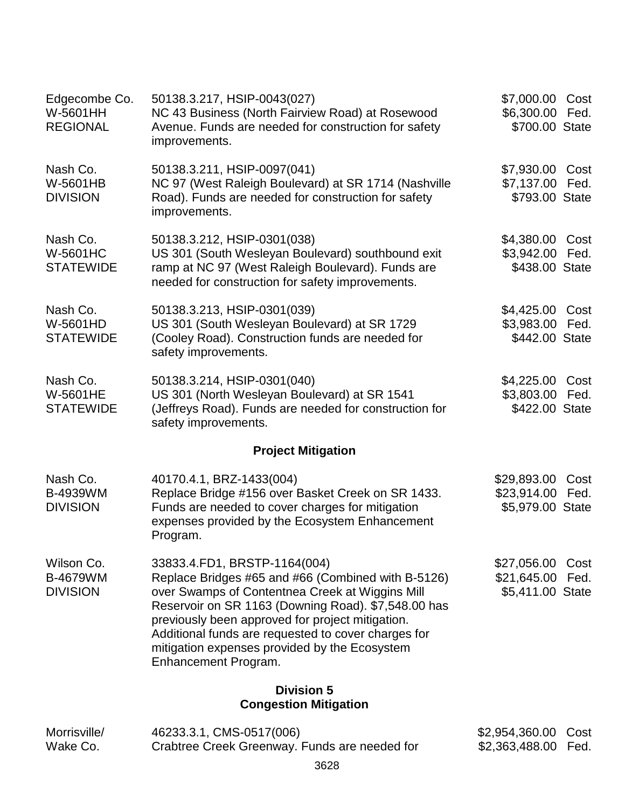| Edgecombe Co.<br>W-5601HH<br><b>REGIONAL</b>     | 50138.3.217, HSIP-0043(027)<br>NC 43 Business (North Fairview Road) at Rosewood<br>Avenue. Funds are needed for construction for safety<br>improvements.                                                                                                                                                                                                                         | \$7,000.00<br>\$6,300.00<br>\$700.00 State     | Cost<br>Fed. |
|--------------------------------------------------|----------------------------------------------------------------------------------------------------------------------------------------------------------------------------------------------------------------------------------------------------------------------------------------------------------------------------------------------------------------------------------|------------------------------------------------|--------------|
| Nash Co.<br>W-5601HB<br><b>DIVISION</b>          | 50138.3.211, HSIP-0097(041)<br>NC 97 (West Raleigh Boulevard) at SR 1714 (Nashville<br>Road). Funds are needed for construction for safety<br>improvements.                                                                                                                                                                                                                      | \$7,930.00<br>\$7,137.00<br>\$793.00 State     | Cost<br>Fed. |
| Nash Co.<br><b>W-5601HC</b><br><b>STATEWIDE</b>  | 50138.3.212, HSIP-0301(038)<br>US 301 (South Wesleyan Boulevard) southbound exit<br>ramp at NC 97 (West Raleigh Boulevard). Funds are<br>needed for construction for safety improvements.                                                                                                                                                                                        | \$4,380.00<br>\$3,942.00<br>\$438.00 State     | Cost<br>Fed. |
| Nash Co.<br>W-5601HD<br><b>STATEWIDE</b>         | 50138.3.213, HSIP-0301(039)<br>US 301 (South Wesleyan Boulevard) at SR 1729<br>(Cooley Road). Construction funds are needed for<br>safety improvements.                                                                                                                                                                                                                          | \$4,425.00<br>\$3,983.00<br>\$442.00 State     | Cost<br>Fed. |
| Nash Co.<br><b>W-5601HE</b><br><b>STATEWIDE</b>  | 50138.3.214, HSIP-0301(040)<br>US 301 (North Wesleyan Boulevard) at SR 1541<br>(Jeffreys Road). Funds are needed for construction for<br>safety improvements.                                                                                                                                                                                                                    | \$4,225.00<br>\$3,803.00<br>\$422.00 State     | Cost<br>Fed. |
|                                                  | <b>Project Mitigation</b>                                                                                                                                                                                                                                                                                                                                                        |                                                |              |
| Nash Co.<br>B-4939WM<br><b>DIVISION</b>          | 40170.4.1, BRZ-1433(004)<br>Replace Bridge #156 over Basket Creek on SR 1433.<br>Funds are needed to cover charges for mitigation<br>expenses provided by the Ecosystem Enhancement<br>Program.                                                                                                                                                                                  | \$29,893.00<br>\$23,914.00<br>\$5,979.00 State | Cost<br>Fed. |
| Wilson Co.<br><b>B-4679WM</b><br><b>DIVISION</b> | 33833.4.FD1, BRSTP-1164(004)<br>Replace Bridges #65 and #66 (Combined with B-5126)<br>over Swamps of Contentnea Creek at Wiggins Mill<br>Reservoir on SR 1163 (Downing Road). \$7,548.00 has<br>previously been approved for project mitigation.<br>Additional funds are requested to cover charges for<br>mitigation expenses provided by the Ecosystem<br>Enhancement Program. | \$27,056.00<br>\$21,645.00<br>\$5,411.00 State | Cost<br>Fed. |
|                                                  | <b>Division 5</b><br><b>Congestion Mitigation</b>                                                                                                                                                                                                                                                                                                                                |                                                |              |
|                                                  |                                                                                                                                                                                                                                                                                                                                                                                  |                                                |              |

| Morrisville/ | 46233.3.1, CMS-0517(006)                      | \$2,954,360.00 Cost |  |
|--------------|-----------------------------------------------|---------------------|--|
| Wake Co.     | Crabtree Creek Greenway. Funds are needed for | \$2,363,488.00 Fed. |  |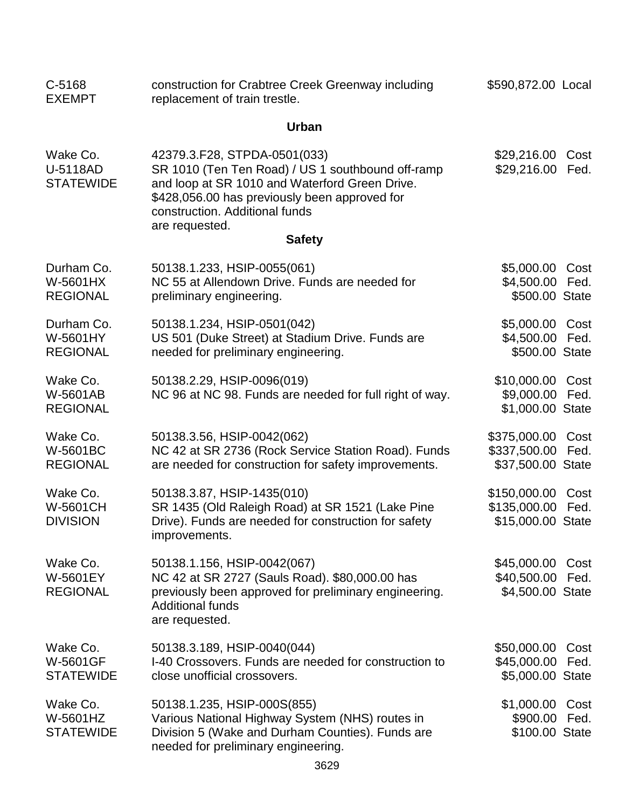| C-5168<br><b>EXEMPT</b>                         | construction for Crabtree Creek Greenway including<br>replacement of train trestle.                                                                                                                                                      | \$590,872.00 Local                                |              |
|-------------------------------------------------|------------------------------------------------------------------------------------------------------------------------------------------------------------------------------------------------------------------------------------------|---------------------------------------------------|--------------|
|                                                 | <b>Urban</b>                                                                                                                                                                                                                             |                                                   |              |
| Wake Co.<br>U-5118AD<br><b>STATEWIDE</b>        | 42379.3.F28, STPDA-0501(033)<br>SR 1010 (Ten Ten Road) / US 1 southbound off-ramp<br>and loop at SR 1010 and Waterford Green Drive.<br>\$428,056.00 has previously been approved for<br>construction. Additional funds<br>are requested. | \$29,216.00<br>\$29,216.00                        | Cost<br>Fed. |
|                                                 | <b>Safety</b>                                                                                                                                                                                                                            |                                                   |              |
| Durham Co.<br>W-5601HX<br><b>REGIONAL</b>       | 50138.1.233, HSIP-0055(061)<br>NC 55 at Allendown Drive. Funds are needed for<br>preliminary engineering.                                                                                                                                | \$5,000.00<br>\$4,500.00<br>\$500.00 State        | Cost<br>Fed. |
| Durham Co.<br>W-5601HY<br><b>REGIONAL</b>       | 50138.1.234, HSIP-0501(042)<br>US 501 (Duke Street) at Stadium Drive. Funds are<br>needed for preliminary engineering.                                                                                                                   | \$5,000.00<br>\$4,500.00<br>\$500.00 State        | Cost<br>Fed. |
| Wake Co.<br>W-5601AB<br><b>REGIONAL</b>         | 50138.2.29, HSIP-0096(019)<br>NC 96 at NC 98. Funds are needed for full right of way.                                                                                                                                                    | \$10,000.00<br>\$9,000.00<br>\$1,000.00 State     | Cost<br>Fed. |
| Wake Co.<br>W-5601BC<br><b>REGIONAL</b>         | 50138.3.56, HSIP-0042(062)<br>NC 42 at SR 2736 (Rock Service Station Road). Funds<br>are needed for construction for safety improvements.                                                                                                | \$375,000.00<br>\$337,500.00<br>\$37,500.00 State | Cost<br>Fed. |
| Wake Co.<br>W-5601CH<br><b>DIVISION</b>         | 50138.3.87, HSIP-1435(010)<br>SR 1435 (Old Raleigh Road) at SR 1521 (Lake Pine<br>Drive). Funds are needed for construction for safety<br>improvements.                                                                                  | \$150,000.00<br>\$135,000.00<br>\$15,000.00 State | Cost<br>Fed. |
| Wake Co.<br>W-5601EY<br><b>REGIONAL</b>         | 50138.1.156, HSIP-0042(067)<br>NC 42 at SR 2727 (Sauls Road). \$80,000.00 has<br>previously been approved for preliminary engineering.<br><b>Additional funds</b><br>are requested.                                                      | \$45,000.00<br>\$40,500.00<br>\$4,500.00 State    | Cost<br>Fed. |
| Wake Co.<br><b>W-5601GF</b><br><b>STATEWIDE</b> | 50138.3.189, HSIP-0040(044)<br>I-40 Crossovers. Funds are needed for construction to<br>close unofficial crossovers.                                                                                                                     | \$50,000.00<br>\$45,000.00<br>\$5,000.00 State    | Cost<br>Fed. |
| Wake Co.<br>W-5601HZ<br><b>STATEWIDE</b>        | 50138.1.235, HSIP-000S(855)<br>Various National Highway System (NHS) routes in<br>Division 5 (Wake and Durham Counties). Funds are<br>needed for preliminary engineering.                                                                | \$1,000.00<br>\$900.00<br>\$100.00 State          | Cost<br>Fed. |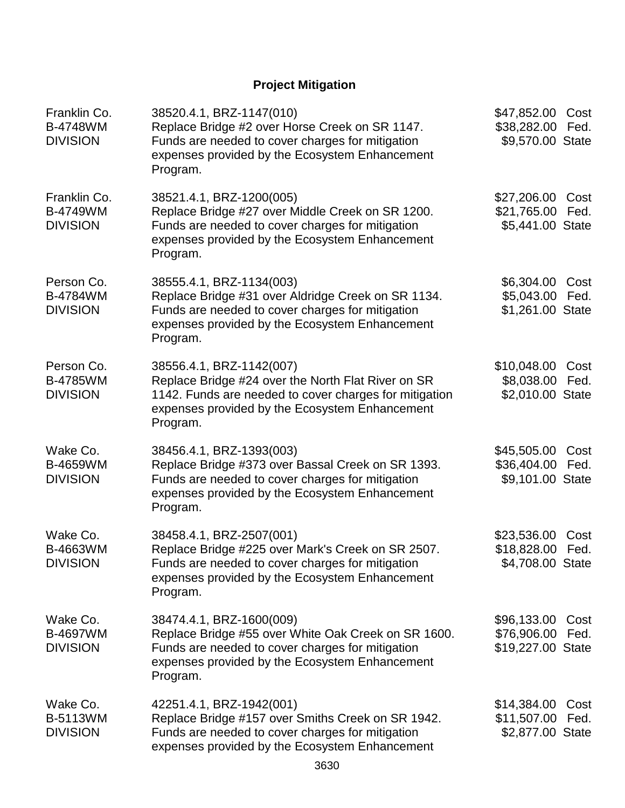# **Project Mitigation**

| Franklin Co.<br><b>B-4748WM</b><br><b>DIVISION</b> | 38520.4.1, BRZ-1147(010)<br>Replace Bridge #2 over Horse Creek on SR 1147.<br>Funds are needed to cover charges for mitigation<br>expenses provided by the Ecosystem Enhancement<br>Program.           | \$47,852.00 Cost<br>\$38,282.00 Fed.<br>\$9,570.00 State |              |
|----------------------------------------------------|--------------------------------------------------------------------------------------------------------------------------------------------------------------------------------------------------------|----------------------------------------------------------|--------------|
| Franklin Co.<br><b>B-4749WM</b><br><b>DIVISION</b> | 38521.4.1, BRZ-1200(005)<br>Replace Bridge #27 over Middle Creek on SR 1200.<br>Funds are needed to cover charges for mitigation<br>expenses provided by the Ecosystem Enhancement<br>Program.         | \$27,206.00 Cost<br>\$21,765.00 Fed.<br>\$5,441.00 State |              |
| Person Co.<br><b>B-4784WM</b><br><b>DIVISION</b>   | 38555.4.1, BRZ-1134(003)<br>Replace Bridge #31 over Aldridge Creek on SR 1134.<br>Funds are needed to cover charges for mitigation<br>expenses provided by the Ecosystem Enhancement<br>Program.       | \$6,304.00<br>\$5,043.00 Fed.<br>\$1,261.00 State        | Cost         |
| Person Co.<br><b>B-4785WM</b><br><b>DIVISION</b>   | 38556.4.1, BRZ-1142(007)<br>Replace Bridge #24 over the North Flat River on SR<br>1142. Funds are needed to cover charges for mitigation<br>expenses provided by the Ecosystem Enhancement<br>Program. | \$10,048.00 Cost<br>\$8,038.00 Fed.<br>\$2,010.00 State  |              |
| Wake Co.<br><b>B-4659WM</b><br><b>DIVISION</b>     | 38456.4.1, BRZ-1393(003)<br>Replace Bridge #373 over Bassal Creek on SR 1393.<br>Funds are needed to cover charges for mitigation<br>expenses provided by the Ecosystem Enhancement<br>Program.        | \$45,505.00 Cost<br>\$36,404.00 Fed.<br>\$9,101.00 State |              |
| Wake Co.<br>B-4663WM<br><b>DIVISION</b>            | 38458.4.1, BRZ-2507(001)<br>Replace Bridge #225 over Mark's Creek on SR 2507.<br>Funds are needed to cover charges for mitigation<br>expenses provided by the Ecosystem Enhancement<br>Program.        | \$23,536.00<br>\$18,828.00 Fed.<br>\$4,708.00 State      | Cost         |
| Wake Co.<br><b>B-4697WM</b><br><b>DIVISION</b>     | 38474.4.1, BRZ-1600(009)<br>Replace Bridge #55 over White Oak Creek on SR 1600.<br>Funds are needed to cover charges for mitigation<br>expenses provided by the Ecosystem Enhancement<br>Program.      | \$96,133.00<br>\$76,906.00<br>\$19,227.00 State          | Cost<br>Fed. |
| Wake Co.<br><b>B-5113WM</b><br><b>DIVISION</b>     | 42251.4.1, BRZ-1942(001)<br>Replace Bridge #157 over Smiths Creek on SR 1942.<br>Funds are needed to cover charges for mitigation<br>expenses provided by the Ecosystem Enhancement                    | \$14,384.00<br>\$11,507.00<br>\$2,877.00 State           | Cost<br>Fed. |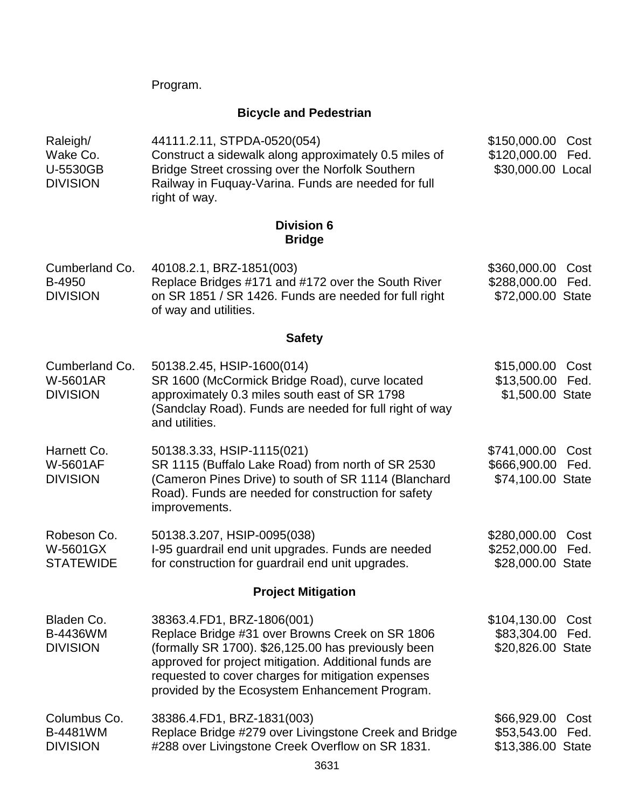Program.

# **Bicycle and Pedestrian**

| Raleigh/<br>Wake Co.<br>U-5530GB<br><b>DIVISION</b>  | 44111.2.11, STPDA-0520(054)<br>Construct a sidewalk along approximately 0.5 miles of<br>Bridge Street crossing over the Norfolk Southern<br>Railway in Fuquay-Varina. Funds are needed for full<br>right of way.                                                                                      | \$150,000.00<br>\$120,000.00<br>\$30,000.00 Local | Cost<br>Fed. |
|------------------------------------------------------|-------------------------------------------------------------------------------------------------------------------------------------------------------------------------------------------------------------------------------------------------------------------------------------------------------|---------------------------------------------------|--------------|
|                                                      | <b>Division 6</b><br><b>Bridge</b>                                                                                                                                                                                                                                                                    |                                                   |              |
| Cumberland Co.<br>B-4950<br><b>DIVISION</b>          | 40108.2.1, BRZ-1851(003)<br>Replace Bridges #171 and #172 over the South River<br>on SR 1851 / SR 1426. Funds are needed for full right<br>of way and utilities.                                                                                                                                      | \$360,000.00<br>\$288,000.00<br>\$72,000.00 State | Cost<br>Fed. |
|                                                      | <b>Safety</b>                                                                                                                                                                                                                                                                                         |                                                   |              |
| Cumberland Co.<br><b>W-5601AR</b><br><b>DIVISION</b> | 50138.2.45, HSIP-1600(014)<br>SR 1600 (McCormick Bridge Road), curve located<br>approximately 0.3 miles south east of SR 1798<br>(Sandclay Road). Funds are needed for full right of way<br>and utilities.                                                                                            | \$15,000.00<br>\$13,500.00<br>\$1,500.00 State    | Cost<br>Fed. |
| Harnett Co.<br><b>W-5601AF</b><br><b>DIVISION</b>    | 50138.3.33, HSIP-1115(021)<br>SR 1115 (Buffalo Lake Road) from north of SR 2530<br>(Cameron Pines Drive) to south of SR 1114 (Blanchard<br>Road). Funds are needed for construction for safety<br>improvements.                                                                                       | \$741,000.00<br>\$666,900.00<br>\$74,100.00 State | Cost<br>Fed. |
| Robeson Co.<br>W-5601GX<br><b>STATEWIDE</b>          | 50138.3.207, HSIP-0095(038)<br>I-95 guardrail end unit upgrades. Funds are needed<br>for construction for guardrail end unit upgrades.                                                                                                                                                                | \$280,000.00<br>\$252,000.00<br>\$28,000.00 State | Cost<br>Fed. |
|                                                      | <b>Project Mitigation</b>                                                                                                                                                                                                                                                                             |                                                   |              |
| Bladen Co.<br>B-4436WM<br><b>DIVISION</b>            | 38363.4.FD1, BRZ-1806(001)<br>Replace Bridge #31 over Browns Creek on SR 1806<br>(formally SR 1700). \$26,125.00 has previously been<br>approved for project mitigation. Additional funds are<br>requested to cover charges for mitigation expenses<br>provided by the Ecosystem Enhancement Program. | \$104,130.00<br>\$83,304.00<br>\$20,826.00 State  | Cost<br>Fed. |
| Columbus Co.<br><b>B-4481WM</b><br><b>DIVISION</b>   | 38386.4.FD1, BRZ-1831(003)<br>Replace Bridge #279 over Livingstone Creek and Bridge<br>#288 over Livingstone Creek Overflow on SR 1831.                                                                                                                                                               | \$66,929.00<br>\$53,543.00<br>\$13,386.00 State   | Cost<br>Fed. |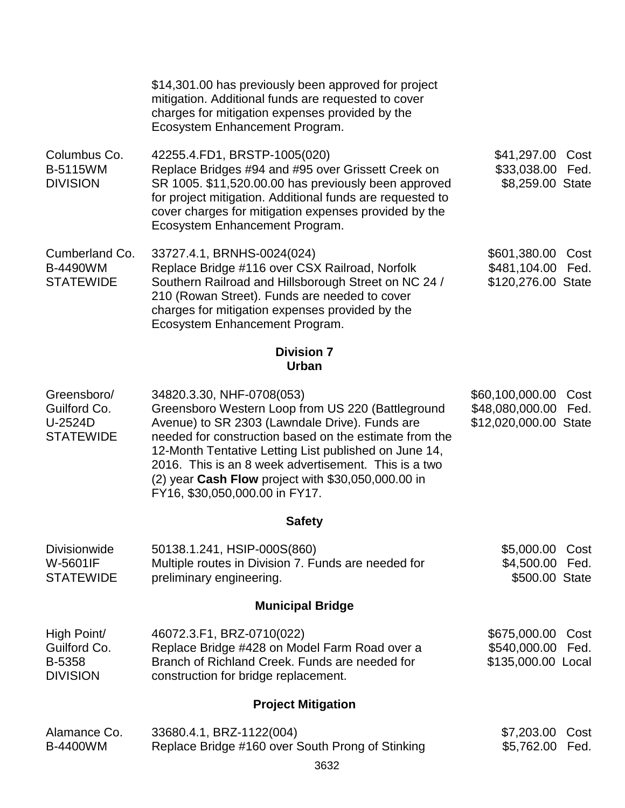|                                                            | \$14,301.00 has previously been approved for project<br>mitigation. Additional funds are requested to cover<br>charges for mitigation expenses provided by the<br>Ecosystem Enhancement Program.                                                                                                                                                                                                    |                                                             |              |
|------------------------------------------------------------|-----------------------------------------------------------------------------------------------------------------------------------------------------------------------------------------------------------------------------------------------------------------------------------------------------------------------------------------------------------------------------------------------------|-------------------------------------------------------------|--------------|
| Columbus Co.<br><b>B-5115WM</b><br><b>DIVISION</b>         | 42255.4.FD1, BRSTP-1005(020)<br>Replace Bridges #94 and #95 over Grissett Creek on<br>SR 1005. \$11,520.00.00 has previously been approved<br>for project mitigation. Additional funds are requested to<br>cover charges for mitigation expenses provided by the<br>Ecosystem Enhancement Program.                                                                                                  | \$41,297.00<br>\$33,038.00<br>\$8,259.00 State              | Cost<br>Fed. |
| Cumberland Co.<br><b>B-4490WM</b><br><b>STATEWIDE</b>      | 33727.4.1, BRNHS-0024(024)<br>Replace Bridge #116 over CSX Railroad, Norfolk<br>Southern Railroad and Hillsborough Street on NC 24 /<br>210 (Rowan Street). Funds are needed to cover<br>charges for mitigation expenses provided by the<br>Ecosystem Enhancement Program.                                                                                                                          | \$601,380.00<br>\$481,104.00<br>\$120,276.00 State          | Cost<br>Fed. |
|                                                            | <b>Division 7</b><br><b>Urban</b>                                                                                                                                                                                                                                                                                                                                                                   |                                                             |              |
| Greensboro/<br>Guilford Co.<br>U-2524D<br><b>STATEWIDE</b> | 34820.3.30, NHF-0708(053)<br>Greensboro Western Loop from US 220 (Battleground<br>Avenue) to SR 2303 (Lawndale Drive). Funds are<br>needed for construction based on the estimate from the<br>12-Month Tentative Letting List published on June 14,<br>2016. This is an 8 week advertisement. This is a two<br>(2) year Cash Flow project with \$30,050,000.00 in<br>FY16, \$30,050,000.00 in FY17. | \$60,100,000.00<br>\$48,080,000.00<br>\$12,020,000.00 State | Cost<br>Fed. |
|                                                            | <b>Safety</b>                                                                                                                                                                                                                                                                                                                                                                                       |                                                             |              |
| <b>Divisionwide</b><br><b>W-5601IF</b><br><b>STATEWIDE</b> | 50138.1.241, HSIP-000S(860)<br>Multiple routes in Division 7. Funds are needed for<br>preliminary engineering.                                                                                                                                                                                                                                                                                      | \$5,000.00<br>\$4,500.00 Fed.<br>\$500.00 State             | Cost         |
|                                                            | <b>Municipal Bridge</b>                                                                                                                                                                                                                                                                                                                                                                             |                                                             |              |
| High Point/<br>Guilford Co.<br>B-5358<br><b>DIVISION</b>   | 46072.3.F1, BRZ-0710(022)<br>Replace Bridge #428 on Model Farm Road over a<br>Branch of Richland Creek. Funds are needed for<br>construction for bridge replacement.                                                                                                                                                                                                                                | \$675,000.00<br>\$540,000.00 Fed.<br>\$135,000.00 Local     | Cost         |
|                                                            | <b>Project Mitigation</b>                                                                                                                                                                                                                                                                                                                                                                           |                                                             |              |
| Alamance Co.<br><b>B-4400WM</b>                            | 33680.4.1, BRZ-1122(004)<br>Replace Bridge #160 over South Prong of Stinking<br>3632                                                                                                                                                                                                                                                                                                                | \$7,203.00<br>\$5,762.00 Fed.                               | Cost         |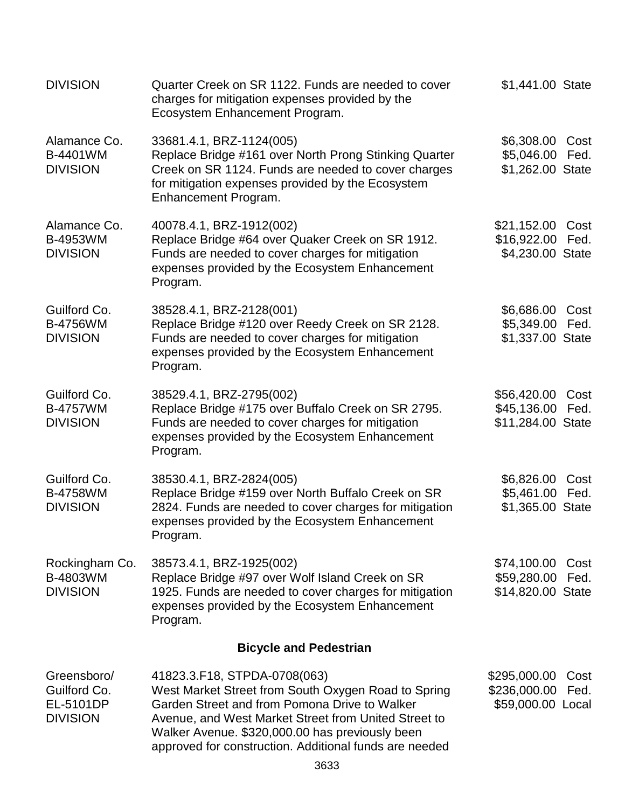| <b>DIVISION</b>                                             | Quarter Creek on SR 1122. Funds are needed to cover<br>charges for mitigation expenses provided by the<br>Ecosystem Enhancement Program.                                                                                                                                                                  | \$1,441.00 State                                  |              |
|-------------------------------------------------------------|-----------------------------------------------------------------------------------------------------------------------------------------------------------------------------------------------------------------------------------------------------------------------------------------------------------|---------------------------------------------------|--------------|
| Alamance Co.<br>B-4401WM<br><b>DIVISION</b>                 | 33681.4.1, BRZ-1124(005)<br>Replace Bridge #161 over North Prong Stinking Quarter<br>Creek on SR 1124. Funds are needed to cover charges<br>for mitigation expenses provided by the Ecosystem<br>Enhancement Program.                                                                                     | \$6,308.00<br>\$5,046.00<br>\$1,262.00 State      | Cost<br>Fed. |
| Alamance Co.<br>B-4953WM<br><b>DIVISION</b>                 | 40078.4.1, BRZ-1912(002)<br>Replace Bridge #64 over Quaker Creek on SR 1912.<br>Funds are needed to cover charges for mitigation<br>expenses provided by the Ecosystem Enhancement<br>Program.                                                                                                            | \$21,152.00<br>\$16,922.00<br>\$4,230.00 State    | Cost<br>Fed. |
| Guilford Co.<br><b>B-4756WM</b><br><b>DIVISION</b>          | 38528.4.1, BRZ-2128(001)<br>Replace Bridge #120 over Reedy Creek on SR 2128.<br>Funds are needed to cover charges for mitigation<br>expenses provided by the Ecosystem Enhancement<br>Program.                                                                                                            | \$6,686.00<br>\$5,349.00<br>\$1,337.00 State      | Cost<br>Fed. |
| Guilford Co.<br><b>B-4757WM</b><br><b>DIVISION</b>          | 38529.4.1, BRZ-2795(002)<br>Replace Bridge #175 over Buffalo Creek on SR 2795.<br>Funds are needed to cover charges for mitigation<br>expenses provided by the Ecosystem Enhancement<br>Program.                                                                                                          | \$56,420.00<br>\$45,136.00<br>\$11,284.00 State   | Cost<br>Fed. |
| Guilford Co.<br><b>B-4758WM</b><br><b>DIVISION</b>          | 38530.4.1, BRZ-2824(005)<br>Replace Bridge #159 over North Buffalo Creek on SR<br>2824. Funds are needed to cover charges for mitigation<br>expenses provided by the Ecosystem Enhancement<br>Program.                                                                                                    | \$6,826.00<br>\$5,461.00<br>\$1,365.00 State      | Cost<br>Fed. |
| Rockingham Co.<br>B-4803WM<br><b>DIVISION</b>               | 38573.4.1, BRZ-1925(002)<br>Replace Bridge #97 over Wolf Island Creek on SR<br>1925. Funds are needed to cover charges for mitigation<br>expenses provided by the Ecosystem Enhancement<br>Program.                                                                                                       | \$74,100.00<br>\$59,280.00<br>\$14,820.00 State   | Cost<br>Fed. |
|                                                             | <b>Bicycle and Pedestrian</b>                                                                                                                                                                                                                                                                             |                                                   |              |
| Greensboro/<br>Guilford Co.<br>EL-5101DP<br><b>DIVISION</b> | 41823.3.F18, STPDA-0708(063)<br>West Market Street from South Oxygen Road to Spring<br>Garden Street and from Pomona Drive to Walker<br>Avenue, and West Market Street from United Street to<br>Walker Avenue. \$320,000.00 has previously been<br>approved for construction. Additional funds are needed | \$295,000.00<br>\$236,000.00<br>\$59,000.00 Local | Cost<br>Fed. |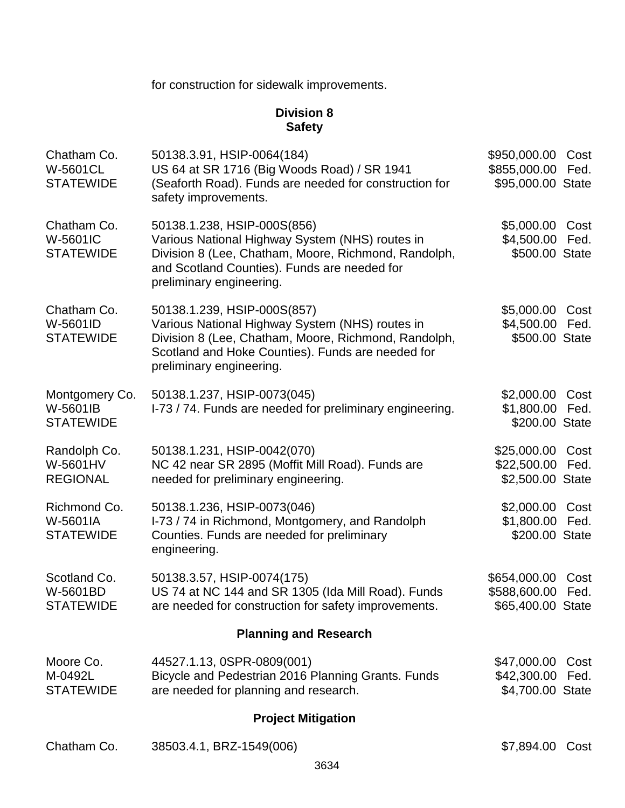for construction for sidewalk improvements.

# **Division 8 Safety**

| Chatham Co.<br>W-5601CL<br><b>STATEWIDE</b>    | 50138.3.91, HSIP-0064(184)<br>US 64 at SR 1716 (Big Woods Road) / SR 1941<br>(Seaforth Road). Funds are needed for construction for<br>safety improvements.                                                             | \$950,000.00<br>\$855,000.00<br>\$95,000.00 State | Cost<br>Fed. |
|------------------------------------------------|-------------------------------------------------------------------------------------------------------------------------------------------------------------------------------------------------------------------------|---------------------------------------------------|--------------|
| Chatham Co.<br>W-5601IC<br><b>STATEWIDE</b>    | 50138.1.238, HSIP-000S(856)<br>Various National Highway System (NHS) routes in<br>Division 8 (Lee, Chatham, Moore, Richmond, Randolph,<br>and Scotland Counties). Funds are needed for<br>preliminary engineering.      | \$5,000.00<br>\$4,500.00<br>\$500.00 State        | Cost<br>Fed. |
| Chatham Co.<br>W-5601ID<br><b>STATEWIDE</b>    | 50138.1.239, HSIP-000S(857)<br>Various National Highway System (NHS) routes in<br>Division 8 (Lee, Chatham, Moore, Richmond, Randolph,<br>Scotland and Hoke Counties). Funds are needed for<br>preliminary engineering. | \$5,000.00<br>\$4,500.00<br>\$500.00 State        | Cost<br>Fed. |
| Montgomery Co.<br>W-5601IB<br><b>STATEWIDE</b> | 50138.1.237, HSIP-0073(045)<br>I-73 / 74. Funds are needed for preliminary engineering.                                                                                                                                 | \$2,000.00<br>\$1,800.00<br>\$200.00 State        | Cost<br>Fed. |
| Randolph Co.<br>W-5601HV<br><b>REGIONAL</b>    | 50138.1.231, HSIP-0042(070)<br>NC 42 near SR 2895 (Moffit Mill Road). Funds are<br>needed for preliminary engineering.                                                                                                  | \$25,000.00<br>\$22,500.00<br>\$2,500.00 State    | Cost<br>Fed. |
| Richmond Co.<br>W-5601IA<br><b>STATEWIDE</b>   | 50138.1.236, HSIP-0073(046)<br>I-73 / 74 in Richmond, Montgomery, and Randolph<br>Counties. Funds are needed for preliminary<br>engineering.                                                                            | \$2,000.00<br>\$1,800.00<br>\$200.00 State        | Cost<br>Fed. |
| Scotland Co.<br>W-5601BD<br><b>STATEWIDE</b>   | 50138.3.57, HSIP-0074(175)<br>US 74 at NC 144 and SR 1305 (Ida Mill Road). Funds<br>are needed for construction for safety improvements.                                                                                | \$654,000.00<br>\$588,600.00<br>\$65,400.00 State | Cost<br>Fed. |
|                                                | <b>Planning and Research</b>                                                                                                                                                                                            |                                                   |              |
| Moore Co.<br>M-0492L<br><b>STATEWIDE</b>       | 44527.1.13, 0SPR-0809(001)<br>Bicycle and Pedestrian 2016 Planning Grants. Funds<br>are needed for planning and research.                                                                                               | \$47,000.00<br>\$42,300.00<br>\$4,700.00 State    | Cost<br>Fed. |
|                                                | <b>Project Mitigation</b>                                                                                                                                                                                               |                                                   |              |
| Chatham Co.                                    | 38503.4.1, BRZ-1549(006)                                                                                                                                                                                                | \$7,894.00                                        | Cost         |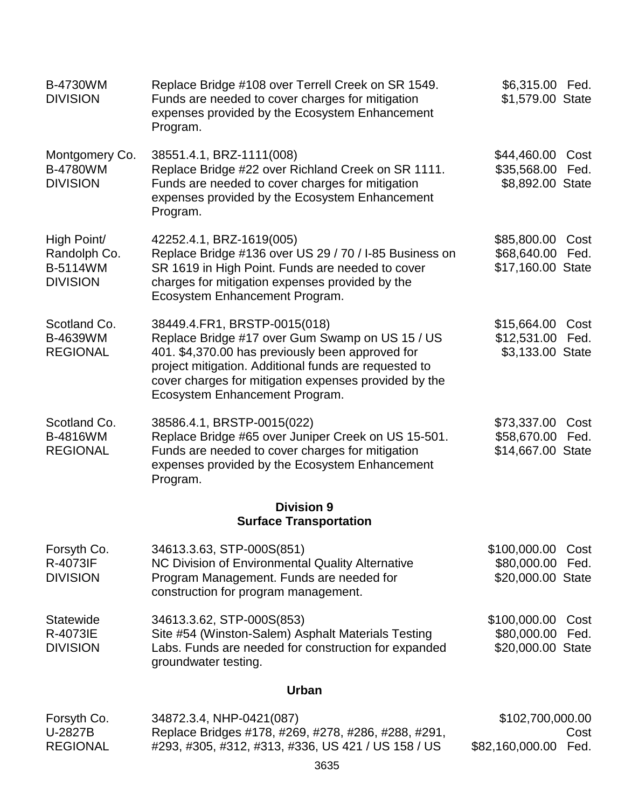| <b>B-4730WM</b><br><b>DIVISION</b>                                | Replace Bridge #108 over Terrell Creek on SR 1549.<br>Funds are needed to cover charges for mitigation<br>expenses provided by the Ecosystem Enhancement<br>Program.                                                                                                                    | \$6,315.00 Fed.<br>\$1,579.00 State                  |              |
|-------------------------------------------------------------------|-----------------------------------------------------------------------------------------------------------------------------------------------------------------------------------------------------------------------------------------------------------------------------------------|------------------------------------------------------|--------------|
| Montgomery Co.<br><b>B-4780WM</b><br><b>DIVISION</b>              | 38551.4.1, BRZ-1111(008)<br>Replace Bridge #22 over Richland Creek on SR 1111.<br>Funds are needed to cover charges for mitigation<br>expenses provided by the Ecosystem Enhancement<br>Program.                                                                                        | \$44,460.00<br>\$35,568.00<br>\$8,892.00 State       | Cost<br>Fed. |
| High Point/<br>Randolph Co.<br><b>B-5114WM</b><br><b>DIVISION</b> | 42252.4.1, BRZ-1619(005)<br>Replace Bridge #136 over US 29 / 70 / I-85 Business on<br>SR 1619 in High Point. Funds are needed to cover<br>charges for mitigation expenses provided by the<br>Ecosystem Enhancement Program.                                                             | \$85,800.00<br>\$68,640.00 Fed.<br>\$17,160.00 State | Cost         |
| Scotland Co.<br>B-4639WM<br><b>REGIONAL</b>                       | 38449.4.FR1, BRSTP-0015(018)<br>Replace Bridge #17 over Gum Swamp on US 15 / US<br>401. \$4,370.00 has previously been approved for<br>project mitigation. Additional funds are requested to<br>cover charges for mitigation expenses provided by the<br>Ecosystem Enhancement Program. | \$15,664.00<br>\$12,531.00 Fed.<br>\$3,133.00 State  | Cost         |
| Scotland Co.<br><b>B-4816WM</b><br><b>REGIONAL</b>                | 38586.4.1, BRSTP-0015(022)<br>Replace Bridge #65 over Juniper Creek on US 15-501.<br>Funds are needed to cover charges for mitigation<br>expenses provided by the Ecosystem Enhancement<br>Program.                                                                                     | \$73,337.00<br>\$58,670.00<br>\$14,667.00 State      | Cost<br>Fed. |
|                                                                   | <b>Division 9</b><br><b>Surface Transportation</b>                                                                                                                                                                                                                                      |                                                      |              |
| Forsyth Co.<br>R-4073IF<br><b>DIVISION</b>                        | 34613.3.63, STP-000S(851)<br>NC Division of Environmental Quality Alternative<br>Program Management. Funds are needed for<br>construction for program management.                                                                                                                       | \$100,000.00<br>\$80,000.00<br>\$20,000.00 State     | Cost<br>Fed. |
| Statewide<br>R-4073IE<br><b>DIVISION</b>                          | 34613.3.62, STP-000S(853)<br>Site #54 (Winston-Salem) Asphalt Materials Testing<br>Labs. Funds are needed for construction for expanded<br>groundwater testing.                                                                                                                         | \$100,000.00<br>\$80,000.00<br>\$20,000.00 State     | Cost<br>Fed. |
|                                                                   | <b>Urban</b>                                                                                                                                                                                                                                                                            |                                                      |              |
| Forsyth Co.<br>U-2827B<br><b>REGIONAL</b>                         | 34872.3.4, NHP-0421(087)<br>Replace Bridges #178, #269, #278, #286, #288, #291,<br>#293, #305, #312, #313, #336, US 421 / US 158 / US                                                                                                                                                   | \$102,700,000.00<br>\$82,160,000.00                  | Cost<br>Fed. |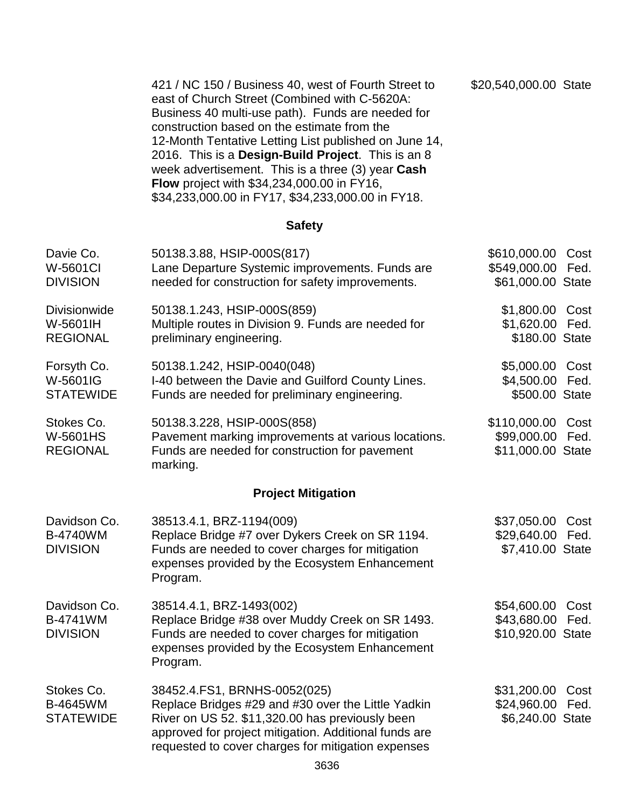| 421 / NC 150 / Business 40, west of Fourth Street to<br>east of Church Street (Combined with C-5620A: | \$20,540,000.00 State |
|-------------------------------------------------------------------------------------------------------|-----------------------|
| Business 40 multi-use path). Funds are needed for                                                     |                       |
| construction based on the estimate from the                                                           |                       |
| 12-Month Tentative Letting List published on June 14,                                                 |                       |
| 2016. This is a Design-Build Project. This is an 8                                                    |                       |
| week advertisement. This is a three (3) year Cash                                                     |                       |
| <b>Flow</b> project with \$34,234,000.00 in FY16,                                                     |                       |
| \$34,233,000.00 in FY17, \$34,233,000.00 in FY18.                                                     |                       |

# **Safety**

| Davie Co.<br>W-5601CI<br><b>DIVISION</b>           | 50138.3.88, HSIP-000S(817)<br>Lane Departure Systemic improvements. Funds are<br>needed for construction for safety improvements.                                                                                                                    | \$610,000.00<br>\$549,000.00<br>\$61,000.00 State | Cost<br>Fed. |
|----------------------------------------------------|------------------------------------------------------------------------------------------------------------------------------------------------------------------------------------------------------------------------------------------------------|---------------------------------------------------|--------------|
| Divisionwide<br>W-5601IH<br><b>REGIONAL</b>        | 50138.1.243, HSIP-000S(859)<br>Multiple routes in Division 9. Funds are needed for<br>preliminary engineering.                                                                                                                                       | \$1,800.00<br>\$1,620.00<br>\$180.00 State        | Cost<br>Fed. |
| Forsyth Co.<br>W-5601IG<br><b>STATEWIDE</b>        | 50138.1.242, HSIP-0040(048)<br>I-40 between the Davie and Guilford County Lines.<br>Funds are needed for preliminary engineering.                                                                                                                    | \$5,000.00<br>\$4,500.00<br>\$500.00 State        | Cost<br>Fed. |
| Stokes Co.<br><b>W-5601HS</b><br><b>REGIONAL</b>   | 50138.3.228, HSIP-000S(858)<br>Pavement marking improvements at various locations.<br>Funds are needed for construction for pavement<br>marking.                                                                                                     | \$110,000.00<br>\$99,000.00<br>\$11,000.00 State  | Cost<br>Fed. |
|                                                    | <b>Project Mitigation</b>                                                                                                                                                                                                                            |                                                   |              |
| Davidson Co.<br><b>B-4740WM</b><br><b>DIVISION</b> | 38513.4.1, BRZ-1194(009)<br>Replace Bridge #7 over Dykers Creek on SR 1194.<br>Funds are needed to cover charges for mitigation<br>expenses provided by the Ecosystem Enhancement<br>Program.                                                        | \$37,050.00<br>\$29,640.00<br>\$7,410.00 State    | Cost<br>Fed. |
| Davidson Co.<br>B-4741WM<br><b>DIVISION</b>        | 38514.4.1, BRZ-1493(002)<br>Replace Bridge #38 over Muddy Creek on SR 1493.<br>Funds are needed to cover charges for mitigation<br>expenses provided by the Ecosystem Enhancement<br>Program.                                                        | \$54,600.00<br>\$43,680.00<br>\$10,920.00 State   | Cost<br>Fed. |
| Stokes Co.<br><b>B-4645WM</b><br><b>STATEWIDE</b>  | 38452.4.FS1, BRNHS-0052(025)<br>Replace Bridges #29 and #30 over the Little Yadkin<br>River on US 52. \$11,320.00 has previously been<br>approved for project mitigation. Additional funds are<br>requested to cover charges for mitigation expenses | \$31,200.00<br>\$24,960.00<br>\$6,240.00 State    | Cost<br>Fed. |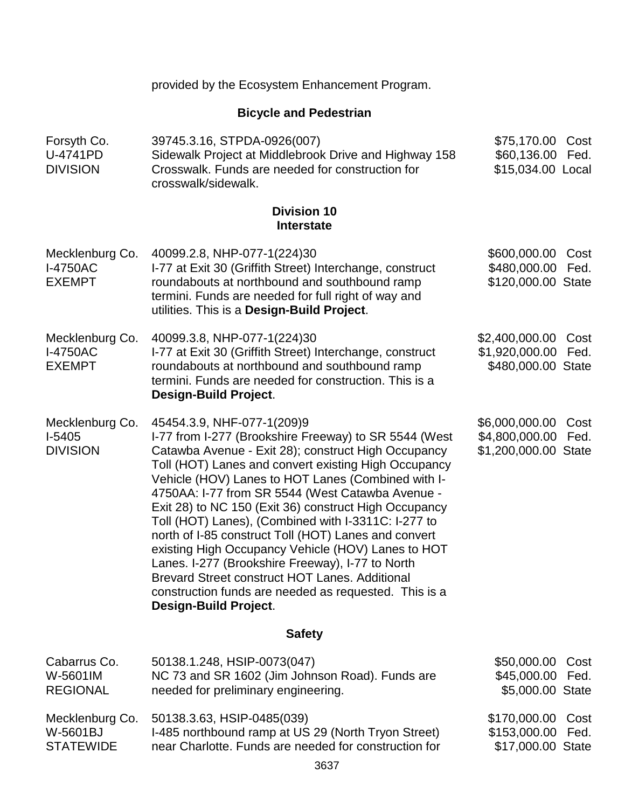| <b>Bicycle and Pedestrian</b>                       |                                                                                                                                                                                                                                                                                                                                                                                                                                                                                                                                                                                                                                                                                                                                                  |                                                                          |  |
|-----------------------------------------------------|--------------------------------------------------------------------------------------------------------------------------------------------------------------------------------------------------------------------------------------------------------------------------------------------------------------------------------------------------------------------------------------------------------------------------------------------------------------------------------------------------------------------------------------------------------------------------------------------------------------------------------------------------------------------------------------------------------------------------------------------------|--------------------------------------------------------------------------|--|
| Forsyth Co.<br>U-4741PD<br><b>DIVISION</b>          | 39745.3.16, STPDA-0926(007)<br>Sidewalk Project at Middlebrook Drive and Highway 158<br>Crosswalk. Funds are needed for construction for<br>crosswalk/sidewalk.                                                                                                                                                                                                                                                                                                                                                                                                                                                                                                                                                                                  | \$75,170.00<br>Cost<br>\$60,136.00 Fed.<br>\$15,034.00 Local             |  |
|                                                     | <b>Division 10</b><br><b>Interstate</b>                                                                                                                                                                                                                                                                                                                                                                                                                                                                                                                                                                                                                                                                                                          |                                                                          |  |
| Mecklenburg Co.<br><b>I-4750AC</b><br><b>EXEMPT</b> | 40099.2.8, NHP-077-1(224)30<br>I-77 at Exit 30 (Griffith Street) Interchange, construct<br>roundabouts at northbound and southbound ramp<br>termini. Funds are needed for full right of way and<br>utilities. This is a Design-Build Project.                                                                                                                                                                                                                                                                                                                                                                                                                                                                                                    | \$600,000.00<br>Cost<br>\$480,000.00<br>Fed.<br>\$120,000.00 State       |  |
| Mecklenburg Co.<br><b>I-4750AC</b><br><b>EXEMPT</b> | 40099.3.8, NHP-077-1(224)30<br>I-77 at Exit 30 (Griffith Street) Interchange, construct<br>roundabouts at northbound and southbound ramp<br>termini. Funds are needed for construction. This is a<br><b>Design-Build Project.</b>                                                                                                                                                                                                                                                                                                                                                                                                                                                                                                                | \$2,400,000.00<br>Cost<br>\$1,920,000.00<br>Fed.<br>\$480,000.00 State   |  |
| Mecklenburg Co.<br>$I-5405$<br><b>DIVISION</b>      | 45454.3.9, NHF-077-1(209)9<br>I-77 from I-277 (Brookshire Freeway) to SR 5544 (West<br>Catawba Avenue - Exit 28); construct High Occupancy<br>Toll (HOT) Lanes and convert existing High Occupancy<br>Vehicle (HOV) Lanes to HOT Lanes (Combined with I-<br>4750AA: I-77 from SR 5544 (West Catawba Avenue -<br>Exit 28) to NC 150 (Exit 36) construct High Occupancy<br>Toll (HOT) Lanes), (Combined with I-3311C: I-277 to<br>north of I-85 construct Toll (HOT) Lanes and convert<br>existing High Occupancy Vehicle (HOV) Lanes to HOT<br>Lanes. I-277 (Brookshire Freeway), I-77 to North<br><b>Brevard Street construct HOT Lanes. Additional</b><br>construction funds are needed as requested. This is a<br><b>Design-Build Project.</b> | \$6,000,000.00<br>Cost<br>\$4,800,000.00<br>Fed.<br>\$1,200,000.00 State |  |
| <b>Safety</b>                                       |                                                                                                                                                                                                                                                                                                                                                                                                                                                                                                                                                                                                                                                                                                                                                  |                                                                          |  |
| Cabarrus Co.<br>W-5601IM<br><b>REGIONAL</b>         | 50138.1.248, HSIP-0073(047)<br>NC 73 and SR 1602 (Jim Johnson Road). Funds are<br>needed for preliminary engineering.                                                                                                                                                                                                                                                                                                                                                                                                                                                                                                                                                                                                                            | \$50,000.00<br>Cost<br>\$45,000.00 Fed.<br>\$5,000.00 State              |  |
| Mecklenburg Co.<br>W-5601BJ<br><b>STATEWIDE</b>     | 50138.3.63, HSIP-0485(039)<br>I-485 northbound ramp at US 29 (North Tryon Street)<br>near Charlotte. Funds are needed for construction for                                                                                                                                                                                                                                                                                                                                                                                                                                                                                                                                                                                                       | \$170,000.00<br>Cost<br>\$153,000.00<br>Fed.<br>\$17,000.00 State        |  |

provided by the Ecosystem Enhancement Program.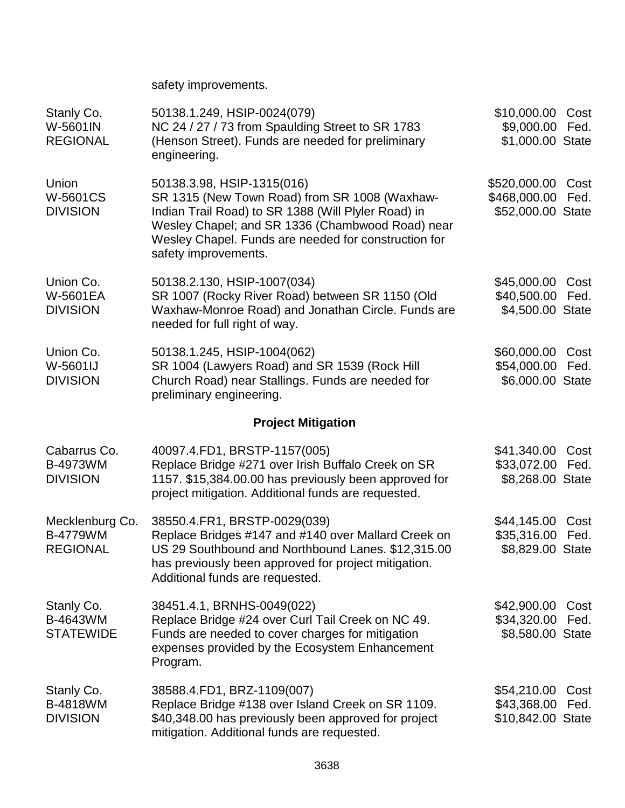safety improvements.

| Stanly Co.<br>W-5601IN<br><b>REGIONAL</b>             | 50138.1.249, HSIP-0024(079)<br>NC 24 / 27 / 73 from Spaulding Street to SR 1783<br>(Henson Street). Funds are needed for preliminary<br>engineering.                                                                                                                   | \$10,000.00<br>\$9,000.00<br>\$1,000.00 State     | Cost<br>Fed. |
|-------------------------------------------------------|------------------------------------------------------------------------------------------------------------------------------------------------------------------------------------------------------------------------------------------------------------------------|---------------------------------------------------|--------------|
| Union<br><b>W-5601CS</b><br><b>DIVISION</b>           | 50138.3.98, HSIP-1315(016)<br>SR 1315 (New Town Road) from SR 1008 (Waxhaw-<br>Indian Trail Road) to SR 1388 (Will Plyler Road) in<br>Wesley Chapel; and SR 1336 (Chambwood Road) near<br>Wesley Chapel. Funds are needed for construction for<br>safety improvements. | \$520,000.00<br>\$468,000.00<br>\$52,000.00 State | Cost<br>Fed. |
| Union Co.<br>W-5601EA<br><b>DIVISION</b>              | 50138.2.130, HSIP-1007(034)<br>SR 1007 (Rocky River Road) between SR 1150 (Old<br>Waxhaw-Monroe Road) and Jonathan Circle. Funds are<br>needed for full right of way.                                                                                                  | \$45,000.00<br>\$40,500.00<br>\$4,500.00 State    | Cost<br>Fed. |
| Union Co.<br>W-5601IJ<br><b>DIVISION</b>              | 50138.1.245, HSIP-1004(062)<br>SR 1004 (Lawyers Road) and SR 1539 (Rock Hill<br>Church Road) near Stallings. Funds are needed for<br>preliminary engineering.                                                                                                          | \$60,000.00<br>\$54,000.00<br>\$6,000.00 State    | Cost<br>Fed. |
|                                                       | <b>Project Mitigation</b>                                                                                                                                                                                                                                              |                                                   |              |
| Cabarrus Co.<br>B-4973WM<br><b>DIVISION</b>           | 40097.4.FD1, BRSTP-1157(005)<br>Replace Bridge #271 over Irish Buffalo Creek on SR<br>1157. \$15,384.00.00 has previously been approved for<br>project mitigation. Additional funds are requested.                                                                     | \$41,340.00<br>\$33,072.00<br>\$8,268.00 State    | Cost<br>Fed. |
| Mecklenburg Co.<br><b>B-4779WM</b><br><b>REGIONAL</b> | 38550.4.FR1, BRSTP-0029(039)<br>Replace Bridges #147 and #140 over Mallard Creek on<br>US 29 Southbound and Northbound Lanes. \$12,315.00<br>has previously been approved for project mitigation.<br>Additional funds are requested.                                   | \$44,145.00<br>\$35,316.00<br>\$8,829.00 State    | Cost<br>Fed. |
| Stanly Co.<br>B-4643WM<br><b>STATEWIDE</b>            | 38451.4.1, BRNHS-0049(022)<br>Replace Bridge #24 over Curl Tail Creek on NC 49.<br>Funds are needed to cover charges for mitigation<br>expenses provided by the Ecosystem Enhancement<br>Program.                                                                      | \$42,900.00<br>\$34,320.00<br>\$8,580.00 State    | Cost<br>Fed. |
| Stanly Co.<br>B-4818WM<br><b>DIVISION</b>             | 38588.4.FD1, BRZ-1109(007)<br>Replace Bridge #138 over Island Creek on SR 1109.<br>\$40,348.00 has previously been approved for project<br>mitigation. Additional funds are requested.                                                                                 | \$54,210.00<br>\$43,368.00<br>\$10,842.00 State   | Cost<br>Fed. |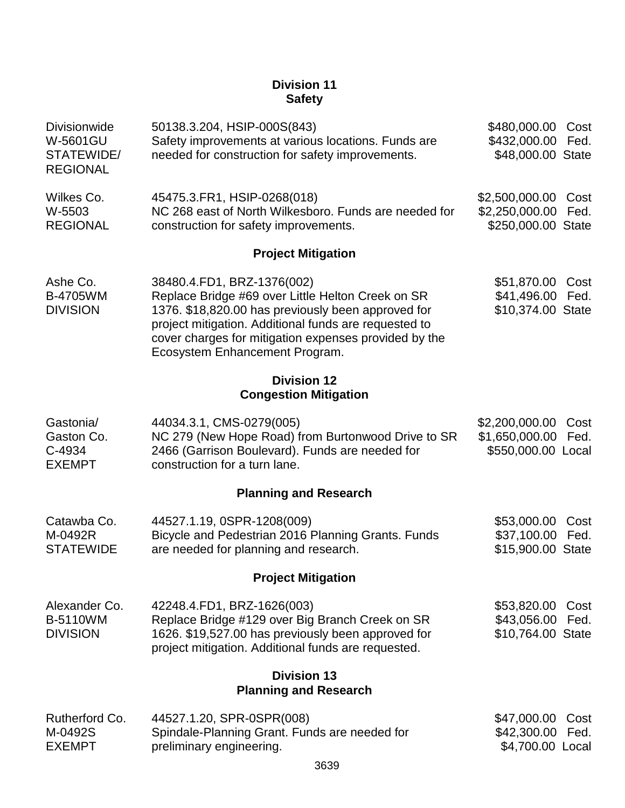# **Division 11 Safety**

| <b>Divisionwide</b><br><b>W-5601GU</b><br>STATEWIDE/<br><b>REGIONAL</b> | 50138.3.204, HSIP-000S(843)<br>Safety improvements at various locations. Funds are<br>needed for construction for safety improvements.                                                                                                                                                    | \$480,000.00<br>\$432,000.00<br>\$48,000.00 State      | Cost<br>Fed. |
|-------------------------------------------------------------------------|-------------------------------------------------------------------------------------------------------------------------------------------------------------------------------------------------------------------------------------------------------------------------------------------|--------------------------------------------------------|--------------|
| Wilkes Co.<br>W-5503<br><b>REGIONAL</b>                                 | 45475.3.FR1, HSIP-0268(018)<br>NC 268 east of North Wilkesboro. Funds are needed for<br>construction for safety improvements.                                                                                                                                                             | \$2,500,000.00<br>\$2,250,000.00<br>\$250,000.00 State | Cost<br>Fed. |
|                                                                         | <b>Project Mitigation</b>                                                                                                                                                                                                                                                                 |                                                        |              |
| Ashe Co.<br>B-4705WM<br><b>DIVISION</b>                                 | 38480.4.FD1, BRZ-1376(002)<br>Replace Bridge #69 over Little Helton Creek on SR<br>1376. \$18,820.00 has previously been approved for<br>project mitigation. Additional funds are requested to<br>cover charges for mitigation expenses provided by the<br>Ecosystem Enhancement Program. | \$51,870.00<br>\$41,496.00<br>\$10,374.00 State        | Cost<br>Fed. |
|                                                                         | <b>Division 12</b><br><b>Congestion Mitigation</b>                                                                                                                                                                                                                                        |                                                        |              |
| Gastonia/<br>Gaston Co.<br>C-4934<br><b>EXEMPT</b>                      | 44034.3.1, CMS-0279(005)<br>NC 279 (New Hope Road) from Burtonwood Drive to SR<br>2466 (Garrison Boulevard). Funds are needed for<br>construction for a turn lane.                                                                                                                        | \$2,200,000.00<br>\$1,650,000.00<br>\$550,000.00 Local | Cost<br>Fed. |
|                                                                         | <b>Planning and Research</b>                                                                                                                                                                                                                                                              |                                                        |              |
| Catawba Co.<br>M-0492R<br><b>STATEWIDE</b>                              | 44527.1.19, 0SPR-1208(009)<br>Bicycle and Pedestrian 2016 Planning Grants. Funds<br>are needed for planning and research.                                                                                                                                                                 | \$53,000.00<br>\$37,100.00<br>\$15,900.00 State        | Cost<br>Fed. |
|                                                                         | <b>Project Mitigation</b>                                                                                                                                                                                                                                                                 |                                                        |              |
| Alexander Co.<br><b>B-5110WM</b><br><b>DIVISION</b>                     | 42248.4.FD1, BRZ-1626(003)<br>Replace Bridge #129 over Big Branch Creek on SR<br>1626. \$19,527.00 has previously been approved for<br>project mitigation. Additional funds are requested.                                                                                                | \$53,820.00<br>\$43,056.00<br>\$10,764.00 State        | Cost<br>Fed. |
|                                                                         | <b>Division 13</b><br><b>Planning and Research</b>                                                                                                                                                                                                                                        |                                                        |              |
| Rutherford Co.<br>M-0492S<br><b>EXEMPT</b>                              | 44527.1.20, SPR-0SPR(008)<br>Spindale-Planning Grant. Funds are needed for<br>preliminary engineering.                                                                                                                                                                                    | \$47,000.00<br>\$42,300.00<br>\$4,700.00 Local         | Cost<br>Fed. |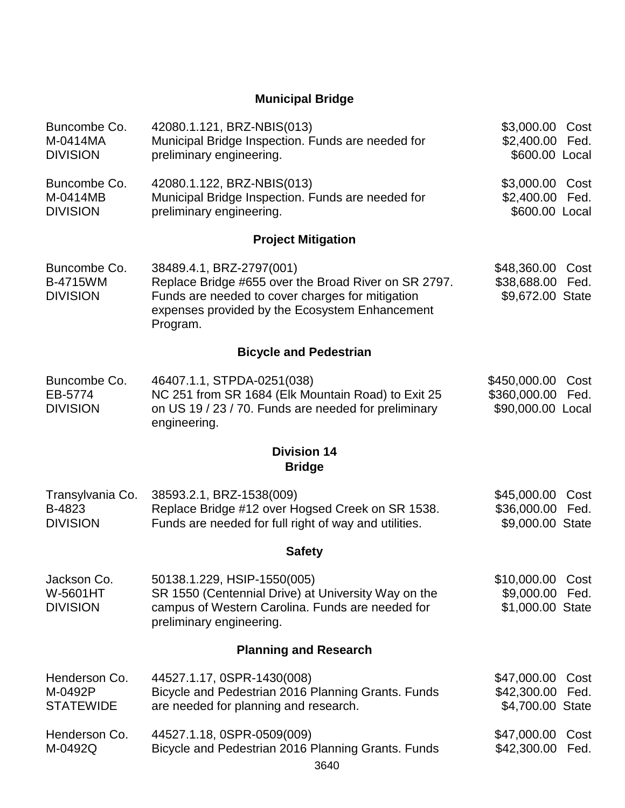# **Municipal Bridge**

| Buncombe Co.<br>M-0414MA<br><b>DIVISION</b>        | 42080.1.121, BRZ-NBIS(013)<br>Municipal Bridge Inspection. Funds are needed for<br>preliminary engineering.                                                                                        | \$3,000.00<br>\$2,400.00<br>\$600.00 Local          | Cost<br>Fed. |
|----------------------------------------------------|----------------------------------------------------------------------------------------------------------------------------------------------------------------------------------------------------|-----------------------------------------------------|--------------|
| Buncombe Co.<br>M-0414MB<br><b>DIVISION</b>        | 42080.1.122, BRZ-NBIS(013)<br>Municipal Bridge Inspection. Funds are needed for<br>preliminary engineering.                                                                                        | \$3,000.00 Cost<br>\$2,400.00<br>\$600.00 Local     | Fed.         |
|                                                    | <b>Project Mitigation</b>                                                                                                                                                                          |                                                     |              |
| Buncombe Co.<br><b>B-4715WM</b><br><b>DIVISION</b> | 38489.4.1, BRZ-2797(001)<br>Replace Bridge #655 over the Broad River on SR 2797.<br>Funds are needed to cover charges for mitigation<br>expenses provided by the Ecosystem Enhancement<br>Program. | \$48,360.00<br>\$38,688.00 Fed.<br>\$9,672.00 State | Cost         |
|                                                    | <b>Bicycle and Pedestrian</b>                                                                                                                                                                      |                                                     |              |
| Buncombe Co.<br>EB-5774<br><b>DIVISION</b>         | 46407.1.1, STPDA-0251(038)<br>NC 251 from SR 1684 (Elk Mountain Road) to Exit 25<br>on US 19 / 23 / 70. Funds are needed for preliminary<br>engineering.                                           | \$450,000.00<br>\$360,000.00<br>\$90,000.00 Local   | Cost<br>Fed. |
|                                                    | <b>Division 14</b><br><b>Bridge</b>                                                                                                                                                                |                                                     |              |
| Transylvania Co.<br>B-4823<br><b>DIVISION</b>      | 38593.2.1, BRZ-1538(009)<br>Replace Bridge #12 over Hogsed Creek on SR 1538.<br>Funds are needed for full right of way and utilities.                                                              | \$45,000.00<br>\$36,000.00<br>\$9,000.00 State      | Cost<br>Fed. |
|                                                    | <b>Safety</b>                                                                                                                                                                                      |                                                     |              |
| Jackson Co.<br><b>W-5601HT</b><br><b>DIVISION</b>  | 50138.1.229, HSIP-1550(005)<br>SR 1550 (Centennial Drive) at University Way on the<br>campus of Western Carolina. Funds are needed for<br>preliminary engineering.                                 | \$10,000.00<br>\$9,000.00<br>\$1,000.00 State       | Cost<br>Fed. |
|                                                    | <b>Planning and Research</b>                                                                                                                                                                       |                                                     |              |
| Henderson Co.<br>M-0492P<br><b>STATEWIDE</b>       | 44527.1.17, 0SPR-1430(008)<br>Bicycle and Pedestrian 2016 Planning Grants. Funds<br>are needed for planning and research.                                                                          | \$47,000.00<br>\$42,300.00<br>\$4,700.00 State      | Cost<br>Fed. |
| Henderson Co.<br>M-0492Q                           | 44527.1.18, 0SPR-0509(009)<br>Bicycle and Pedestrian 2016 Planning Grants. Funds<br>0010                                                                                                           | \$47,000.00<br>\$42,300.00                          | Cost<br>Fed. |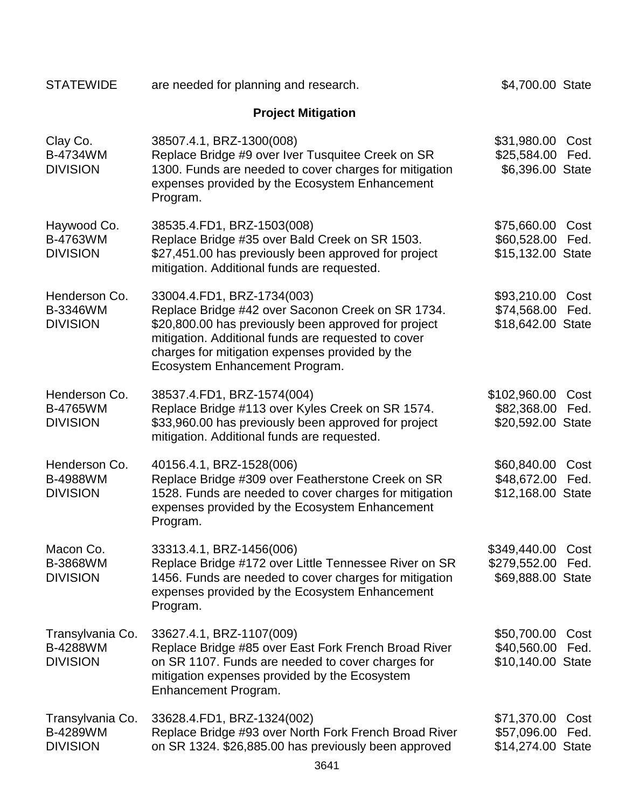| <b>STATEWIDE</b>                                       | are needed for planning and research.                                                                                                                                                                                                                                               | \$4,700.00 State                                  |              |
|--------------------------------------------------------|-------------------------------------------------------------------------------------------------------------------------------------------------------------------------------------------------------------------------------------------------------------------------------------|---------------------------------------------------|--------------|
|                                                        | <b>Project Mitigation</b>                                                                                                                                                                                                                                                           |                                                   |              |
| Clay Co.<br>B-4734WM<br><b>DIVISION</b>                | 38507.4.1, BRZ-1300(008)<br>Replace Bridge #9 over Iver Tusquitee Creek on SR<br>1300. Funds are needed to cover charges for mitigation<br>expenses provided by the Ecosystem Enhancement<br>Program.                                                                               | \$31,980.00<br>\$25,584.00<br>\$6,396.00 State    | Cost<br>Fed. |
| Haywood Co.<br>B-4763WM<br><b>DIVISION</b>             | 38535.4.FD1, BRZ-1503(008)<br>Replace Bridge #35 over Bald Creek on SR 1503.<br>\$27,451.00 has previously been approved for project<br>mitigation. Additional funds are requested.                                                                                                 | \$75,660.00<br>\$60,528.00<br>\$15,132.00 State   | Cost<br>Fed. |
| Henderson Co.<br><b>B-3346WM</b><br><b>DIVISION</b>    | 33004.4.FD1, BRZ-1734(003)<br>Replace Bridge #42 over Saconon Creek on SR 1734.<br>\$20,800.00 has previously been approved for project<br>mitigation. Additional funds are requested to cover<br>charges for mitigation expenses provided by the<br>Ecosystem Enhancement Program. | \$93,210.00<br>\$74,568.00<br>\$18,642.00 State   | Cost<br>Fed. |
| Henderson Co.<br><b>B-4765WM</b><br><b>DIVISION</b>    | 38537.4.FD1, BRZ-1574(004)<br>Replace Bridge #113 over Kyles Creek on SR 1574.<br>\$33,960.00 has previously been approved for project<br>mitigation. Additional funds are requested.                                                                                               | \$102,960.00<br>\$82,368.00<br>\$20,592.00 State  | Cost<br>Fed. |
| Henderson Co.<br><b>B-4988WM</b><br><b>DIVISION</b>    | 40156.4.1, BRZ-1528(006)<br>Replace Bridge #309 over Featherstone Creek on SR<br>1528. Funds are needed to cover charges for mitigation<br>expenses provided by the Ecosystem Enhancement<br>Program.                                                                               | \$60,840.00<br>\$48,672.00<br>\$12,168.00 State   | Cost<br>Fed. |
| Macon Co.<br><b>B-3868WM</b><br><b>DIVISION</b>        | 33313.4.1, BRZ-1456(006)<br>Replace Bridge #172 over Little Tennessee River on SR<br>1456. Funds are needed to cover charges for mitigation<br>expenses provided by the Ecosystem Enhancement<br>Program.                                                                           | \$349,440.00<br>\$279,552.00<br>\$69,888.00 State | Cost<br>Fed. |
| Transylvania Co.<br><b>B-4288WM</b><br><b>DIVISION</b> | 33627.4.1, BRZ-1107(009)<br>Replace Bridge #85 over East Fork French Broad River<br>on SR 1107. Funds are needed to cover charges for<br>mitigation expenses provided by the Ecosystem<br>Enhancement Program.                                                                      | \$50,700.00<br>\$40,560.00<br>\$10,140.00 State   | Cost<br>Fed. |
| Transylvania Co.<br><b>B-4289WM</b><br><b>DIVISION</b> | 33628.4.FD1, BRZ-1324(002)<br>Replace Bridge #93 over North Fork French Broad River<br>on SR 1324. \$26,885.00 has previously been approved                                                                                                                                         | \$71,370.00<br>\$57,096.00<br>\$14,274.00 State   | Cost<br>Fed. |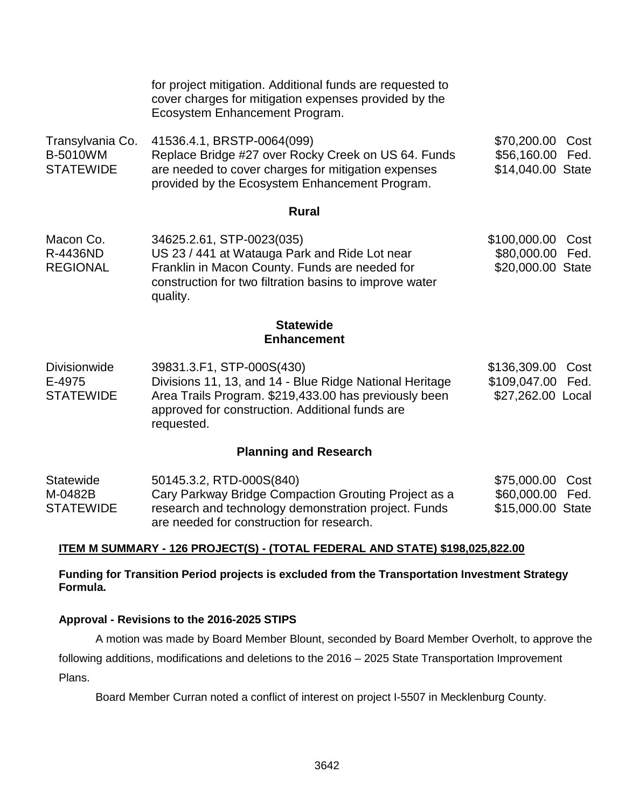|                                                         | for project mitigation. Additional funds are requested to<br>cover charges for mitigation expenses provided by the<br>Ecosystem Enhancement Program.                                                           |                                                                   |
|---------------------------------------------------------|----------------------------------------------------------------------------------------------------------------------------------------------------------------------------------------------------------------|-------------------------------------------------------------------|
| Transylvania Co.<br><b>B-5010WM</b><br><b>STATEWIDE</b> | 41536.4.1, BRSTP-0064(099)<br>Replace Bridge #27 over Rocky Creek on US 64. Funds<br>are needed to cover charges for mitigation expenses<br>provided by the Ecosystem Enhancement Program.                     | \$70,200.00<br>Cost<br>\$56,160.00 Fed.<br>\$14,040.00 State      |
|                                                         | <b>Rural</b>                                                                                                                                                                                                   |                                                                   |
| Macon Co.<br>R-4436ND<br><b>REGIONAL</b>                | 34625.2.61, STP-0023(035)<br>US 23 / 441 at Watauga Park and Ride Lot near<br>Franklin in Macon County. Funds are needed for<br>construction for two filtration basins to improve water<br>quality.            | \$100,000.00<br>Cost<br>\$80,000.00 Fed.<br>\$20,000.00 State     |
|                                                         | <b>Statewide</b><br><b>Enhancement</b>                                                                                                                                                                         |                                                                   |
| <b>Divisionwide</b><br>E-4975<br><b>STATEWIDE</b>       | 39831.3.F1, STP-000S(430)<br>Divisions 11, 13, and 14 - Blue Ridge National Heritage<br>Area Trails Program. \$219,433.00 has previously been<br>approved for construction. Additional funds are<br>requested. | \$136,309.00<br>Cost<br>\$109,047.00<br>Fed.<br>\$27,262.00 Local |

## **Planning and Research**

| Statewide | 50145.3.2, RTD-000S(840)                             | \$75,000.00 Cost  |  |
|-----------|------------------------------------------------------|-------------------|--|
| M-0482B   | Cary Parkway Bridge Compaction Grouting Project as a | \$60,000.00 Fed.  |  |
| STATEWIDE | research and technology demonstration project. Funds | \$15,000.00 State |  |
|           | are needed for construction for research.            |                   |  |

## **ITEM M SUMMARY - 126 PROJECT(S) - (TOTAL FEDERAL AND STATE) \$198,025,822.00**

**Funding for Transition Period projects is excluded from the Transportation Investment Strategy Formula.**

## **Approval - Revisions to the 2016-2025 STIPS**

A motion was made by Board Member Blount, seconded by Board Member Overholt, to approve the following additions, modifications and deletions to the 2016 – 2025 State Transportation Improvement Plans.

Board Member Curran noted a conflict of interest on project I-5507 in Mecklenburg County.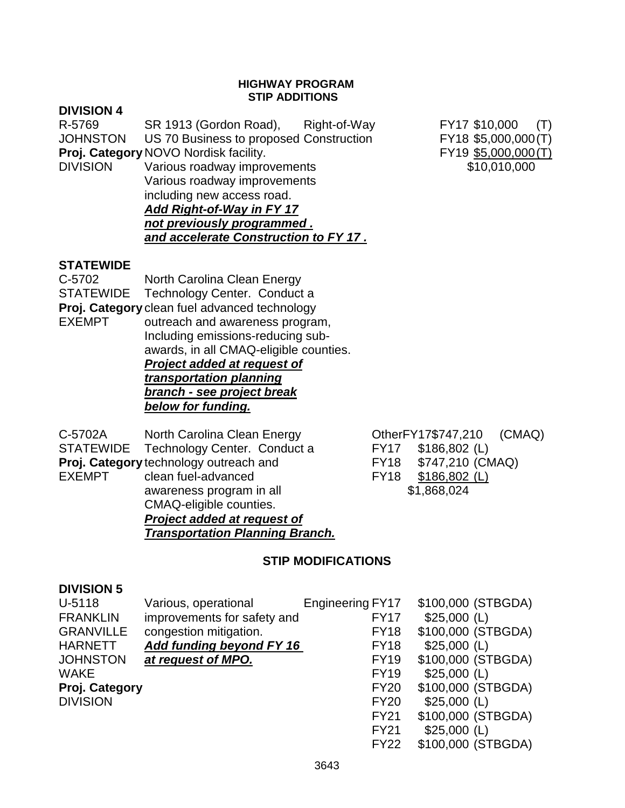## **HIGHWAY PROGRAM STIP ADDITIONS**

## **DIVISION 4**

R-5769 SR 1913 (Gordon Road), Right-of-Way FY17 \$10,000 (T) JOHNSTON US 70 Business to proposed Construction FY18 \$5,000,000(T) **Proj. Category** NOVO Nordisk facility. The stategory NOVO Nordisk facility. DIVISION Various roadway improvements \$10,010,000

Various roadway improvements including new access road. *Add Right-of-Way in FY 17 not previously programmed . and accelerate Construction to FY 17 .*

# **STATEWIDE**

C-5702 North Carolina Clean Energy STATEWIDE Technology Center. Conduct a **Proj. Category** clean fuel advanced technology EXEMPT outreach and awareness program, Including emissions-reducing subawards, in all CMAQ-eligible counties. *Project added at request of transportation planning branch - see project break below for funding.*

C-5702A North Carolina Clean Energy CherFY17\$747,210 (CMAQ) STATEWIDE Technology Center. Conduct a FY17 \$186,802 (L) **Proj. Category** technology outreach and FY18 \$747,210 (CMAQ)<br>EXEMPT clean fuel-advanced FY18 \$186.802 (L)  $clean fuel-advanced$   $FY18$   $$186,802$  (L) awareness program in all  $$1,868,024$ CMAQ-eligible counties. *Project added at request of Transportation Planning Branch.*

FY22 \$100,000 (STBGDA)

# **STIP MODIFICATIONS**

## **DIVISION 5**

| U-5118           | Various, operational        | <b>Engineering FY17</b> | \$100,000 (STBGDA) |
|------------------|-----------------------------|-------------------------|--------------------|
| <b>FRANKLIN</b>  | improvements for safety and | <b>FY17</b>             | $$25,000$ (L)      |
| <b>GRANVILLE</b> | congestion mitigation.      | <b>FY18</b>             | \$100,000 (STBGDA) |
| <b>HARNETT</b>   | Add funding beyond FY 16    | <b>FY18</b>             | $$25,000$ (L)      |
| <b>JOHNSTON</b>  | at request of MPO.          | <b>FY19</b>             | \$100,000 (STBGDA) |
| <b>WAKE</b>      |                             | <b>FY19</b>             | $$25,000$ (L)      |
| Proj. Category   |                             | <b>FY20</b>             | \$100,000 (STBGDA) |
| <b>DIVISION</b>  |                             | <b>FY20</b>             | $$25,000$ (L)      |
|                  |                             | <b>FY21</b>             | \$100,000 (STBGDA) |
|                  |                             | <b>FY21</b>             | $$25,000$ (L)      |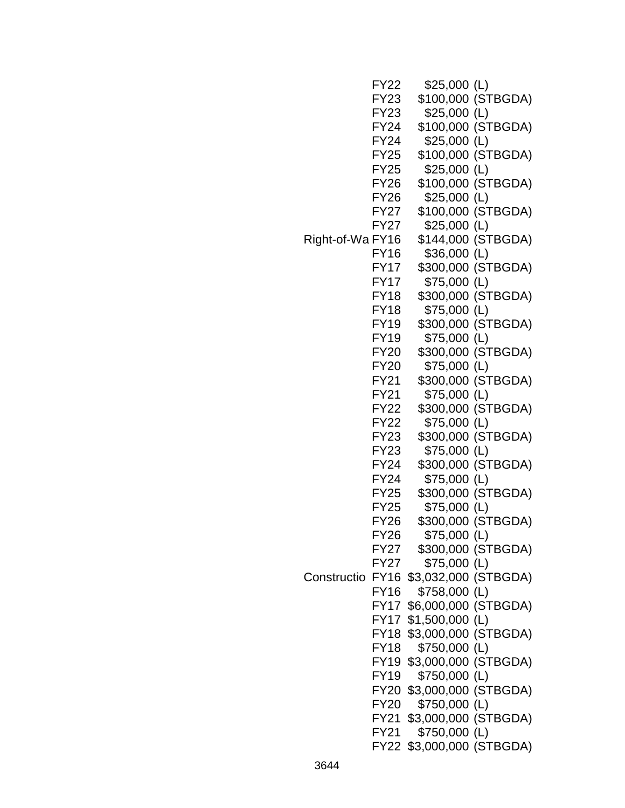| <b>FY22</b> | $$25,000$ (L)                                                                                                                                                                                                                                               |                                                                                                                                                                                                                                                                                                                                                                                                                                                                                                                                                                                                                                                                                                                                                                                                                                                                                                                                          |
|-------------|-------------------------------------------------------------------------------------------------------------------------------------------------------------------------------------------------------------------------------------------------------------|------------------------------------------------------------------------------------------------------------------------------------------------------------------------------------------------------------------------------------------------------------------------------------------------------------------------------------------------------------------------------------------------------------------------------------------------------------------------------------------------------------------------------------------------------------------------------------------------------------------------------------------------------------------------------------------------------------------------------------------------------------------------------------------------------------------------------------------------------------------------------------------------------------------------------------------|
| FY23        |                                                                                                                                                                                                                                                             | \$100,000 (STBGDA)                                                                                                                                                                                                                                                                                                                                                                                                                                                                                                                                                                                                                                                                                                                                                                                                                                                                                                                       |
| FY23        | $$25,000$ (L)                                                                                                                                                                                                                                               |                                                                                                                                                                                                                                                                                                                                                                                                                                                                                                                                                                                                                                                                                                                                                                                                                                                                                                                                          |
| FY24        |                                                                                                                                                                                                                                                             | \$100,000 (STBGDA)                                                                                                                                                                                                                                                                                                                                                                                                                                                                                                                                                                                                                                                                                                                                                                                                                                                                                                                       |
| <b>FY24</b> |                                                                                                                                                                                                                                                             |                                                                                                                                                                                                                                                                                                                                                                                                                                                                                                                                                                                                                                                                                                                                                                                                                                                                                                                                          |
| <b>FY25</b> |                                                                                                                                                                                                                                                             | \$100,000 (STBGDA)                                                                                                                                                                                                                                                                                                                                                                                                                                                                                                                                                                                                                                                                                                                                                                                                                                                                                                                       |
| FY25        | \$25,000 (L)                                                                                                                                                                                                                                                |                                                                                                                                                                                                                                                                                                                                                                                                                                                                                                                                                                                                                                                                                                                                                                                                                                                                                                                                          |
|             |                                                                                                                                                                                                                                                             | \$100,000 (STBGDA)                                                                                                                                                                                                                                                                                                                                                                                                                                                                                                                                                                                                                                                                                                                                                                                                                                                                                                                       |
|             |                                                                                                                                                                                                                                                             |                                                                                                                                                                                                                                                                                                                                                                                                                                                                                                                                                                                                                                                                                                                                                                                                                                                                                                                                          |
|             |                                                                                                                                                                                                                                                             |                                                                                                                                                                                                                                                                                                                                                                                                                                                                                                                                                                                                                                                                                                                                                                                                                                                                                                                                          |
|             |                                                                                                                                                                                                                                                             |                                                                                                                                                                                                                                                                                                                                                                                                                                                                                                                                                                                                                                                                                                                                                                                                                                                                                                                                          |
|             |                                                                                                                                                                                                                                                             |                                                                                                                                                                                                                                                                                                                                                                                                                                                                                                                                                                                                                                                                                                                                                                                                                                                                                                                                          |
|             |                                                                                                                                                                                                                                                             |                                                                                                                                                                                                                                                                                                                                                                                                                                                                                                                                                                                                                                                                                                                                                                                                                                                                                                                                          |
|             |                                                                                                                                                                                                                                                             |                                                                                                                                                                                                                                                                                                                                                                                                                                                                                                                                                                                                                                                                                                                                                                                                                                                                                                                                          |
|             |                                                                                                                                                                                                                                                             |                                                                                                                                                                                                                                                                                                                                                                                                                                                                                                                                                                                                                                                                                                                                                                                                                                                                                                                                          |
|             |                                                                                                                                                                                                                                                             |                                                                                                                                                                                                                                                                                                                                                                                                                                                                                                                                                                                                                                                                                                                                                                                                                                                                                                                                          |
|             |                                                                                                                                                                                                                                                             |                                                                                                                                                                                                                                                                                                                                                                                                                                                                                                                                                                                                                                                                                                                                                                                                                                                                                                                                          |
|             |                                                                                                                                                                                                                                                             |                                                                                                                                                                                                                                                                                                                                                                                                                                                                                                                                                                                                                                                                                                                                                                                                                                                                                                                                          |
|             |                                                                                                                                                                                                                                                             |                                                                                                                                                                                                                                                                                                                                                                                                                                                                                                                                                                                                                                                                                                                                                                                                                                                                                                                                          |
|             |                                                                                                                                                                                                                                                             |                                                                                                                                                                                                                                                                                                                                                                                                                                                                                                                                                                                                                                                                                                                                                                                                                                                                                                                                          |
|             |                                                                                                                                                                                                                                                             |                                                                                                                                                                                                                                                                                                                                                                                                                                                                                                                                                                                                                                                                                                                                                                                                                                                                                                                                          |
|             |                                                                                                                                                                                                                                                             |                                                                                                                                                                                                                                                                                                                                                                                                                                                                                                                                                                                                                                                                                                                                                                                                                                                                                                                                          |
|             |                                                                                                                                                                                                                                                             |                                                                                                                                                                                                                                                                                                                                                                                                                                                                                                                                                                                                                                                                                                                                                                                                                                                                                                                                          |
|             |                                                                                                                                                                                                                                                             |                                                                                                                                                                                                                                                                                                                                                                                                                                                                                                                                                                                                                                                                                                                                                                                                                                                                                                                                          |
|             |                                                                                                                                                                                                                                                             |                                                                                                                                                                                                                                                                                                                                                                                                                                                                                                                                                                                                                                                                                                                                                                                                                                                                                                                                          |
|             |                                                                                                                                                                                                                                                             |                                                                                                                                                                                                                                                                                                                                                                                                                                                                                                                                                                                                                                                                                                                                                                                                                                                                                                                                          |
|             |                                                                                                                                                                                                                                                             |                                                                                                                                                                                                                                                                                                                                                                                                                                                                                                                                                                                                                                                                                                                                                                                                                                                                                                                                          |
|             |                                                                                                                                                                                                                                                             |                                                                                                                                                                                                                                                                                                                                                                                                                                                                                                                                                                                                                                                                                                                                                                                                                                                                                                                                          |
|             |                                                                                                                                                                                                                                                             |                                                                                                                                                                                                                                                                                                                                                                                                                                                                                                                                                                                                                                                                                                                                                                                                                                                                                                                                          |
|             |                                                                                                                                                                                                                                                             |                                                                                                                                                                                                                                                                                                                                                                                                                                                                                                                                                                                                                                                                                                                                                                                                                                                                                                                                          |
|             |                                                                                                                                                                                                                                                             |                                                                                                                                                                                                                                                                                                                                                                                                                                                                                                                                                                                                                                                                                                                                                                                                                                                                                                                                          |
|             |                                                                                                                                                                                                                                                             |                                                                                                                                                                                                                                                                                                                                                                                                                                                                                                                                                                                                                                                                                                                                                                                                                                                                                                                                          |
|             |                                                                                                                                                                                                                                                             |                                                                                                                                                                                                                                                                                                                                                                                                                                                                                                                                                                                                                                                                                                                                                                                                                                                                                                                                          |
|             |                                                                                                                                                                                                                                                             |                                                                                                                                                                                                                                                                                                                                                                                                                                                                                                                                                                                                                                                                                                                                                                                                                                                                                                                                          |
|             |                                                                                                                                                                                                                                                             |                                                                                                                                                                                                                                                                                                                                                                                                                                                                                                                                                                                                                                                                                                                                                                                                                                                                                                                                          |
|             |                                                                                                                                                                                                                                                             |                                                                                                                                                                                                                                                                                                                                                                                                                                                                                                                                                                                                                                                                                                                                                                                                                                                                                                                                          |
|             |                                                                                                                                                                                                                                                             |                                                                                                                                                                                                                                                                                                                                                                                                                                                                                                                                                                                                                                                                                                                                                                                                                                                                                                                                          |
|             |                                                                                                                                                                                                                                                             |                                                                                                                                                                                                                                                                                                                                                                                                                                                                                                                                                                                                                                                                                                                                                                                                                                                                                                                                          |
|             |                                                                                                                                                                                                                                                             |                                                                                                                                                                                                                                                                                                                                                                                                                                                                                                                                                                                                                                                                                                                                                                                                                                                                                                                                          |
|             |                                                                                                                                                                                                                                                             |                                                                                                                                                                                                                                                                                                                                                                                                                                                                                                                                                                                                                                                                                                                                                                                                                                                                                                                                          |
|             |                                                                                                                                                                                                                                                             |                                                                                                                                                                                                                                                                                                                                                                                                                                                                                                                                                                                                                                                                                                                                                                                                                                                                                                                                          |
|             |                                                                                                                                                                                                                                                             |                                                                                                                                                                                                                                                                                                                                                                                                                                                                                                                                                                                                                                                                                                                                                                                                                                                                                                                                          |
|             |                                                                                                                                                                                                                                                             |                                                                                                                                                                                                                                                                                                                                                                                                                                                                                                                                                                                                                                                                                                                                                                                                                                                                                                                                          |
|             | \$750,000 (L)                                                                                                                                                                                                                                               |                                                                                                                                                                                                                                                                                                                                                                                                                                                                                                                                                                                                                                                                                                                                                                                                                                                                                                                                          |
|             | \$3,000,000 (STBGDA)                                                                                                                                                                                                                                        |                                                                                                                                                                                                                                                                                                                                                                                                                                                                                                                                                                                                                                                                                                                                                                                                                                                                                                                                          |
|             | \$750,000 (L)                                                                                                                                                                                                                                               |                                                                                                                                                                                                                                                                                                                                                                                                                                                                                                                                                                                                                                                                                                                                                                                                                                                                                                                                          |
|             |                                                                                                                                                                                                                                                             |                                                                                                                                                                                                                                                                                                                                                                                                                                                                                                                                                                                                                                                                                                                                                                                                                                                                                                                                          |
|             | FY26<br>FY26<br>FY27<br>FY27<br>Right-of-Wa FY16<br>FY16<br>FY17<br><b>FY17</b><br><b>FY18</b><br>FY18<br><b>FY19</b><br>FY19<br>FY20<br><b>FY20</b><br>FY21<br>FY21<br>FY22<br>FY22<br><b>FY23</b><br>FY23<br>FY24<br>FY24<br>FY25<br>FY25<br>FY26<br>FY16 | $$25,000$ (L)<br>$$25,000$ (L)<br>\$100,000 (STBGDA)<br>$$25,000$ (L)<br>\$144,000 (STBGDA)<br>\$36,000 (L)<br>\$300,000 (STBGDA)<br>\$75,000 (L)<br>\$300,000 (STBGDA)<br>\$75,000 (L)<br>\$300,000 (STBGDA)<br>\$75,000 (L)<br>\$300,000 (STBGDA)<br>\$75,000 (L)<br>\$300,000 (STBGDA)<br>\$75,000 (L)<br>\$300,000 (STBGDA)<br>\$75,000 (L)<br>\$300,000 (STBGDA)<br>\$75,000 (L)<br>\$300,000 (STBGDA)<br>\$75,000 (L)<br>\$300,000 (STBGDA)<br>\$75,000 (L)<br>\$300,000 (STBGDA)<br>\$75,000 (L)<br><b>FY26</b><br>\$300,000 (STBGDA)<br>FY27<br>\$75,000 (L)<br>FY27<br>\$3,032,000 (STBGDA)<br>Constructio FY16<br>\$758,000 (L)<br>\$6,000,000 (STBGDA)<br>FY17<br>$$1,500,000$ (L)<br>FY17<br>\$3,000,000 (STBGDA)<br><b>FY18</b><br>\$750,000 (L)<br><b>FY18</b><br>\$3,000,000 (STBGDA)<br>FY19<br>\$750,000 (L)<br>FY19<br>\$3,000,000 (STBGDA)<br>FY20<br><b>FY20</b><br><b>FY21</b><br>FY21<br>FY22 \$3,000,000 (STBGDA) |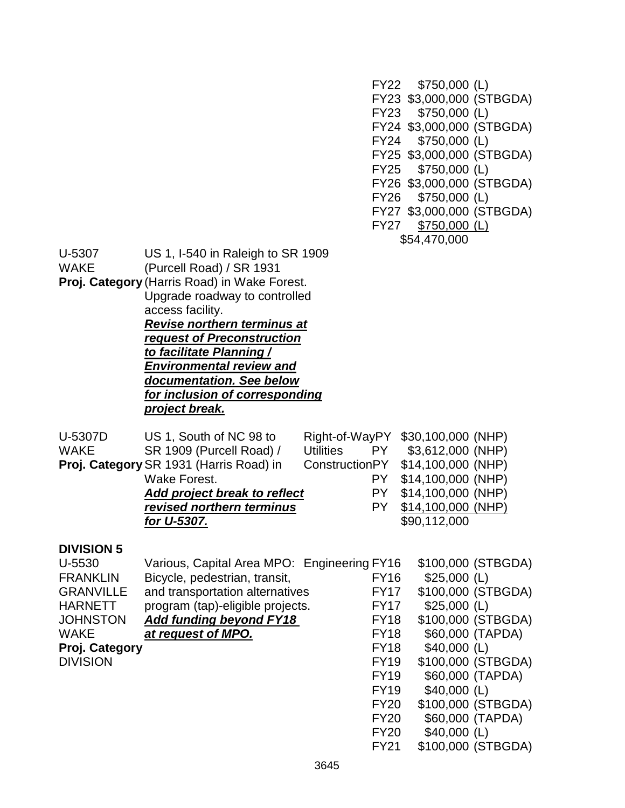FY22 \$750,000 (L) FY23 \$3,000,000 (STBGDA) FY23 \$750,000 (L) FY24 \$3,000,000 (STBGDA) FY24 \$750,000 (L) FY25 \$3,000,000 (STBGDA) FY25 \$750,000 (L) FY26 \$3,000,000 (STBGDA) FY26 \$750,000 (L) FY27 \$3,000,000 (STBGDA) FY27 \$750,000 (L) \$54,470,000

U-5307 US 1, I-540 in Raleigh to SR 1909

WAKE (Purcell Road) / SR 1931

**Proj. Category** (Harris Road) in Wake Forest. Upgrade roadway to controlled

access facility.

*Revise northern terminus at request of Preconstruction to facilitate Planning / Environmental review and documentation. See below for inclusion of corresponding project break.*

| U-5307D     | US 1, South of NC 98 to                 |           | Right-of-WayPY \$30,100,000 (NHP) |
|-------------|-----------------------------------------|-----------|-----------------------------------|
| <b>WAKE</b> | SR 1909 (Purcell Road) /                | Utilities | PY \$3,612,000 (NHP)              |
|             | Proj. Category SR 1931 (Harris Road) in |           | ConstructionPY \$14,100,000 (NHP) |
|             | Wake Forest.                            |           | PY \$14,100,000 (NHP)             |
|             | Add project break to reflect            |           | PY \$14,100,000 (NHP)             |
|             | revised northern terminus               | PY.       | \$14,100,000 (NHP)                |
|             | for U-5307.                             |           | \$90,112,000                      |

## **DIVISION 5**

| U-5530           | Various, Capital Area MPO: Engineering FY16 |             | \$100,000 (STBGDA) |
|------------------|---------------------------------------------|-------------|--------------------|
| <b>FRANKLIN</b>  | Bicycle, pedestrian, transit,               | <b>FY16</b> | $$25,000$ (L)      |
| <b>GRANVILLE</b> | and transportation alternatives             | <b>FY17</b> | \$100,000 (STBGDA) |
| <b>HARNETT</b>   | program (tap)-eligible projects.            | <b>FY17</b> | $$25,000$ (L)      |
| <b>JOHNSTON</b>  | <b>Add funding beyond FY18</b>              | <b>FY18</b> | \$100,000 (STBGDA) |
| <b>WAKE</b>      | at request of MPO.                          | <b>FY18</b> | \$60,000 (TAPDA)   |
| Proj. Category   |                                             | <b>FY18</b> | $$40,000$ (L)      |
| <b>DIVISION</b>  |                                             | <b>FY19</b> | \$100,000 (STBGDA) |
|                  |                                             | <b>FY19</b> | \$60,000 (TAPDA)   |
|                  |                                             | <b>FY19</b> | $$40,000$ (L)      |
|                  |                                             | <b>FY20</b> | \$100,000 (STBGDA) |
|                  |                                             | <b>FY20</b> | \$60,000 (TAPDA)   |
|                  |                                             | <b>FY20</b> | $$40,000$ (L)      |
|                  |                                             | <b>FY21</b> | \$100,000 (STBGDA) |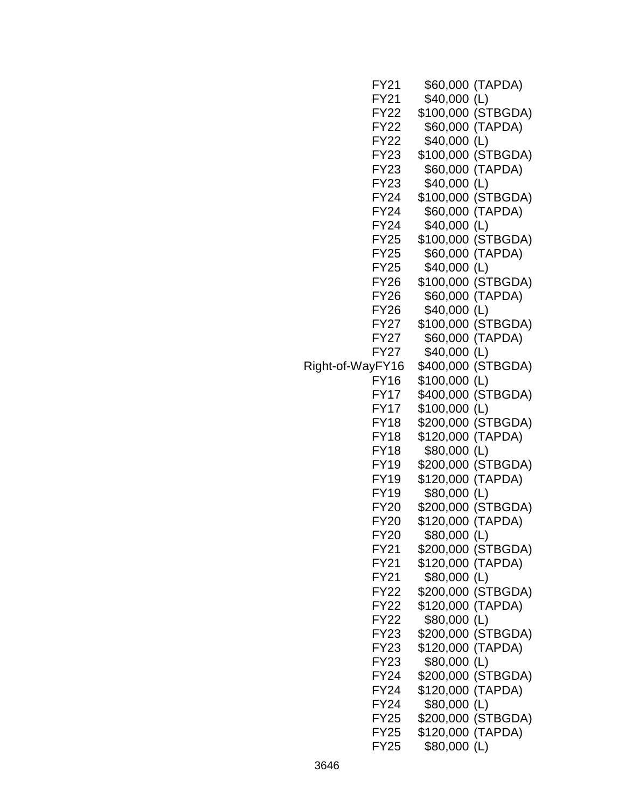|                  | FY21        |                   | \$60,000 (TAPDA)   |
|------------------|-------------|-------------------|--------------------|
|                  | FY21        | $$40,000$ (L)     |                    |
|                  | <b>FY22</b> |                   | \$100,000 (STBGDA) |
|                  | FY22        |                   | \$60,000 (TAPDA)   |
|                  | <b>FY22</b> | \$40,000 (L)      |                    |
|                  | <b>FY23</b> |                   | \$100,000 (STBGDA) |
|                  | <b>FY23</b> |                   | \$60,000 (TAPDA)   |
|                  | FY23        | \$40,000 (L)      |                    |
|                  | FY24        |                   | \$100,000 (STBGDA) |
|                  | <b>FY24</b> |                   | \$60,000 (TAPDA)   |
|                  | FY24        | \$40,000 (L)      |                    |
|                  | FY25        |                   | \$100,000 (STBGDA) |
|                  | <b>FY25</b> |                   | \$60,000 (TAPDA)   |
|                  | <b>FY25</b> | \$40,000 (L)      |                    |
|                  | <b>FY26</b> |                   | \$100,000 (STBGDA) |
|                  | <b>FY26</b> |                   | \$60,000 (TAPDA)   |
|                  | <b>FY26</b> | \$40,000 (L)      |                    |
|                  | FY27        |                   | \$100,000 (STBGDA) |
|                  | FY27        |                   | \$60,000 (TAPDA)   |
|                  | FY27        | \$40,000 (L)      |                    |
| Right-of-WayFY16 |             |                   | \$400,000 (STBGDA) |
|                  | FY16        | \$100,000 (L)     |                    |
|                  | FY17        |                   | \$400,000 (STBGDA) |
|                  | FY17        | \$100,000 (L)     |                    |
|                  | <b>FY18</b> |                   | \$200,000 (STBGDA) |
|                  | <b>FY18</b> | \$120,000 (TAPDA) |                    |
|                  | <b>FY18</b> | \$80,000 (L)      |                    |
|                  | FY19        |                   | \$200,000 (STBGDA) |
|                  | <b>FY19</b> | \$120,000 (TAPDA) |                    |
|                  | <b>FY19</b> | \$80,000 (L)      |                    |
|                  | FY20        |                   | \$200,000 (STBGDA) |
|                  | <b>FY20</b> | \$120,000 (TAPDA) |                    |
|                  | <b>FY20</b> | \$80,000 (L)      |                    |
|                  | FY21        |                   | \$200,000 (STBGDA) |
|                  | FY21        | \$120,000 (TAPDA) |                    |
|                  | FY21        | \$80,000 (L)      |                    |
|                  | <b>FY22</b> |                   | \$200,000 (STBGDA) |
|                  | FY22        | \$120,000 (TAPDA) |                    |
|                  | <b>FY22</b> | \$80,000 (L)      |                    |
|                  | <b>FY23</b> |                   | \$200,000 (STBGDA) |
|                  | FY23        | \$120,000 (TAPDA) |                    |
|                  | FY23        | \$80,000 (L)      |                    |
|                  | FY24        |                   | \$200,000 (STBGDA) |
|                  | FY24        | \$120,000 (TAPDA) |                    |
|                  | FY24        | \$80,000 (L)      |                    |
|                  | FY25        |                   | \$200,000 (STBGDA) |
|                  | <b>FY25</b> | \$120,000 (TAPDA) |                    |
|                  | FY25        | \$80,000 (L)      |                    |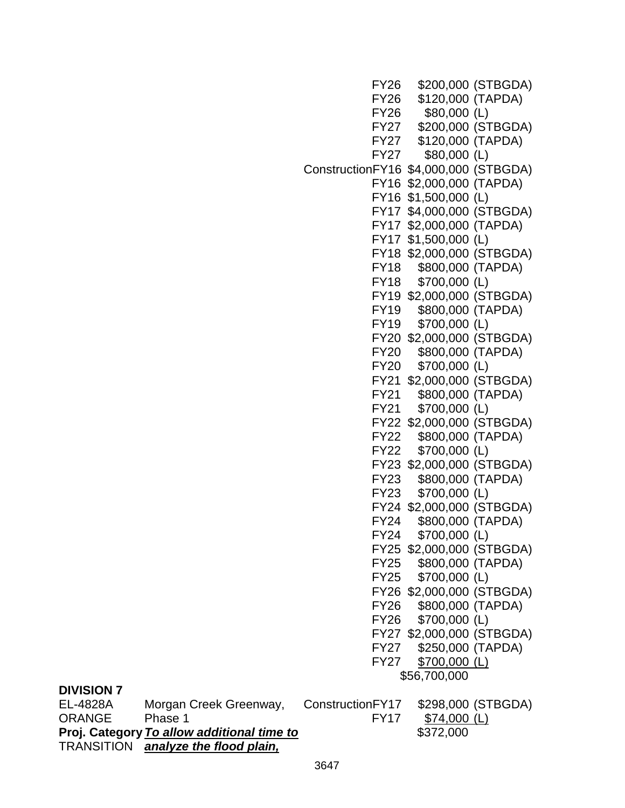FY26 \$200,000 (STBGDA) FY26 \$120,000 (TAPDA) FY26 \$80,000 (L) FY27 \$200,000 (STBGDA) FY27 \$120,000 (TAPDA) FY27 \$80,000 (L) ConstructionFY16 \$4,000,000 (STBGDA) FY16 \$2,000,000 (TAPDA) FY16 \$1,500,000 (L) FY17 \$4,000,000 (STBGDA) FY17 \$2,000,000 (TAPDA) FY17 \$1,500,000 (L) FY18 \$2,000,000 (STBGDA) FY18 \$800,000 (TAPDA) FY18 \$700,000 (L) FY19 \$2,000,000 (STBGDA) FY19 \$800,000 (TAPDA) FY19 \$700,000 (L) FY20 \$2,000,000 (STBGDA) FY20 \$800,000 (TAPDA) FY20 \$700,000 (L) FY21 \$2,000,000 (STBGDA) FY21 \$800,000 (TAPDA) FY21 \$700,000 (L) FY22 \$2,000,000 (STBGDA) FY22 \$800,000 (TAPDA) FY22 \$700,000 (L) FY23 \$2,000,000 (STBGDA) FY23 \$800,000 (TAPDA) FY23 \$700,000 (L) FY24 \$2,000,000 (STBGDA) FY24 \$800,000 (TAPDA) FY24 \$700,000 (L) FY25 \$2,000,000 (STBGDA) FY25 \$800,000 (TAPDA) FY25 \$700,000 (L) FY26 \$2,000,000 (STBGDA) FY26 \$800,000 (TAPDA) FY26 \$700,000 (L) FY27 \$2,000,000 (STBGDA) FY27 \$250,000 (TAPDA) FY27 \$700,000 (L) \$56,700,000 EL-4828A Morgan Creek Greenway, ConstructionFY17 \$298,000 (STBGDA)

| <b>DIVISION 7</b> |  |
|-------------------|--|
|-------------------|--|

ORANGE Phase 1 FY17 \$74,000 (L) **Proj. Category** *To allow additional time to* **\$372,000 \$372,000** TRANSITION *analyze the flood plain,*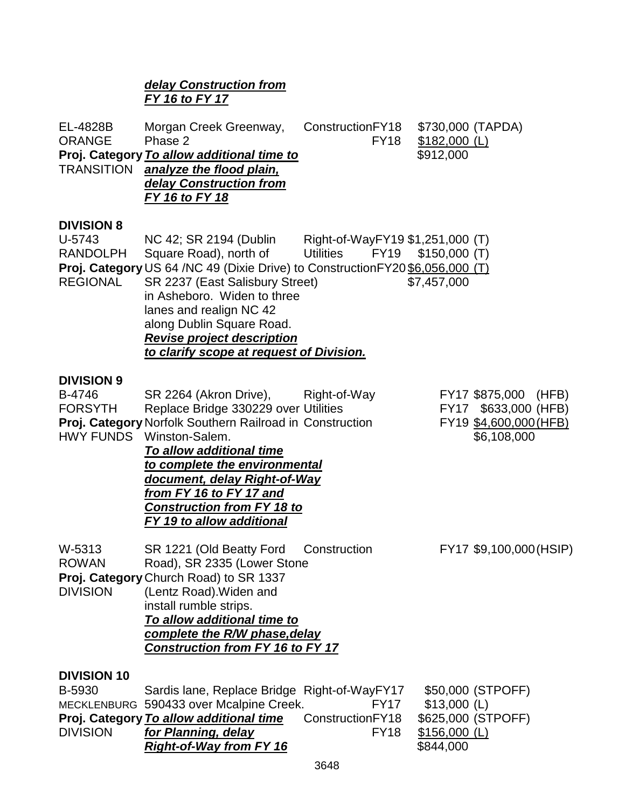# *delay Construction from FY 16 to FY 17* EL-4828B Morgan Creek Greenway, ConstructionFY18 \$730,000 (TAPDA) ORANGE Phase 2 FY18 \$182,000 (L) **Proj. Category To allow additional time to**  $$912,000$ TRANSITION *analyze the flood plain, delay Construction from FY 16 to FY 18* **DIVISION 8** U-5743 NC 42; SR 2194 (Dublin Right-of-WayFY19 \$1,251,000 (T) RANDOLPH Square Road), north of Utilities FY19 \$150,000 (T) **Proj. Category** US 64 /NC 49 (Dixie Drive) to ConstructionFY20 \$6,056,000 (T) REGIONAL SR 2237 (East Salisbury Street)  $$7.457,000$ in Asheboro. Widen to three lanes and realign NC 42 along Dublin Square Road. *Revise project description to clarify scope at request of Division.* **DIVISION 9** B-4746 SR 2264 (Akron Drive), Right-of-Way FY17 \$875,000 (HFB) FORSYTH Replace Bridge 330229 over Utilities FY17 \$633,000 (HFB) **Proj. Category** Norfolk Southern Railroad in Construction FY19 \$4,600,000 (HFB) HWY FUNDS Winston-Salem. **\$6,108,000** *To allow additional time to complete the environmental document, delay Right-of-Way from FY 16 to FY 17 and Construction from FY 18 to FY 19 to allow additional*  W-5313 SR 1221 (Old Beatty Ford Construction FY17 \$9,100,000(HSIP) ROWAN Road), SR 2335 (Lower Stone **Proj. Category** Church Road) to SR 1337 DIVISION (Lentz Road).Widen and install rumble strips. *To allow additional time to complete the R/W phase,delay Construction from FY 16 to FY 17*  **DIVISION 10** B-5930 Sardis lane, Replace Bridge Right-of-WayFY17 \$50,000 (STPOFF)

|                 | MECKLENBURG 590433 over Mcalpine Creek. | FY <sub>17</sub> |
|-----------------|-----------------------------------------|------------------|
|                 | Proj. Category To allow additional time | ConstructionFY18 |
| <b>DIVISION</b> | for Planning, delay                     | FY <sub>18</sub> |
|                 | <b>Right-of-Way from FY 16</b>          |                  |

 $$13,000$  (L) **Proj. Category** *To allow additional time* ConstructionFY18 \$625,000 (STPOFF) \$156,000 (L) *Right-of-Way from FY 16* \$844,000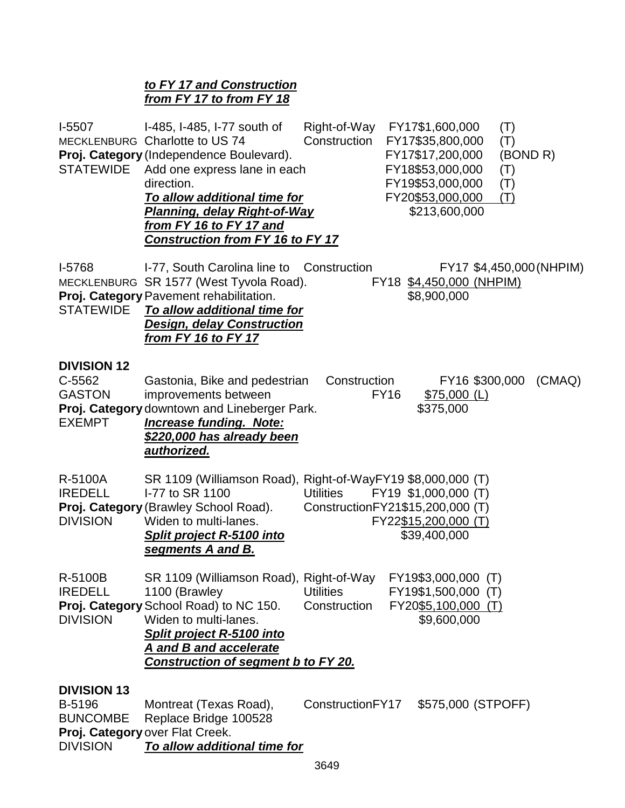# *to FY 17 and Construction from FY 17 to from FY 18*

| I-5507<br>STATEWIDE                                                | Right-of-Way FY17\$1,600,000<br>I-485, I-485, I-77 south of<br>(T)<br>Construction FY17\$35,800,000<br>MECKLENBURG Charlotte to US 74<br>(T)<br>Proj. Category (Independence Boulevard).<br>FY17\$17,200,000<br>(BOND R)<br>Add one express lane in each<br>FY18\$53,000,000<br>(T)<br>direction.<br>FY19\$53,000,000<br>(T)<br>FY20\$53,000,000<br>To allow additional time for<br>(T)<br><b>Planning, delay Right-of-Way</b><br>\$213,600,000<br>from FY 16 to FY 17 and<br><b>Construction from FY 16 to FY 17</b> |
|--------------------------------------------------------------------|-----------------------------------------------------------------------------------------------------------------------------------------------------------------------------------------------------------------------------------------------------------------------------------------------------------------------------------------------------------------------------------------------------------------------------------------------------------------------------------------------------------------------|
| l-5768<br><b>STATEWIDE</b>                                         | I-77, South Carolina line to<br>Construction<br>FY17 \$4,450,000 (NHPIM)<br>MECKLENBURG SR 1577 (West Tyvola Road).<br>FY18 \$4,450,000 (NHPIM)<br>Proj. Category Pavement rehabilitation.<br>\$8,900,000<br>To allow additional time for<br><b>Design, delay Construction</b><br><u>from FY 16 to FY 17</u>                                                                                                                                                                                                          |
| <b>DIVISION 12</b><br>C-5562<br><b>GASTON</b><br><b>EXEMPT</b>     | Construction<br>FY16 \$300,000<br>Gastonia, Bike and pedestrian<br>(CMAQ)<br>improvements between<br><b>FY16</b><br>$$75,000$ (L)<br>Proj. Category downtown and Lineberger Park.<br>\$375,000<br><b>Increase funding. Note:</b><br><u>\$220,000 has already been</u><br>authorized.                                                                                                                                                                                                                                  |
| R-5100A<br><b>IREDELL</b><br><b>DIVISION</b>                       | SR 1109 (Williamson Road), Right-of-WayFY19 \$8,000,000 (T)<br>I-77 to SR 1100<br>FY19 \$1,000,000 (T)<br><b>Utilities</b><br>Proj. Category (Brawley School Road).<br>ConstructionFY21\$15,200,000 (T)<br>Widen to multi-lanes.<br>FY22\$15,200,000 (T)<br><b>Split project R-5100 into</b><br>\$39,400,000<br>segments A and B.                                                                                                                                                                                     |
| R-5100B<br><b>IREDELL</b><br><b>DIVISION</b>                       | SR 1109 (Williamson Road), Right-of-Way FY19\$3,000,000 (T)<br>1100 (Brawley<br><b>Utilities</b><br>FY19\$1,500,000 (T)<br>Proj. Category School Road) to NC 150.<br>Construction<br>FY20\$5,100,000 (T)<br>Widen to multi-lanes.<br>\$9,600,000<br><b>Split project R-5100 into</b><br>A and B and accelerate<br><b>Construction of segment b to FY 20.</b>                                                                                                                                                          |
| <b>DIVISION 13</b><br>B-5196<br><b>BUNCOMBE</b><br><b>DIVISION</b> | ConstructionFY17<br>\$575,000 (STPOFF)<br>Montreat (Texas Road),<br>Replace Bridge 100528<br>Proj. Category over Flat Creek.<br>To allow additional time for                                                                                                                                                                                                                                                                                                                                                          |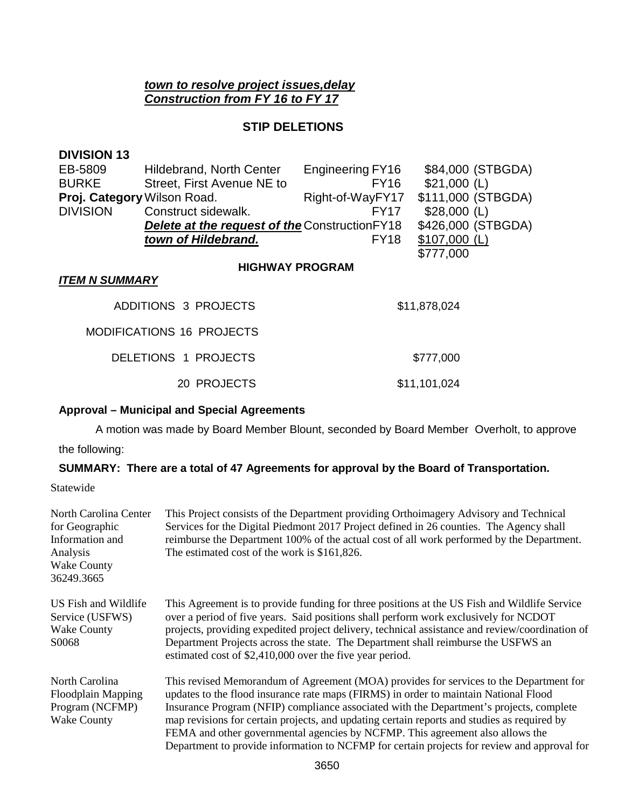# *town to resolve project issues,delay Construction from FY 16 to FY 17*

## **STIP DELETIONS**

| <b>DIVISION 13</b>          |                                                       |                  |                    |
|-----------------------------|-------------------------------------------------------|------------------|--------------------|
| EB-5809                     | Hildebrand, North Center                              | Engineering FY16 | \$84,000 (STBGDA)  |
| <b>BURKE</b>                | Street, First Avenue NE to                            | <b>FY16</b>      | $$21,000$ (L)      |
| Proj. Category Wilson Road. |                                                       | Right-of-WayFY17 | \$111,000 (STBGDA) |
| <b>DIVISION</b>             | Construct sidewalk.                                   | FY17             | \$28,000 (L)       |
|                             | <b>Delete at the request of the Construction FY18</b> |                  | \$426,000 (STBGDA) |
|                             | town of Hildebrand.                                   | FY <sub>18</sub> | $$107,000$ (L)     |
|                             |                                                       |                  | \$777,000          |
|                             | <b>HIGHWAY PROGRAM</b>                                |                  |                    |
| <b>ITEM N SUMMARY</b>       |                                                       |                  |                    |
|                             | <b>ADDITIONS 3 PROJECTS</b>                           |                  | \$11,878,024       |
|                             | <b>MODIFICATIONS 16 PROJECTS</b>                      |                  |                    |
|                             | DELETIONS 1 PROJECTS                                  |                  | \$777,000          |
|                             | 20 PROJECTS                                           |                  | \$11,101,024       |

# **Approval – Municipal and Special Agreements**

A motion was made by Board Member Blount, seconded by Board Member Overholt, to approve

the following:

# **SUMMARY: There are a total of 47 Agreements for approval by the Board of Transportation.**

Statewide

| North Carolina Center<br>for Geographic<br>Information and<br>Analysis<br><b>Wake County</b><br>36249.3665 | This Project consists of the Department providing Orthoimagery Advisory and Technical<br>Services for the Digital Piedmont 2017 Project defined in 26 counties. The Agency shall<br>reimburse the Department 100% of the actual cost of all work performed by the Department.<br>The estimated cost of the work is \$161,826.                                                                                                                                                                                                                            |
|------------------------------------------------------------------------------------------------------------|----------------------------------------------------------------------------------------------------------------------------------------------------------------------------------------------------------------------------------------------------------------------------------------------------------------------------------------------------------------------------------------------------------------------------------------------------------------------------------------------------------------------------------------------------------|
| US Fish and Wildlife<br>Service (USFWS)<br><b>Wake County</b><br>S0068                                     | This Agreement is to provide funding for three positions at the US Fish and Wildlife Service<br>over a period of five years. Said positions shall perform work exclusively for NCDOT<br>projects, providing expedited project delivery, technical assistance and review/coordination of<br>Department Projects across the state. The Department shall reimburse the USFWS an<br>estimated cost of \$2,410,000 over the five year period.                                                                                                                 |
| North Carolina<br><b>Floodplain Mapping</b><br>Program (NCFMP)<br><b>Wake County</b>                       | This revised Memorandum of Agreement (MOA) provides for services to the Department for<br>updates to the flood insurance rate maps (FIRMS) in order to maintain National Flood<br>Insurance Program (NFIP) compliance associated with the Department's projects, complete<br>map revisions for certain projects, and updating certain reports and studies as required by<br>FEMA and other governmental agencies by NCFMP. This agreement also allows the<br>Department to provide information to NCFMP for certain projects for review and approval for |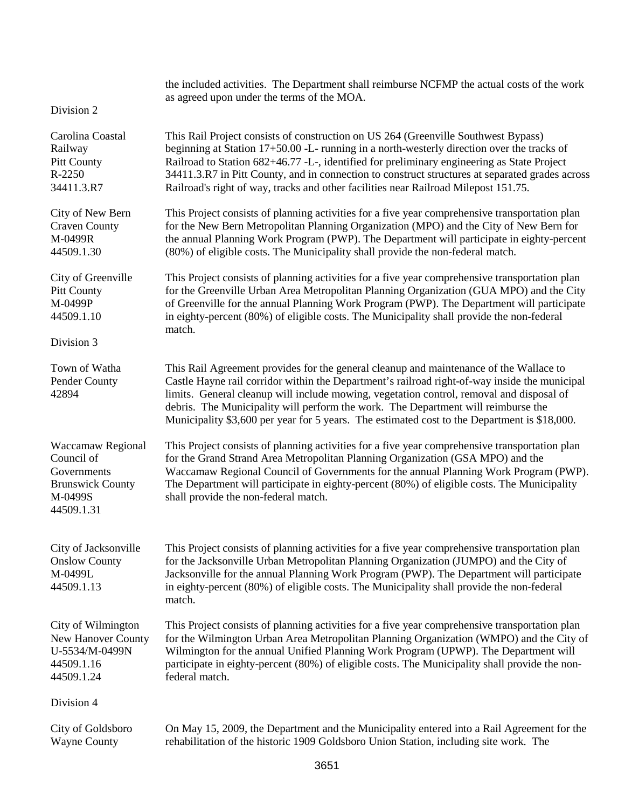|                                                                                                    | the included activities. The Department shall reimburse NCFMP the actual costs of the work<br>as agreed upon under the terms of the MOA.                                                                                                                                                                                                                                                                                                                                 |
|----------------------------------------------------------------------------------------------------|--------------------------------------------------------------------------------------------------------------------------------------------------------------------------------------------------------------------------------------------------------------------------------------------------------------------------------------------------------------------------------------------------------------------------------------------------------------------------|
| Division 2                                                                                         |                                                                                                                                                                                                                                                                                                                                                                                                                                                                          |
| Carolina Coastal<br>Railway<br><b>Pitt County</b><br>R-2250<br>34411.3.R7                          | This Rail Project consists of construction on US 264 (Greenville Southwest Bypass)<br>beginning at Station 17+50.00 -L- running in a north-westerly direction over the tracks of<br>Railroad to Station 682+46.77 -L-, identified for preliminary engineering as State Project<br>34411.3.R7 in Pitt County, and in connection to construct structures at separated grades across<br>Railroad's right of way, tracks and other facilities near Railroad Milepost 151.75. |
| City of New Bern<br><b>Craven County</b><br>M-0499R<br>44509.1.30                                  | This Project consists of planning activities for a five year comprehensive transportation plan<br>for the New Bern Metropolitan Planning Organization (MPO) and the City of New Bern for<br>the annual Planning Work Program (PWP). The Department will participate in eighty-percent<br>(80%) of eligible costs. The Municipality shall provide the non-federal match.                                                                                                  |
| City of Greenville<br><b>Pitt County</b><br>M-0499P<br>44509.1.10                                  | This Project consists of planning activities for a five year comprehensive transportation plan<br>for the Greenville Urban Area Metropolitan Planning Organization (GUA MPO) and the City<br>of Greenville for the annual Planning Work Program (PWP). The Department will participate<br>in eighty-percent (80%) of eligible costs. The Municipality shall provide the non-federal<br>match.                                                                            |
| Division 3                                                                                         |                                                                                                                                                                                                                                                                                                                                                                                                                                                                          |
| Town of Watha<br>Pender County<br>42894                                                            | This Rail Agreement provides for the general cleanup and maintenance of the Wallace to<br>Castle Hayne rail corridor within the Department's railroad right-of-way inside the municipal<br>limits. General cleanup will include mowing, vegetation control, removal and disposal of<br>debris. The Municipality will perform the work. The Department will reimburse the<br>Municipality \$3,600 per year for 5 years. The estimated cost to the Department is \$18,000. |
| Waccamaw Regional<br>Council of<br>Governments<br><b>Brunswick County</b><br>M-0499S<br>44509.1.31 | This Project consists of planning activities for a five year comprehensive transportation plan<br>for the Grand Strand Area Metropolitan Planning Organization (GSA MPO) and the<br>Waccamaw Regional Council of Governments for the annual Planning Work Program (PWP).<br>The Department will participate in eighty-percent (80%) of eligible costs. The Municipality<br>shall provide the non-federal match.                                                          |
| City of Jacksonville<br><b>Onslow County</b><br>M-0499L<br>44509.1.13                              | This Project consists of planning activities for a five year comprehensive transportation plan<br>for the Jacksonville Urban Metropolitan Planning Organization (JUMPO) and the City of<br>Jacksonville for the annual Planning Work Program (PWP). The Department will participate<br>in eighty-percent (80%) of eligible costs. The Municipality shall provide the non-federal<br>match.                                                                               |
| City of Wilmington<br>New Hanover County<br>U-5534/M-0499N<br>44509.1.16<br>44509.1.24             | This Project consists of planning activities for a five year comprehensive transportation plan<br>for the Wilmington Urban Area Metropolitan Planning Organization (WMPO) and the City of<br>Wilmington for the annual Unified Planning Work Program (UPWP). The Department will<br>participate in eighty-percent (80%) of eligible costs. The Municipality shall provide the non-<br>federal match.                                                                     |
| Division 4                                                                                         |                                                                                                                                                                                                                                                                                                                                                                                                                                                                          |
| City of Goldsboro<br><b>Wayne County</b>                                                           | On May 15, 2009, the Department and the Municipality entered into a Rail Agreement for the<br>rehabilitation of the historic 1909 Goldsboro Union Station, including site work. The                                                                                                                                                                                                                                                                                      |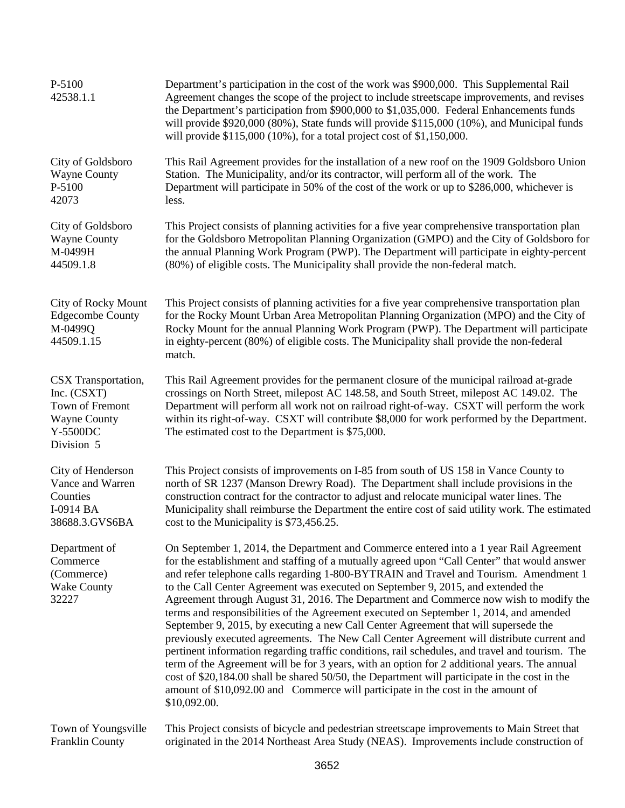| P-5100<br>42538.1.1                                                                                    | Department's participation in the cost of the work was \$900,000. This Supplemental Rail<br>Agreement changes the scope of the project to include streetscape improvements, and revises<br>the Department's participation from \$900,000 to \$1,035,000. Federal Enhancements funds<br>will provide $$920,000 (80%)$ , State funds will provide $$115,000 (10%)$ , and Municipal funds<br>will provide $$115,000 (10\%)$ , for a total project cost of $$1,150,000$ .                                                                                                                                                                                                                                                                                                                                                                                                                                                                                                                                                                                                                                                                              |
|--------------------------------------------------------------------------------------------------------|----------------------------------------------------------------------------------------------------------------------------------------------------------------------------------------------------------------------------------------------------------------------------------------------------------------------------------------------------------------------------------------------------------------------------------------------------------------------------------------------------------------------------------------------------------------------------------------------------------------------------------------------------------------------------------------------------------------------------------------------------------------------------------------------------------------------------------------------------------------------------------------------------------------------------------------------------------------------------------------------------------------------------------------------------------------------------------------------------------------------------------------------------|
| City of Goldsboro                                                                                      | This Rail Agreement provides for the installation of a new roof on the 1909 Goldsboro Union                                                                                                                                                                                                                                                                                                                                                                                                                                                                                                                                                                                                                                                                                                                                                                                                                                                                                                                                                                                                                                                        |
| <b>Wayne County</b>                                                                                    | Station. The Municipality, and/or its contractor, will perform all of the work. The                                                                                                                                                                                                                                                                                                                                                                                                                                                                                                                                                                                                                                                                                                                                                                                                                                                                                                                                                                                                                                                                |
| P-5100                                                                                                 | Department will participate in 50% of the cost of the work or up to \$286,000, whichever is                                                                                                                                                                                                                                                                                                                                                                                                                                                                                                                                                                                                                                                                                                                                                                                                                                                                                                                                                                                                                                                        |
| 42073                                                                                                  | less.                                                                                                                                                                                                                                                                                                                                                                                                                                                                                                                                                                                                                                                                                                                                                                                                                                                                                                                                                                                                                                                                                                                                              |
| City of Goldsboro                                                                                      | This Project consists of planning activities for a five year comprehensive transportation plan                                                                                                                                                                                                                                                                                                                                                                                                                                                                                                                                                                                                                                                                                                                                                                                                                                                                                                                                                                                                                                                     |
| <b>Wayne County</b>                                                                                    | for the Goldsboro Metropolitan Planning Organization (GMPO) and the City of Goldsboro for                                                                                                                                                                                                                                                                                                                                                                                                                                                                                                                                                                                                                                                                                                                                                                                                                                                                                                                                                                                                                                                          |
| M-0499H                                                                                                | the annual Planning Work Program (PWP). The Department will participate in eighty-percent                                                                                                                                                                                                                                                                                                                                                                                                                                                                                                                                                                                                                                                                                                                                                                                                                                                                                                                                                                                                                                                          |
| 44509.1.8                                                                                              | (80%) of eligible costs. The Municipality shall provide the non-federal match.                                                                                                                                                                                                                                                                                                                                                                                                                                                                                                                                                                                                                                                                                                                                                                                                                                                                                                                                                                                                                                                                     |
| City of Rocky Mount<br><b>Edgecombe County</b><br>M-0499Q<br>44509.1.15                                | This Project consists of planning activities for a five year comprehensive transportation plan<br>for the Rocky Mount Urban Area Metropolitan Planning Organization (MPO) and the City of<br>Rocky Mount for the annual Planning Work Program (PWP). The Department will participate<br>in eighty-percent (80%) of eligible costs. The Municipality shall provide the non-federal<br>match.                                                                                                                                                                                                                                                                                                                                                                                                                                                                                                                                                                                                                                                                                                                                                        |
| CSX Transportation,<br>Inc. (CSXT)<br>Town of Fremont<br><b>Wayne County</b><br>Y-5500DC<br>Division 5 | This Rail Agreement provides for the permanent closure of the municipal railroad at-grade<br>crossings on North Street, milepost AC 148.58, and South Street, milepost AC 149.02. The<br>Department will perform all work not on railroad right-of-way. CSXT will perform the work<br>within its right-of-way. CSXT will contribute \$8,000 for work performed by the Department.<br>The estimated cost to the Department is \$75,000.                                                                                                                                                                                                                                                                                                                                                                                                                                                                                                                                                                                                                                                                                                             |
| City of Henderson                                                                                      | This Project consists of improvements on I-85 from south of US 158 in Vance County to                                                                                                                                                                                                                                                                                                                                                                                                                                                                                                                                                                                                                                                                                                                                                                                                                                                                                                                                                                                                                                                              |
| Vance and Warren                                                                                       | north of SR 1237 (Manson Drewry Road). The Department shall include provisions in the                                                                                                                                                                                                                                                                                                                                                                                                                                                                                                                                                                                                                                                                                                                                                                                                                                                                                                                                                                                                                                                              |
| Counties                                                                                               | construction contract for the contractor to adjust and relocate municipal water lines. The                                                                                                                                                                                                                                                                                                                                                                                                                                                                                                                                                                                                                                                                                                                                                                                                                                                                                                                                                                                                                                                         |
| I-0914 BA                                                                                              | Municipality shall reimburse the Department the entire cost of said utility work. The estimated                                                                                                                                                                                                                                                                                                                                                                                                                                                                                                                                                                                                                                                                                                                                                                                                                                                                                                                                                                                                                                                    |
| 38688.3.GVS6BA                                                                                         | cost to the Municipality is \$73,456.25.                                                                                                                                                                                                                                                                                                                                                                                                                                                                                                                                                                                                                                                                                                                                                                                                                                                                                                                                                                                                                                                                                                           |
| Department of<br>Commerce<br>(Commerce)<br><b>Wake County</b><br>32227                                 | On September 1, 2014, the Department and Commerce entered into a 1 year Rail Agreement<br>for the establishment and staffing of a mutually agreed upon "Call Center" that would answer<br>and refer telephone calls regarding 1-800-BYTRAIN and Travel and Tourism. Amendment 1<br>to the Call Center Agreement was executed on September 9, 2015, and extended the<br>Agreement through August 31, 2016. The Department and Commerce now wish to modify the<br>terms and responsibilities of the Agreement executed on September 1, 2014, and amended<br>September 9, 2015, by executing a new Call Center Agreement that will supersede the<br>previously executed agreements. The New Call Center Agreement will distribute current and<br>pertinent information regarding traffic conditions, rail schedules, and travel and tourism. The<br>term of the Agreement will be for 3 years, with an option for 2 additional years. The annual<br>cost of \$20,184.00 shall be shared 50/50, the Department will participate in the cost in the<br>amount of \$10,092.00 and Commerce will participate in the cost in the amount of<br>\$10,092.00. |
| Town of Youngsville                                                                                    | This Project consists of bicycle and pedestrian streetscape improvements to Main Street that                                                                                                                                                                                                                                                                                                                                                                                                                                                                                                                                                                                                                                                                                                                                                                                                                                                                                                                                                                                                                                                       |
| Franklin County                                                                                        | originated in the 2014 Northeast Area Study (NEAS). Improvements include construction of                                                                                                                                                                                                                                                                                                                                                                                                                                                                                                                                                                                                                                                                                                                                                                                                                                                                                                                                                                                                                                                           |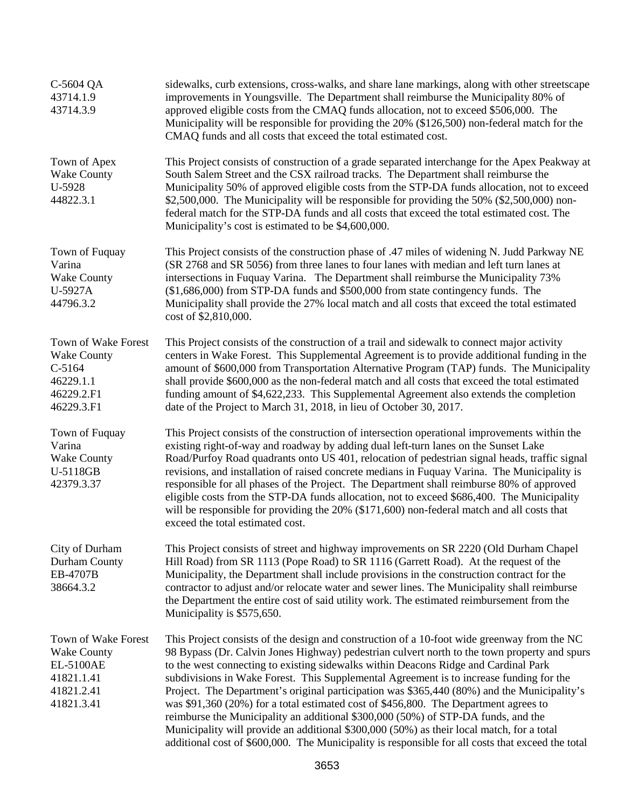| C-5604 QA<br>43714.1.9<br>43714.3.9                                                              | sidewalks, curb extensions, cross-walks, and share lane markings, along with other streetscape<br>improvements in Youngsville. The Department shall reimburse the Municipality 80% of<br>approved eligible costs from the CMAQ funds allocation, not to exceed \$506,000. The<br>Municipality will be responsible for providing the 20% (\$126,500) non-federal match for the<br>CMAQ funds and all costs that exceed the total estimated cost.                                                                                                                                                                                                                                                                                                                                                                                                             |
|--------------------------------------------------------------------------------------------------|-------------------------------------------------------------------------------------------------------------------------------------------------------------------------------------------------------------------------------------------------------------------------------------------------------------------------------------------------------------------------------------------------------------------------------------------------------------------------------------------------------------------------------------------------------------------------------------------------------------------------------------------------------------------------------------------------------------------------------------------------------------------------------------------------------------------------------------------------------------|
| Town of Apex<br><b>Wake County</b><br>U-5928<br>44822.3.1                                        | This Project consists of construction of a grade separated interchange for the Apex Peakway at<br>South Salem Street and the CSX railroad tracks. The Department shall reimburse the<br>Municipality 50% of approved eligible costs from the STP-DA funds allocation, not to exceed<br>\$2,500,000. The Municipality will be responsible for providing the 50% (\$2,500,000) non-<br>federal match for the STP-DA funds and all costs that exceed the total estimated cost. The<br>Municipality's cost is estimated to be \$4,600,000.                                                                                                                                                                                                                                                                                                                      |
| Town of Fuquay<br>Varina<br><b>Wake County</b><br>U-5927A<br>44796.3.2                           | This Project consists of the construction phase of .47 miles of widening N. Judd Parkway NE<br>(SR 2768 and SR 5056) from three lanes to four lanes with median and left turn lanes at<br>intersections in Fuquay Varina. The Department shall reimburse the Municipality 73%<br>$($1,686,000)$ from STP-DA funds and $$500,000$ from state contingency funds. The<br>Municipality shall provide the 27% local match and all costs that exceed the total estimated<br>cost of \$2,810,000.                                                                                                                                                                                                                                                                                                                                                                  |
| Town of Wake Forest<br><b>Wake County</b><br>$C-5164$<br>46229.1.1<br>46229.2.F1<br>46229.3.F1   | This Project consists of the construction of a trail and sidewalk to connect major activity<br>centers in Wake Forest. This Supplemental Agreement is to provide additional funding in the<br>amount of \$600,000 from Transportation Alternative Program (TAP) funds. The Municipality<br>shall provide \$600,000 as the non-federal match and all costs that exceed the total estimated<br>funding amount of \$4,622,233. This Supplemental Agreement also extends the completion<br>date of the Project to March 31, 2018, in lieu of October 30, 2017.                                                                                                                                                                                                                                                                                                  |
| Town of Fuquay<br>Varina<br><b>Wake County</b><br>U-5118GB<br>42379.3.37                         | This Project consists of the construction of intersection operational improvements within the<br>existing right-of-way and roadway by adding dual left-turn lanes on the Sunset Lake<br>Road/Purfoy Road quadrants onto US 401, relocation of pedestrian signal heads, traffic signal<br>revisions, and installation of raised concrete medians in Fuquay Varina. The Municipality is<br>responsible for all phases of the Project. The Department shall reimburse 80% of approved<br>eligible costs from the STP-DA funds allocation, not to exceed \$686,400. The Municipality<br>will be responsible for providing the 20% (\$171,600) non-federal match and all costs that<br>exceed the total estimated cost.                                                                                                                                          |
| City of Durham<br>Durham County<br>EB-4707B<br>38664.3.2                                         | This Project consists of street and highway improvements on SR 2220 (Old Durham Chapel<br>Hill Road) from SR 1113 (Pope Road) to SR 1116 (Garrett Road). At the request of the<br>Municipality, the Department shall include provisions in the construction contract for the<br>contractor to adjust and/or relocate water and sewer lines. The Municipality shall reimburse<br>the Department the entire cost of said utility work. The estimated reimbursement from the<br>Municipality is \$575,650.                                                                                                                                                                                                                                                                                                                                                     |
| Town of Wake Forest<br><b>Wake County</b><br>EL-5100AE<br>41821.1.41<br>41821.2.41<br>41821.3.41 | This Project consists of the design and construction of a 10-foot wide greenway from the NC<br>98 Bypass (Dr. Calvin Jones Highway) pedestrian culvert north to the town property and spurs<br>to the west connecting to existing sidewalks within Deacons Ridge and Cardinal Park<br>subdivisions in Wake Forest. This Supplemental Agreement is to increase funding for the<br>Project. The Department's original participation was \$365,440 (80%) and the Municipality's<br>was \$91,360 (20%) for a total estimated cost of \$456,800. The Department agrees to<br>reimburse the Municipality an additional \$300,000 (50%) of STP-DA funds, and the<br>Municipality will provide an additional \$300,000 (50%) as their local match, for a total<br>additional cost of \$600,000. The Municipality is responsible for all costs that exceed the total |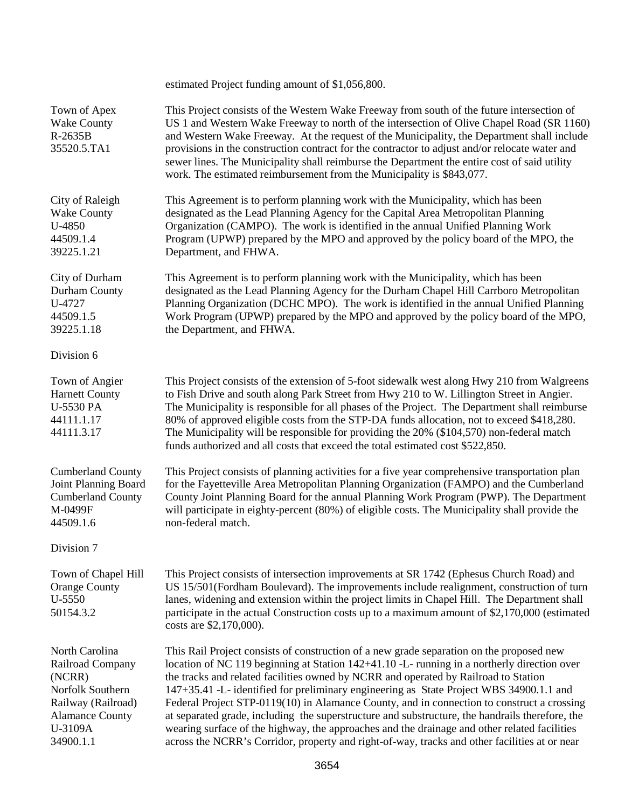|                                                                                                                                          | estimated Project funding amount of \$1,056,800.                                                                                                                                                                                                                                                                                                                                                                                                                                                                                                                                                                                                                                                                                                                            |
|------------------------------------------------------------------------------------------------------------------------------------------|-----------------------------------------------------------------------------------------------------------------------------------------------------------------------------------------------------------------------------------------------------------------------------------------------------------------------------------------------------------------------------------------------------------------------------------------------------------------------------------------------------------------------------------------------------------------------------------------------------------------------------------------------------------------------------------------------------------------------------------------------------------------------------|
| Town of Apex<br><b>Wake County</b><br>R-2635B<br>35520.5.TA1                                                                             | This Project consists of the Western Wake Freeway from south of the future intersection of<br>US 1 and Western Wake Freeway to north of the intersection of Olive Chapel Road (SR 1160)<br>and Western Wake Freeway. At the request of the Municipality, the Department shall include<br>provisions in the construction contract for the contractor to adjust and/or relocate water and<br>sewer lines. The Municipality shall reimburse the Department the entire cost of said utility<br>work. The estimated reimbursement from the Municipality is \$843,077.                                                                                                                                                                                                            |
| City of Raleigh<br><b>Wake County</b><br>U-4850<br>44509.1.4<br>39225.1.21                                                               | This Agreement is to perform planning work with the Municipality, which has been<br>designated as the Lead Planning Agency for the Capital Area Metropolitan Planning<br>Organization (CAMPO). The work is identified in the annual Unified Planning Work<br>Program (UPWP) prepared by the MPO and approved by the policy board of the MPO, the<br>Department, and FHWA.                                                                                                                                                                                                                                                                                                                                                                                                   |
| City of Durham<br>Durham County<br>U-4727<br>44509.1.5<br>39225.1.18                                                                     | This Agreement is to perform planning work with the Municipality, which has been<br>designated as the Lead Planning Agency for the Durham Chapel Hill Carrboro Metropolitan<br>Planning Organization (DCHC MPO). The work is identified in the annual Unified Planning<br>Work Program (UPWP) prepared by the MPO and approved by the policy board of the MPO,<br>the Department, and FHWA.                                                                                                                                                                                                                                                                                                                                                                                 |
| Division 6                                                                                                                               |                                                                                                                                                                                                                                                                                                                                                                                                                                                                                                                                                                                                                                                                                                                                                                             |
| Town of Angier<br><b>Harnett County</b><br><b>U-5530 PA</b><br>44111.1.17<br>44111.3.17                                                  | This Project consists of the extension of 5-foot sidewalk west along Hwy 210 from Walgreens<br>to Fish Drive and south along Park Street from Hwy 210 to W. Lillington Street in Angier.<br>The Municipality is responsible for all phases of the Project. The Department shall reimburse<br>80% of approved eligible costs from the STP-DA funds allocation, not to exceed \$418,280.<br>The Municipality will be responsible for providing the 20% (\$104,570) non-federal match<br>funds authorized and all costs that exceed the total estimated cost \$522,850.                                                                                                                                                                                                        |
| <b>Cumberland County</b><br>Joint Planning Board<br><b>Cumberland County</b><br>M-0499F<br>44509.1.6                                     | This Project consists of planning activities for a five year comprehensive transportation plan<br>for the Fayetteville Area Metropolitan Planning Organization (FAMPO) and the Cumberland<br>County Joint Planning Board for the annual Planning Work Program (PWP). The Department<br>will participate in eighty-percent (80%) of eligible costs. The Municipality shall provide the<br>non-federal match.                                                                                                                                                                                                                                                                                                                                                                 |
| Division 7                                                                                                                               |                                                                                                                                                                                                                                                                                                                                                                                                                                                                                                                                                                                                                                                                                                                                                                             |
| Town of Chapel Hill<br><b>Orange County</b><br>U-5550<br>50154.3.2                                                                       | This Project consists of intersection improvements at SR 1742 (Ephesus Church Road) and<br>US 15/501(Fordham Boulevard). The improvements include realignment, construction of turn<br>lanes, widening and extension within the project limits in Chapel Hill. The Department shall<br>participate in the actual Construction costs up to a maximum amount of \$2,170,000 (estimated<br>costs are \$2,170,000).                                                                                                                                                                                                                                                                                                                                                             |
| North Carolina<br>Railroad Company<br>(NCRR)<br>Norfolk Southern<br>Railway (Railroad)<br><b>Alamance County</b><br>U-3109A<br>34900.1.1 | This Rail Project consists of construction of a new grade separation on the proposed new<br>location of NC 119 beginning at Station 142+41.10 -L- running in a northerly direction over<br>the tracks and related facilities owned by NCRR and operated by Railroad to Station<br>147+35.41 -L- identified for preliminary engineering as State Project WBS 34900.1.1 and<br>Federal Project STP-0119(10) in Alamance County, and in connection to construct a crossing<br>at separated grade, including the superstructure and substructure, the handrails therefore, the<br>wearing surface of the highway, the approaches and the drainage and other related facilities<br>across the NCRR's Corridor, property and right-of-way, tracks and other facilities at or near |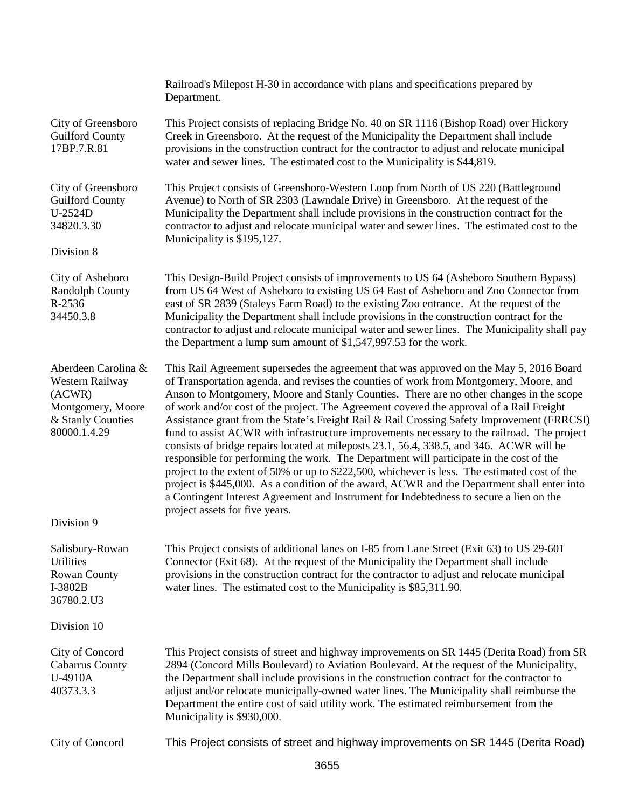|                                                                                                            | Railroad's Milepost H-30 in accordance with plans and specifications prepared by<br>Department.                                                                                                                                                                                                                                                                                                                                                                                                                                                                                                                                                                                                                                                                                                                                                                                                                                                                                                                                                                                           |
|------------------------------------------------------------------------------------------------------------|-------------------------------------------------------------------------------------------------------------------------------------------------------------------------------------------------------------------------------------------------------------------------------------------------------------------------------------------------------------------------------------------------------------------------------------------------------------------------------------------------------------------------------------------------------------------------------------------------------------------------------------------------------------------------------------------------------------------------------------------------------------------------------------------------------------------------------------------------------------------------------------------------------------------------------------------------------------------------------------------------------------------------------------------------------------------------------------------|
| City of Greensboro<br><b>Guilford County</b><br>17BP.7.R.81                                                | This Project consists of replacing Bridge No. 40 on SR 1116 (Bishop Road) over Hickory<br>Creek in Greensboro. At the request of the Municipality the Department shall include<br>provisions in the construction contract for the contractor to adjust and relocate municipal<br>water and sewer lines. The estimated cost to the Municipality is \$44,819.                                                                                                                                                                                                                                                                                                                                                                                                                                                                                                                                                                                                                                                                                                                               |
| City of Greensboro<br><b>Guilford County</b><br>U-2524D<br>34820.3.30<br>Division 8                        | This Project consists of Greensboro-Western Loop from North of US 220 (Battleground<br>Avenue) to North of SR 2303 (Lawndale Drive) in Greensboro. At the request of the<br>Municipality the Department shall include provisions in the construction contract for the<br>contractor to adjust and relocate municipal water and sewer lines. The estimated cost to the<br>Municipality is \$195,127.                                                                                                                                                                                                                                                                                                                                                                                                                                                                                                                                                                                                                                                                                       |
|                                                                                                            |                                                                                                                                                                                                                                                                                                                                                                                                                                                                                                                                                                                                                                                                                                                                                                                                                                                                                                                                                                                                                                                                                           |
| City of Asheboro<br><b>Randolph County</b><br>R-2536<br>34450.3.8                                          | This Design-Build Project consists of improvements to US 64 (Asheboro Southern Bypass)<br>from US 64 West of Asheboro to existing US 64 East of Asheboro and Zoo Connector from<br>east of SR 2839 (Staleys Farm Road) to the existing Zoo entrance. At the request of the<br>Municipality the Department shall include provisions in the construction contract for the<br>contractor to adjust and relocate municipal water and sewer lines. The Municipality shall pay<br>the Department a lump sum amount of \$1,547,997.53 for the work.                                                                                                                                                                                                                                                                                                                                                                                                                                                                                                                                              |
| Aberdeen Carolina &<br>Western Railway<br>(ACWR)<br>Montgomery, Moore<br>& Stanly Counties<br>80000.1.4.29 | This Rail Agreement supersedes the agreement that was approved on the May 5, 2016 Board<br>of Transportation agenda, and revises the counties of work from Montgomery, Moore, and<br>Anson to Montgomery, Moore and Stanly Counties. There are no other changes in the scope<br>of work and/or cost of the project. The Agreement covered the approval of a Rail Freight<br>Assistance grant from the State's Freight Rail & Rail Crossing Safety Improvement (FRRCSI)<br>fund to assist ACWR with infrastructure improvements necessary to the railroad. The project<br>consists of bridge repairs located at mileposts 23.1, 56.4, 338.5, and 346. ACWR will be<br>responsible for performing the work. The Department will participate in the cost of the<br>project to the extent of 50% or up to \$222,500, whichever is less. The estimated cost of the<br>project is \$445,000. As a condition of the award, ACWR and the Department shall enter into<br>a Contingent Interest Agreement and Instrument for Indebtedness to secure a lien on the<br>project assets for five years. |
| Division 9                                                                                                 |                                                                                                                                                                                                                                                                                                                                                                                                                                                                                                                                                                                                                                                                                                                                                                                                                                                                                                                                                                                                                                                                                           |
| Salisbury-Rowan<br>Utilities<br><b>Rowan County</b><br>I-3802B<br>36780.2.U3                               | This Project consists of additional lanes on I-85 from Lane Street (Exit 63) to US 29-601<br>Connector (Exit 68). At the request of the Municipality the Department shall include<br>provisions in the construction contract for the contractor to adjust and relocate municipal<br>water lines. The estimated cost to the Municipality is \$85,311.90.                                                                                                                                                                                                                                                                                                                                                                                                                                                                                                                                                                                                                                                                                                                                   |
| Division 10                                                                                                |                                                                                                                                                                                                                                                                                                                                                                                                                                                                                                                                                                                                                                                                                                                                                                                                                                                                                                                                                                                                                                                                                           |
| City of Concord<br><b>Cabarrus County</b><br>U-4910A<br>40373.3.3                                          | This Project consists of street and highway improvements on SR 1445 (Derita Road) from SR<br>2894 (Concord Mills Boulevard) to Aviation Boulevard. At the request of the Municipality,<br>the Department shall include provisions in the construction contract for the contractor to<br>adjust and/or relocate municipally-owned water lines. The Municipality shall reimburse the<br>Department the entire cost of said utility work. The estimated reimbursement from the<br>Municipality is \$930,000.                                                                                                                                                                                                                                                                                                                                                                                                                                                                                                                                                                                 |
| City of Concord                                                                                            | This Project consists of street and highway improvements on SR 1445 (Derita Road)                                                                                                                                                                                                                                                                                                                                                                                                                                                                                                                                                                                                                                                                                                                                                                                                                                                                                                                                                                                                         |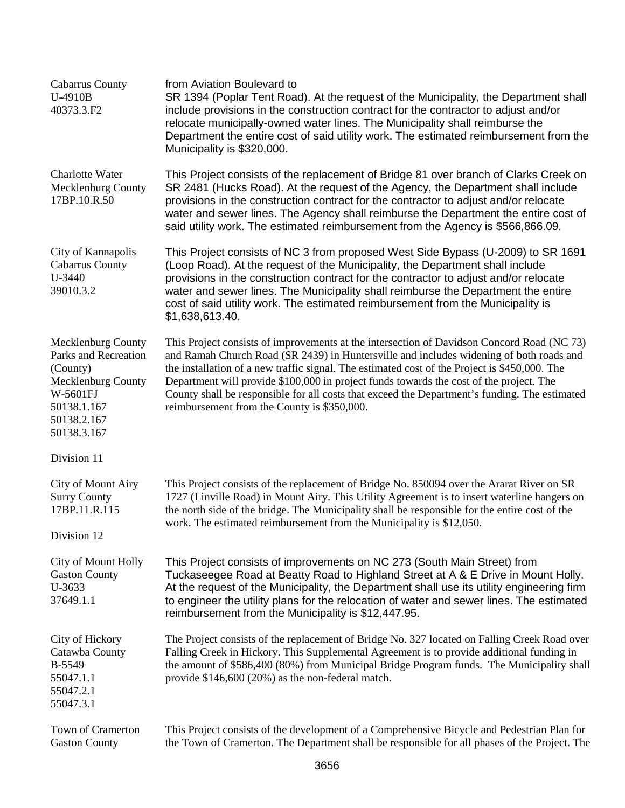| <b>Cabarrus County</b><br>U-4910B<br>40373.3.F2                                                                                       | from Aviation Boulevard to<br>SR 1394 (Poplar Tent Road). At the request of the Municipality, the Department shall<br>include provisions in the construction contract for the contractor to adjust and/or<br>relocate municipally-owned water lines. The Municipality shall reimburse the<br>Department the entire cost of said utility work. The estimated reimbursement from the<br>Municipality is \$320,000.                                                                                                                  |
|---------------------------------------------------------------------------------------------------------------------------------------|-----------------------------------------------------------------------------------------------------------------------------------------------------------------------------------------------------------------------------------------------------------------------------------------------------------------------------------------------------------------------------------------------------------------------------------------------------------------------------------------------------------------------------------|
| Charlotte Water<br>Mecklenburg County<br>17BP.10.R.50                                                                                 | This Project consists of the replacement of Bridge 81 over branch of Clarks Creek on<br>SR 2481 (Hucks Road). At the request of the Agency, the Department shall include<br>provisions in the construction contract for the contractor to adjust and/or relocate<br>water and sewer lines. The Agency shall reimburse the Department the entire cost of<br>said utility work. The estimated reimbursement from the Agency is \$566,866.09.                                                                                        |
| City of Kannapolis<br><b>Cabarrus County</b><br>U-3440<br>39010.3.2                                                                   | This Project consists of NC 3 from proposed West Side Bypass (U-2009) to SR 1691<br>(Loop Road). At the request of the Municipality, the Department shall include<br>provisions in the construction contract for the contractor to adjust and/or relocate<br>water and sewer lines. The Municipality shall reimburse the Department the entire<br>cost of said utility work. The estimated reimbursement from the Municipality is<br>\$1,638,613.40.                                                                              |
| Mecklenburg County<br>Parks and Recreation<br>(County)<br>Mecklenburg County<br>W-5601FJ<br>50138.1.167<br>50138.2.167<br>50138.3.167 | This Project consists of improvements at the intersection of Davidson Concord Road (NC 73)<br>and Ramah Church Road (SR 2439) in Huntersville and includes widening of both roads and<br>the installation of a new traffic signal. The estimated cost of the Project is \$450,000. The<br>Department will provide \$100,000 in project funds towards the cost of the project. The<br>County shall be responsible for all costs that exceed the Department's funding. The estimated<br>reimbursement from the County is \$350,000. |
| Division 11                                                                                                                           |                                                                                                                                                                                                                                                                                                                                                                                                                                                                                                                                   |
| City of Mount Airy<br><b>Surry County</b><br>17BP.11.R.115                                                                            | This Project consists of the replacement of Bridge No. 850094 over the Ararat River on SR<br>1727 (Linville Road) in Mount Airy. This Utility Agreement is to insert waterline hangers on<br>the north side of the bridge. The Municipality shall be responsible for the entire cost of the<br>work. The estimated reimbursement from the Municipality is \$12,050.                                                                                                                                                               |
| Division 12                                                                                                                           |                                                                                                                                                                                                                                                                                                                                                                                                                                                                                                                                   |
| City of Mount Holly<br><b>Gaston County</b><br>U-3633<br>37649.1.1                                                                    | This Project consists of improvements on NC 273 (South Main Street) from<br>Tuckaseegee Road at Beatty Road to Highland Street at A & E Drive in Mount Holly.<br>At the request of the Municipality, the Department shall use its utility engineering firm<br>to engineer the utility plans for the relocation of water and sewer lines. The estimated<br>reimbursement from the Municipality is \$12,447.95.                                                                                                                     |
| City of Hickory<br>Catawba County<br>B-5549<br>55047.1.1<br>55047.2.1<br>55047.3.1                                                    | The Project consists of the replacement of Bridge No. 327 located on Falling Creek Road over<br>Falling Creek in Hickory. This Supplemental Agreement is to provide additional funding in<br>the amount of \$586,400 (80%) from Municipal Bridge Program funds. The Municipality shall<br>provide $$146,600 (20%)$ as the non-federal match.                                                                                                                                                                                      |
| Town of Cramerton<br><b>Gaston County</b>                                                                                             | This Project consists of the development of a Comprehensive Bicycle and Pedestrian Plan for<br>the Town of Cramerton. The Department shall be responsible for all phases of the Project. The                                                                                                                                                                                                                                                                                                                                      |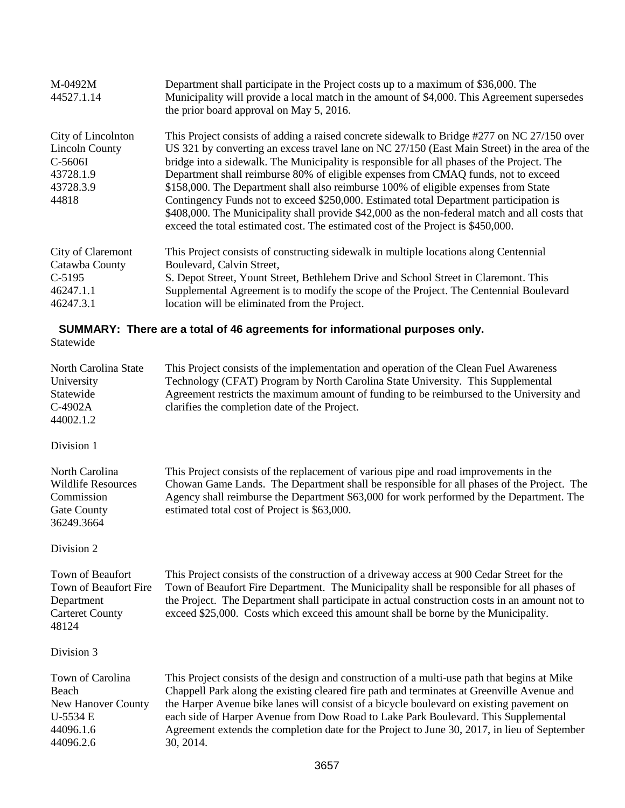| M-0492M<br>44527.1.14                                                                     | Department shall participate in the Project costs up to a maximum of \$36,000. The<br>Municipality will provide a local match in the amount of \$4,000. This Agreement supersedes<br>the prior board approval on May 5, 2016.                                                                                                                                                                                                                                                                                                                                                                                                                                                                                                                           |  |
|-------------------------------------------------------------------------------------------|---------------------------------------------------------------------------------------------------------------------------------------------------------------------------------------------------------------------------------------------------------------------------------------------------------------------------------------------------------------------------------------------------------------------------------------------------------------------------------------------------------------------------------------------------------------------------------------------------------------------------------------------------------------------------------------------------------------------------------------------------------|--|
| City of Lincolnton<br><b>Lincoln County</b><br>C-5606I<br>43728.1.9<br>43728.3.9<br>44818 | This Project consists of adding a raised concrete sidewalk to Bridge #277 on NC 27/150 over<br>US 321 by converting an excess travel lane on NC 27/150 (East Main Street) in the area of the<br>bridge into a sidewalk. The Municipality is responsible for all phases of the Project. The<br>Department shall reimburse 80% of eligible expenses from CMAQ funds, not to exceed<br>\$158,000. The Department shall also reimburse 100% of eligible expenses from State<br>Contingency Funds not to exceed \$250,000. Estimated total Department participation is<br>\$408,000. The Municipality shall provide \$42,000 as the non-federal match and all costs that<br>exceed the total estimated cost. The estimated cost of the Project is \$450,000. |  |
| City of Claremont                                                                         | This Project consists of constructing sidewalk in multiple locations along Centennial                                                                                                                                                                                                                                                                                                                                                                                                                                                                                                                                                                                                                                                                   |  |
| Catawba County                                                                            | Boulevard, Calvin Street,                                                                                                                                                                                                                                                                                                                                                                                                                                                                                                                                                                                                                                                                                                                               |  |
| $C-5195$                                                                                  | S. Depot Street, Yount Street, Bethlehem Drive and School Street in Claremont. This                                                                                                                                                                                                                                                                                                                                                                                                                                                                                                                                                                                                                                                                     |  |
| 46247.1.1                                                                                 | Supplemental Agreement is to modify the scope of the Project. The Centennial Boulevard                                                                                                                                                                                                                                                                                                                                                                                                                                                                                                                                                                                                                                                                  |  |
| 46247.3.1                                                                                 | location will be eliminated from the Project.                                                                                                                                                                                                                                                                                                                                                                                                                                                                                                                                                                                                                                                                                                           |  |
| SUMMARY: There are a total of 46 agreements for informational purposes only.              |                                                                                                                                                                                                                                                                                                                                                                                                                                                                                                                                                                                                                                                                                                                                                         |  |

# Statewide

| North Carolina State<br>University<br>Statewide<br>C-4902A<br>44002.1.2                       | This Project consists of the implementation and operation of the Clean Fuel Awareness<br>Technology (CFAT) Program by North Carolina State University. This Supplemental<br>Agreement restricts the maximum amount of funding to be reimbursed to the University and<br>clarifies the completion date of the Project.                                                                                                                                                                     |
|-----------------------------------------------------------------------------------------------|-------------------------------------------------------------------------------------------------------------------------------------------------------------------------------------------------------------------------------------------------------------------------------------------------------------------------------------------------------------------------------------------------------------------------------------------------------------------------------------------|
| Division 1                                                                                    |                                                                                                                                                                                                                                                                                                                                                                                                                                                                                           |
| North Carolina<br><b>Wildlife Resources</b><br>Commission<br><b>Gate County</b><br>36249.3664 | This Project consists of the replacement of various pipe and road improvements in the<br>Chowan Game Lands. The Department shall be responsible for all phases of the Project. The<br>Agency shall reimburse the Department \$63,000 for work performed by the Department. The<br>estimated total cost of Project is \$63,000.                                                                                                                                                            |
| Division 2                                                                                    |                                                                                                                                                                                                                                                                                                                                                                                                                                                                                           |
| Town of Beaufort<br>Town of Beaufort Fire<br>Department<br><b>Carteret County</b><br>48124    | This Project consists of the construction of a driveway access at 900 Cedar Street for the<br>Town of Beaufort Fire Department. The Municipality shall be responsible for all phases of<br>the Project. The Department shall participate in actual construction costs in an amount not to<br>exceed \$25,000. Costs which exceed this amount shall be borne by the Municipality.                                                                                                          |
| Division 3                                                                                    |                                                                                                                                                                                                                                                                                                                                                                                                                                                                                           |
| Town of Carolina<br>Beach<br><b>New Hanover County</b><br>U-5534 E<br>44096.1.6<br>44096.2.6  | This Project consists of the design and construction of a multi-use path that begins at Mike<br>Chappell Park along the existing cleared fire path and terminates at Greenville Avenue and<br>the Harper Avenue bike lanes will consist of a bicycle boulevard on existing pavement on<br>each side of Harper Avenue from Dow Road to Lake Park Boulevard. This Supplemental<br>Agreement extends the completion date for the Project to June 30, 2017, in lieu of September<br>30, 2014. |
|                                                                                               | $\sim$ $\sim$ $-$                                                                                                                                                                                                                                                                                                                                                                                                                                                                         |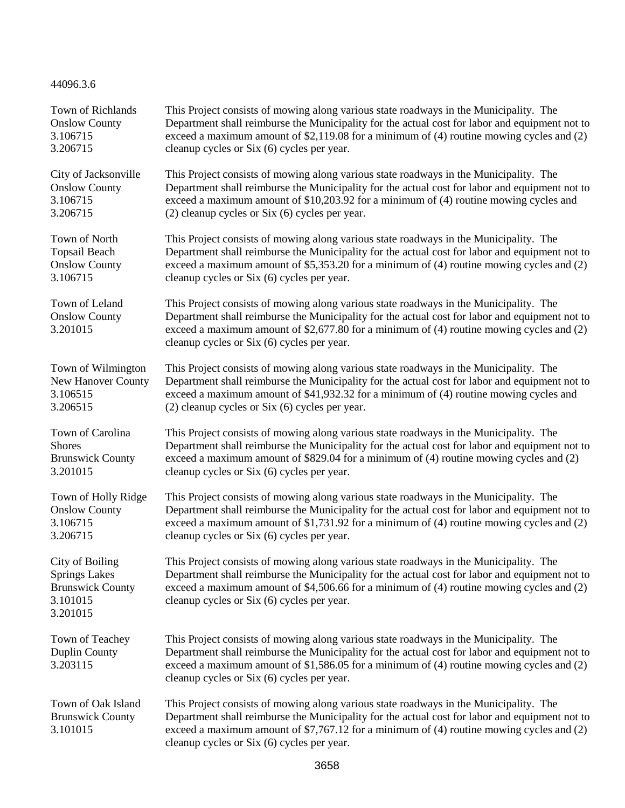44096.3.6

| Town of Richlands                                                                          | This Project consists of mowing along various state roadways in the Municipality. The                                                                                                                                                                                                                                              |
|--------------------------------------------------------------------------------------------|------------------------------------------------------------------------------------------------------------------------------------------------------------------------------------------------------------------------------------------------------------------------------------------------------------------------------------|
| <b>Onslow County</b>                                                                       | Department shall reimburse the Municipality for the actual cost for labor and equipment not to                                                                                                                                                                                                                                     |
| 3.106715                                                                                   | exceed a maximum amount of $$2,119.08$ for a minimum of (4) routine mowing cycles and (2)                                                                                                                                                                                                                                          |
| 3.206715                                                                                   | cleanup cycles or Six (6) cycles per year.                                                                                                                                                                                                                                                                                         |
| City of Jacksonville                                                                       | This Project consists of mowing along various state roadways in the Municipality. The                                                                                                                                                                                                                                              |
| <b>Onslow County</b>                                                                       | Department shall reimburse the Municipality for the actual cost for labor and equipment not to                                                                                                                                                                                                                                     |
| 3.106715                                                                                   | exceed a maximum amount of \$10,203.92 for a minimum of (4) routine mowing cycles and                                                                                                                                                                                                                                              |
| 3.206715                                                                                   | $(2)$ cleanup cycles or Six $(6)$ cycles per year.                                                                                                                                                                                                                                                                                 |
| Town of North                                                                              | This Project consists of mowing along various state roadways in the Municipality. The                                                                                                                                                                                                                                              |
| <b>Topsail Beach</b>                                                                       | Department shall reimburse the Municipality for the actual cost for labor and equipment not to                                                                                                                                                                                                                                     |
| <b>Onslow County</b>                                                                       | exceed a maximum amount of $$5,353.20$ for a minimum of (4) routine mowing cycles and (2)                                                                                                                                                                                                                                          |
| 3.106715                                                                                   | cleanup cycles or Six (6) cycles per year.                                                                                                                                                                                                                                                                                         |
| Town of Leland<br><b>Onslow County</b><br>3.201015                                         | This Project consists of mowing along various state roadways in the Municipality. The<br>Department shall reimburse the Municipality for the actual cost for labor and equipment not to<br>exceed a maximum amount of $$2,677.80$ for a minimum of (4) routine mowing cycles and (2)<br>cleanup cycles or Six (6) cycles per year. |
| Town of Wilmington                                                                         | This Project consists of mowing along various state roadways in the Municipality. The                                                                                                                                                                                                                                              |
| New Hanover County                                                                         | Department shall reimburse the Municipality for the actual cost for labor and equipment not to                                                                                                                                                                                                                                     |
| 3.106515                                                                                   | exceed a maximum amount of \$41,932.32 for a minimum of (4) routine mowing cycles and                                                                                                                                                                                                                                              |
| 3.206515                                                                                   | $(2)$ cleanup cycles or Six $(6)$ cycles per year.                                                                                                                                                                                                                                                                                 |
| Town of Carolina                                                                           | This Project consists of mowing along various state roadways in the Municipality. The                                                                                                                                                                                                                                              |
| <b>Shores</b>                                                                              | Department shall reimburse the Municipality for the actual cost for labor and equipment not to                                                                                                                                                                                                                                     |
| <b>Brunswick County</b>                                                                    | exceed a maximum amount of $$829.04$ for a minimum of (4) routine mowing cycles and (2)                                                                                                                                                                                                                                            |
| 3.201015                                                                                   | cleanup cycles or Six (6) cycles per year.                                                                                                                                                                                                                                                                                         |
| Town of Holly Ridge                                                                        | This Project consists of mowing along various state roadways in the Municipality. The                                                                                                                                                                                                                                              |
| <b>Onslow County</b>                                                                       | Department shall reimburse the Municipality for the actual cost for labor and equipment not to                                                                                                                                                                                                                                     |
| 3.106715                                                                                   | exceed a maximum amount of $$1,731.92$ for a minimum of (4) routine mowing cycles and (2)                                                                                                                                                                                                                                          |
| 3.206715                                                                                   | cleanup cycles or Six (6) cycles per year.                                                                                                                                                                                                                                                                                         |
| City of Boiling<br><b>Springs Lakes</b><br><b>Brunswick County</b><br>3.101015<br>3.201015 | This Project consists of mowing along various state roadways in the Municipality. The<br>Department shall reimburse the Municipality for the actual cost for labor and equipment not to<br>exceed a maximum amount of \$4,506.66 for a minimum of (4) routine mowing cycles and (2)<br>cleanup cycles or Six (6) cycles per year.  |
| Town of Teachey<br><b>Duplin County</b><br>3.203115                                        | This Project consists of mowing along various state roadways in the Municipality. The<br>Department shall reimburse the Municipality for the actual cost for labor and equipment not to<br>exceed a maximum amount of $$1,586.05$ for a minimum of (4) routine mowing cycles and (2)<br>cleanup cycles or Six (6) cycles per year. |
| Town of Oak Island<br><b>Brunswick County</b><br>3.101015                                  | This Project consists of mowing along various state roadways in the Municipality. The<br>Department shall reimburse the Municipality for the actual cost for labor and equipment not to<br>exceed a maximum amount of $$7,767.12$ for a minimum of (4) routine mowing cycles and (2)<br>cleanup cycles or Six (6) cycles per year. |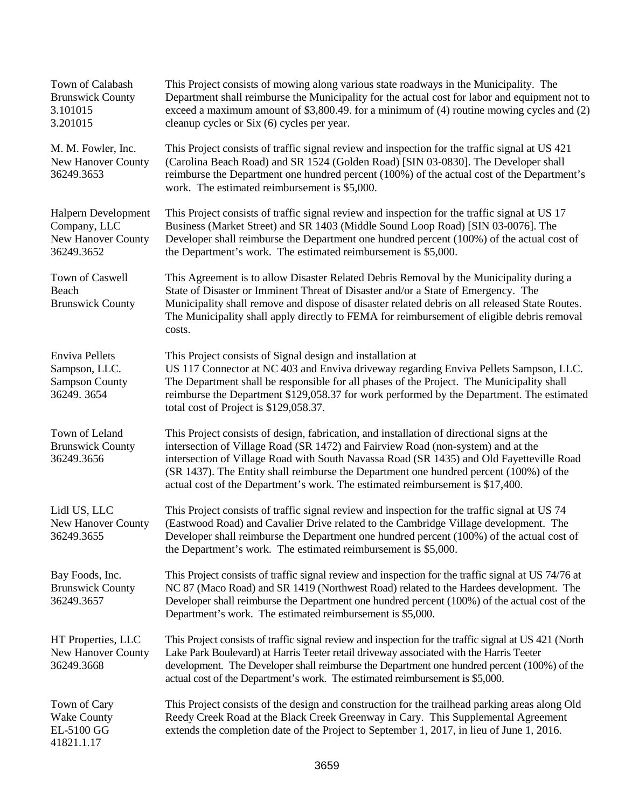| Town of Calabash<br><b>Brunswick County</b><br>3.101015<br>3.201015            | This Project consists of mowing along various state roadways in the Municipality. The<br>Department shall reimburse the Municipality for the actual cost for labor and equipment not to<br>exceed a maximum amount of $$3,800.49$ . for a minimum of (4) routine mowing cycles and (2)<br>cleanup cycles or Six (6) cycles per year.                                                                                                                   |
|--------------------------------------------------------------------------------|--------------------------------------------------------------------------------------------------------------------------------------------------------------------------------------------------------------------------------------------------------------------------------------------------------------------------------------------------------------------------------------------------------------------------------------------------------|
| M. M. Fowler, Inc.<br><b>New Hanover County</b><br>36249.3653                  | This Project consists of traffic signal review and inspection for the traffic signal at US 421<br>(Carolina Beach Road) and SR 1524 (Golden Road) [SIN 03-0830]. The Developer shall<br>reimburse the Department one hundred percent (100%) of the actual cost of the Department's<br>work. The estimated reimbursement is \$5,000.                                                                                                                    |
| Halpern Development<br>Company, LLC<br><b>New Hanover County</b><br>36249.3652 | This Project consists of traffic signal review and inspection for the traffic signal at US 17<br>Business (Market Street) and SR 1403 (Middle Sound Loop Road) [SIN 03-0076]. The<br>Developer shall reimburse the Department one hundred percent (100%) of the actual cost of<br>the Department's work. The estimated reimbursement is \$5,000.                                                                                                       |
| Town of Caswell<br>Beach<br><b>Brunswick County</b>                            | This Agreement is to allow Disaster Related Debris Removal by the Municipality during a<br>State of Disaster or Imminent Threat of Disaster and/or a State of Emergency. The<br>Municipality shall remove and dispose of disaster related debris on all released State Routes.<br>The Municipality shall apply directly to FEMA for reimbursement of eligible debris removal<br>costs.                                                                 |
| <b>Enviva Pellets</b><br>Sampson, LLC.<br><b>Sampson County</b><br>36249.3654  | This Project consists of Signal design and installation at<br>US 117 Connector at NC 403 and Enviva driveway regarding Enviva Pellets Sampson, LLC.<br>The Department shall be responsible for all phases of the Project. The Municipality shall<br>reimburse the Department \$129,058.37 for work performed by the Department. The estimated<br>total cost of Project is \$129,058.37.                                                                |
| Town of Leland<br><b>Brunswick County</b><br>36249.3656                        | This Project consists of design, fabrication, and installation of directional signs at the<br>intersection of Village Road (SR 1472) and Fairview Road (non-system) and at the<br>intersection of Village Road with South Navassa Road (SR 1435) and Old Fayetteville Road<br>(SR 1437). The Entity shall reimburse the Department one hundred percent (100%) of the<br>actual cost of the Department's work. The estimated reimbursement is \$17,400. |
| Lidl US, LLC<br>New Hanover County<br>36249.3655                               | This Project consists of traffic signal review and inspection for the traffic signal at US 74<br>(Eastwood Road) and Cavalier Drive related to the Cambridge Village development. The<br>Developer shall reimburse the Department one hundred percent (100%) of the actual cost of<br>the Department's work. The estimated reimbursement is \$5,000.                                                                                                   |
| Bay Foods, Inc.<br><b>Brunswick County</b><br>36249.3657                       | This Project consists of traffic signal review and inspection for the traffic signal at US 74/76 at<br>NC 87 (Maco Road) and SR 1419 (Northwest Road) related to the Hardees development. The<br>Developer shall reimburse the Department one hundred percent (100%) of the actual cost of the<br>Department's work. The estimated reimbursement is \$5,000.                                                                                           |
| HT Properties, LLC<br><b>New Hanover County</b><br>36249.3668                  | This Project consists of traffic signal review and inspection for the traffic signal at US 421 (North<br>Lake Park Boulevard) at Harris Teeter retail driveway associated with the Harris Teeter<br>development. The Developer shall reimburse the Department one hundred percent (100%) of the<br>actual cost of the Department's work. The estimated reimbursement is \$5,000.                                                                       |
| Town of Cary<br><b>Wake County</b><br>EL-5100 GG<br>41821.1.17                 | This Project consists of the design and construction for the trailhead parking areas along Old<br>Reedy Creek Road at the Black Creek Greenway in Cary. This Supplemental Agreement<br>extends the completion date of the Project to September 1, 2017, in lieu of June 1, 2016.                                                                                                                                                                       |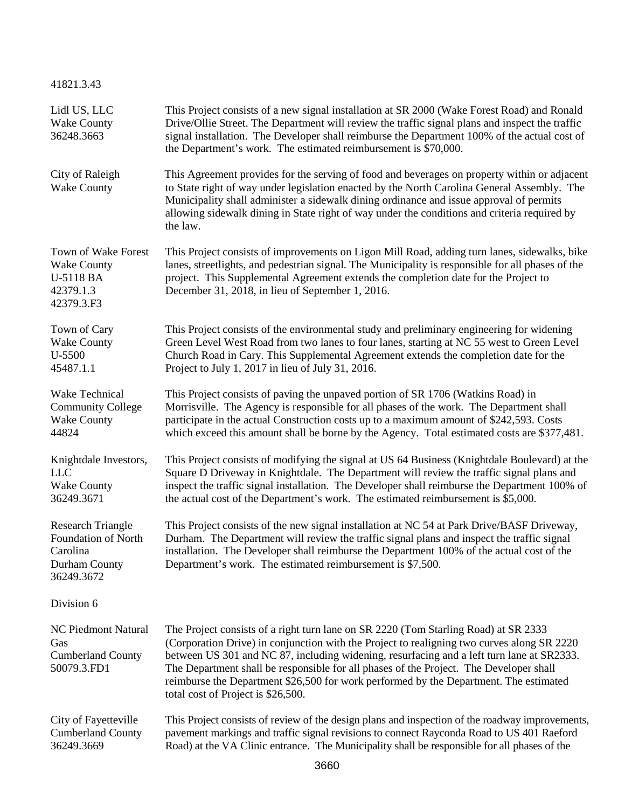41821.3.43

| Lidl US, LLC<br><b>Wake County</b><br>36248.3663                                                  | This Project consists of a new signal installation at SR 2000 (Wake Forest Road) and Ronald<br>Drive/Ollie Street. The Department will review the traffic signal plans and inspect the traffic<br>signal installation. The Developer shall reimburse the Department 100% of the actual cost of<br>the Department's work. The estimated reimbursement is \$70,000.                                                                                                                                       |  |  |
|---------------------------------------------------------------------------------------------------|---------------------------------------------------------------------------------------------------------------------------------------------------------------------------------------------------------------------------------------------------------------------------------------------------------------------------------------------------------------------------------------------------------------------------------------------------------------------------------------------------------|--|--|
| City of Raleigh<br><b>Wake County</b>                                                             | This Agreement provides for the serving of food and beverages on property within or adjacent<br>to State right of way under legislation enacted by the North Carolina General Assembly. The<br>Municipality shall administer a sidewalk dining ordinance and issue approval of permits<br>allowing sidewalk dining in State right of way under the conditions and criteria required by<br>the law.                                                                                                      |  |  |
| Town of Wake Forest<br><b>Wake County</b><br>U-5118 BA<br>42379.1.3<br>42379.3.F3                 | This Project consists of improvements on Ligon Mill Road, adding turn lanes, sidewalks, bike<br>lanes, streetlights, and pedestrian signal. The Municipality is responsible for all phases of the<br>project. This Supplemental Agreement extends the completion date for the Project to<br>December 31, 2018, in lieu of September 1, 2016.                                                                                                                                                            |  |  |
| Town of Cary<br><b>Wake County</b><br>$U - 5500$<br>45487.1.1                                     | This Project consists of the environmental study and preliminary engineering for widening<br>Green Level West Road from two lanes to four lanes, starting at NC 55 west to Green Level<br>Church Road in Cary. This Supplemental Agreement extends the completion date for the<br>Project to July 1, 2017 in lieu of July 31, 2016.                                                                                                                                                                     |  |  |
| Wake Technical<br><b>Community College</b><br><b>Wake County</b><br>44824                         | This Project consists of paving the unpaved portion of SR 1706 (Watkins Road) in<br>Morrisville. The Agency is responsible for all phases of the work. The Department shall<br>participate in the actual Construction costs up to a maximum amount of \$242,593. Costs<br>which exceed this amount shall be borne by the Agency. Total estimated costs are \$377,481.                                                                                                                                   |  |  |
| Knightdale Investors,<br><b>LLC</b><br><b>Wake County</b><br>36249.3671                           | This Project consists of modifying the signal at US 64 Business (Knightdale Boulevard) at the<br>Square D Driveway in Knightdale. The Department will review the traffic signal plans and<br>inspect the traffic signal installation. The Developer shall reimburse the Department 100% of<br>the actual cost of the Department's work. The estimated reimbursement is \$5,000.                                                                                                                         |  |  |
| <b>Research Triangle</b><br><b>Foundation of North</b><br>Carolina<br>Durham County<br>36249.3672 | This Project consists of the new signal installation at NC 54 at Park Drive/BASF Driveway,<br>Durham. The Department will review the traffic signal plans and inspect the traffic signal<br>installation. The Developer shall reimburse the Department 100% of the actual cost of the<br>Department's work. The estimated reimbursement is \$7,500.                                                                                                                                                     |  |  |
| Division 6                                                                                        |                                                                                                                                                                                                                                                                                                                                                                                                                                                                                                         |  |  |
| <b>NC Piedmont Natural</b><br>Gas<br><b>Cumberland County</b><br>50079.3.FD1                      | The Project consists of a right turn lane on SR 2220 (Tom Starling Road) at SR 2333<br>(Corporation Drive) in conjunction with the Project to realigning two curves along SR 2220<br>between US 301 and NC 87, including widening, resurfacing and a left turn lane at SR2333.<br>The Department shall be responsible for all phases of the Project. The Developer shall<br>reimburse the Department \$26,500 for work performed by the Department. The estimated<br>total cost of Project is \$26,500. |  |  |
| City of Fayetteville<br><b>Cumberland County</b><br>36249.3669                                    | This Project consists of review of the design plans and inspection of the roadway improvements,<br>pavement markings and traffic signal revisions to connect Rayconda Road to US 401 Raeford<br>Road) at the VA Clinic entrance. The Municipality shall be responsible for all phases of the                                                                                                                                                                                                            |  |  |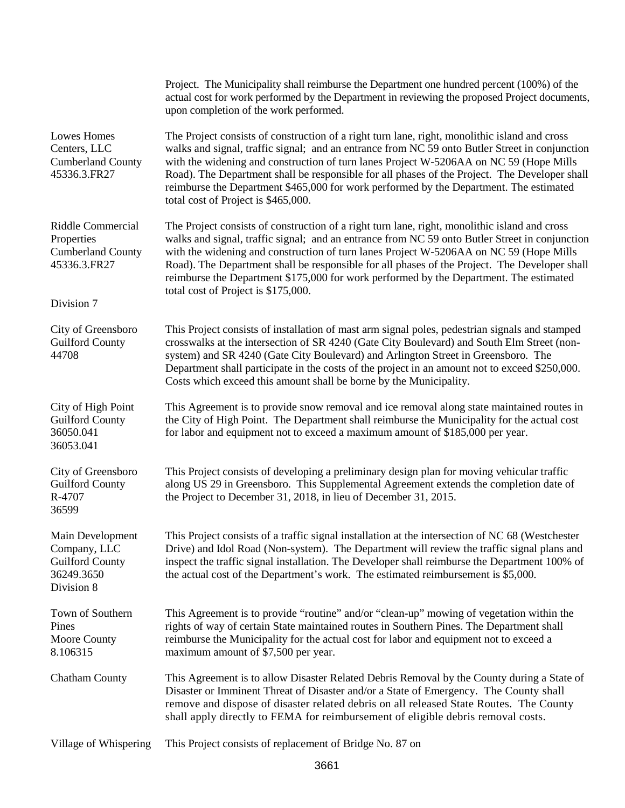|                                                                                           | Project. The Municipality shall reimburse the Department one hundred percent (100%) of the<br>actual cost for work performed by the Department in reviewing the proposed Project documents,<br>upon completion of the work performed.                                                                                                                                                                                                                                                                                       |
|-------------------------------------------------------------------------------------------|-----------------------------------------------------------------------------------------------------------------------------------------------------------------------------------------------------------------------------------------------------------------------------------------------------------------------------------------------------------------------------------------------------------------------------------------------------------------------------------------------------------------------------|
| <b>Lowes Homes</b><br>Centers, LLC<br><b>Cumberland County</b><br>45336.3.FR27            | The Project consists of construction of a right turn lane, right, monolithic island and cross<br>walks and signal, traffic signal; and an entrance from NC 59 onto Butler Street in conjunction<br>with the widening and construction of turn lanes Project W-5206AA on NC 59 (Hope Mills<br>Road). The Department shall be responsible for all phases of the Project. The Developer shall<br>reimburse the Department \$465,000 for work performed by the Department. The estimated<br>total cost of Project is \$465,000. |
| Riddle Commercial<br>Properties<br><b>Cumberland County</b><br>45336.3.FR27<br>Division 7 | The Project consists of construction of a right turn lane, right, monolithic island and cross<br>walks and signal, traffic signal; and an entrance from NC 59 onto Butler Street in conjunction<br>with the widening and construction of turn lanes Project W-5206AA on NC 59 (Hope Mills<br>Road). The Department shall be responsible for all phases of the Project. The Developer shall<br>reimburse the Department \$175,000 for work performed by the Department. The estimated<br>total cost of Project is \$175,000. |
| City of Greensboro<br><b>Guilford County</b><br>44708                                     | This Project consists of installation of mast arm signal poles, pedestrian signals and stamped<br>crosswalks at the intersection of SR 4240 (Gate City Boulevard) and South Elm Street (non-<br>system) and SR 4240 (Gate City Boulevard) and Arlington Street in Greensboro. The<br>Department shall participate in the costs of the project in an amount not to exceed \$250,000.<br>Costs which exceed this amount shall be borne by the Municipality.                                                                   |
| City of High Point<br><b>Guilford County</b><br>36050.041<br>36053.041                    | This Agreement is to provide snow removal and ice removal along state maintained routes in<br>the City of High Point. The Department shall reimburse the Municipality for the actual cost<br>for labor and equipment not to exceed a maximum amount of \$185,000 per year.                                                                                                                                                                                                                                                  |
| City of Greensboro<br><b>Guilford County</b><br>R-4707<br>36599                           | This Project consists of developing a preliminary design plan for moving vehicular traffic<br>along US 29 in Greensboro. This Supplemental Agreement extends the completion date of<br>the Project to December 31, 2018, in lieu of December 31, 2015.                                                                                                                                                                                                                                                                      |
| Main Development<br>Company, LLC<br><b>Guilford County</b><br>36249.3650<br>Division 8    | This Project consists of a traffic signal installation at the intersection of NC 68 (Westchester<br>Drive) and Idol Road (Non-system). The Department will review the traffic signal plans and<br>inspect the traffic signal installation. The Developer shall reimburse the Department 100% of<br>the actual cost of the Department's work. The estimated reimbursement is \$5,000.                                                                                                                                        |
| Town of Southern<br>Pines<br>Moore County<br>8.106315                                     | This Agreement is to provide "routine" and/or "clean-up" mowing of vegetation within the<br>rights of way of certain State maintained routes in Southern Pines. The Department shall<br>reimburse the Municipality for the actual cost for labor and equipment not to exceed a<br>maximum amount of \$7,500 per year.                                                                                                                                                                                                       |
| <b>Chatham County</b>                                                                     | This Agreement is to allow Disaster Related Debris Removal by the County during a State of<br>Disaster or Imminent Threat of Disaster and/or a State of Emergency. The County shall<br>remove and dispose of disaster related debris on all released State Routes. The County<br>shall apply directly to FEMA for reimbursement of eligible debris removal costs.                                                                                                                                                           |
| Village of Whispering                                                                     | This Project consists of replacement of Bridge No. 87 on                                                                                                                                                                                                                                                                                                                                                                                                                                                                    |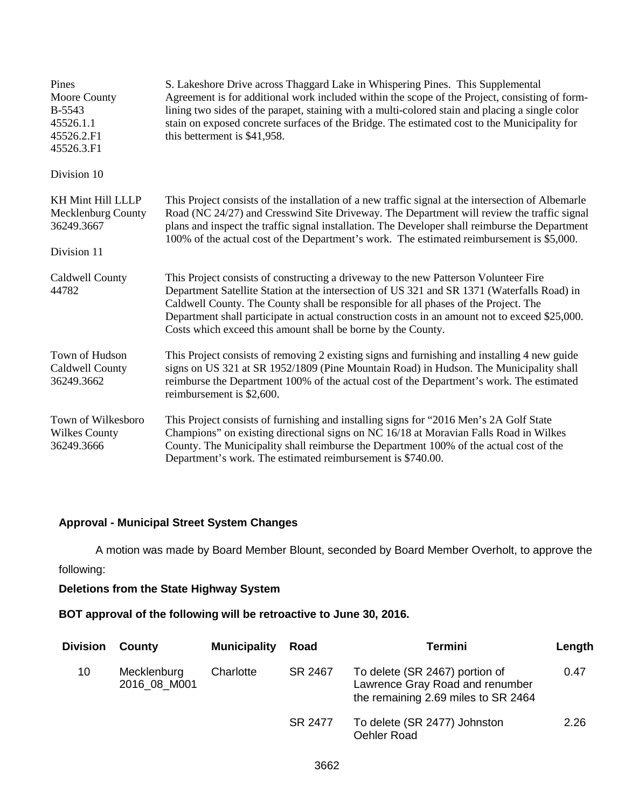| Pines<br>Moore County<br><b>B-5543</b><br>45526.1.1<br>45526.2.F1<br>45526.3.F1 | S. Lakeshore Drive across Thaggard Lake in Whispering Pines. This Supplemental<br>Agreement is for additional work included within the scope of the Project, consisting of form-<br>lining two sides of the parapet, staining with a multi-colored stain and placing a single color<br>stain on exposed concrete surfaces of the Bridge. The estimated cost to the Municipality for<br>this betterment is \$41,958.                          |  |
|---------------------------------------------------------------------------------|----------------------------------------------------------------------------------------------------------------------------------------------------------------------------------------------------------------------------------------------------------------------------------------------------------------------------------------------------------------------------------------------------------------------------------------------|--|
| Division 10                                                                     |                                                                                                                                                                                                                                                                                                                                                                                                                                              |  |
| <b>KH Mint Hill LLLP</b><br>Mecklenburg County<br>36249.3667                    | This Project consists of the installation of a new traffic signal at the intersection of Albemarle<br>Road (NC 24/27) and Cresswind Site Driveway. The Department will review the traffic signal<br>plans and inspect the traffic signal installation. The Developer shall reimburse the Department<br>100% of the actual cost of the Department's work. The estimated reimbursement is \$5,000.                                             |  |
| Division 11                                                                     |                                                                                                                                                                                                                                                                                                                                                                                                                                              |  |
| Caldwell County<br>44782                                                        | This Project consists of constructing a driveway to the new Patterson Volunteer Fire<br>Department Satellite Station at the intersection of US 321 and SR 1371 (Waterfalls Road) in<br>Caldwell County. The County shall be responsible for all phases of the Project. The<br>Department shall participate in actual construction costs in an amount not to exceed \$25,000.<br>Costs which exceed this amount shall be borne by the County. |  |
| Town of Hudson<br>Caldwell County<br>36249.3662                                 | This Project consists of removing 2 existing signs and furnishing and installing 4 new guide<br>signs on US 321 at SR 1952/1809 (Pine Mountain Road) in Hudson. The Municipality shall<br>reimburse the Department 100% of the actual cost of the Department's work. The estimated<br>reimbursement is \$2,600.                                                                                                                              |  |
| Town of Wilkesboro<br><b>Wilkes County</b><br>36249.3666                        | This Project consists of furnishing and installing signs for "2016 Men's 2A Golf State<br>Champions" on existing directional signs on NC 16/18 at Moravian Falls Road in Wilkes<br>County. The Municipality shall reimburse the Department 100% of the actual cost of the<br>Department's work. The estimated reimbursement is \$740.00.                                                                                                     |  |

# **Approval - Municipal Street System Changes**

A motion was made by Board Member Blount, seconded by Board Member Overholt, to approve the

following:

# **Deletions from the State Highway System**

# **BOT approval of the following will be retroactive to June 30, 2016.**

| <b>Division</b> | County                      | <b>Municipality</b> | Road    | Termini                                                                                                  | Length |
|-----------------|-----------------------------|---------------------|---------|----------------------------------------------------------------------------------------------------------|--------|
| 10              | Mecklenburg<br>2016 08 M001 | Charlotte           | SR 2467 | To delete (SR 2467) portion of<br>Lawrence Gray Road and renumber<br>the remaining 2.69 miles to SR 2464 | 0.47   |
|                 |                             |                     | SR 2477 | To delete (SR 2477) Johnston<br>Oehler Road                                                              | 2.26   |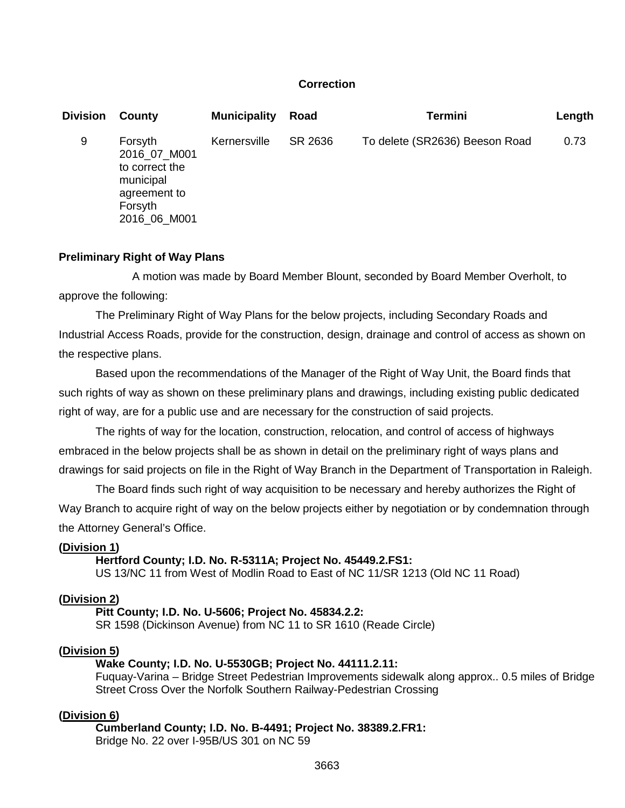## **Correction**

| <b>Division</b> | County                                                                                            | <b>Municipality</b> | Road    | <b>Termini</b>                 | Length |
|-----------------|---------------------------------------------------------------------------------------------------|---------------------|---------|--------------------------------|--------|
| 9               | Forsyth<br>2016 07 M001<br>to correct the<br>municipal<br>agreement to<br>Forsyth<br>2016_06_M001 | Kernersville        | SR 2636 | To delete (SR2636) Beeson Road | 0.73   |

#### **Preliminary Right of Way Plans**

A motion was made by Board Member Blount, seconded by Board Member Overholt, to approve the following:

The Preliminary Right of Way Plans for the below projects, including Secondary Roads and Industrial Access Roads, provide for the construction, design, drainage and control of access as shown on the respective plans.

Based upon the recommendations of the Manager of the Right of Way Unit, the Board finds that such rights of way as shown on these preliminary plans and drawings, including existing public dedicated right of way, are for a public use and are necessary for the construction of said projects.

The rights of way for the location, construction, relocation, and control of access of highways embraced in the below projects shall be as shown in detail on the preliminary right of ways plans and drawings for said projects on file in the Right of Way Branch in the Department of Transportation in Raleigh.

The Board finds such right of way acquisition to be necessary and hereby authorizes the Right of Way Branch to acquire right of way on the below projects either by negotiation or by condemnation through the Attorney General's Office.

## **(Division 1)**

**Hertford County; I.D. No. R-5311A; Project No. 45449.2.FS1:**

US 13/NC 11 from West of Modlin Road to East of NC 11/SR 1213 (Old NC 11 Road)

#### **(Division 2)**

**Pitt County; I.D. No. U-5606; Project No. 45834.2.2:** SR 1598 (Dickinson Avenue) from NC 11 to SR 1610 (Reade Circle)

#### **(Division 5)**

## **Wake County; I.D. No. U-5530GB; Project No. 44111.2.11:**

Fuquay-Varina – Bridge Street Pedestrian Improvements sidewalk along approx.. 0.5 miles of Bridge Street Cross Over the Norfolk Southern Railway-Pedestrian Crossing

#### **(Division 6)**

**Cumberland County; I.D. No. B-4491; Project No. 38389.2.FR1:** Bridge No. 22 over I-95B/US 301 on NC 59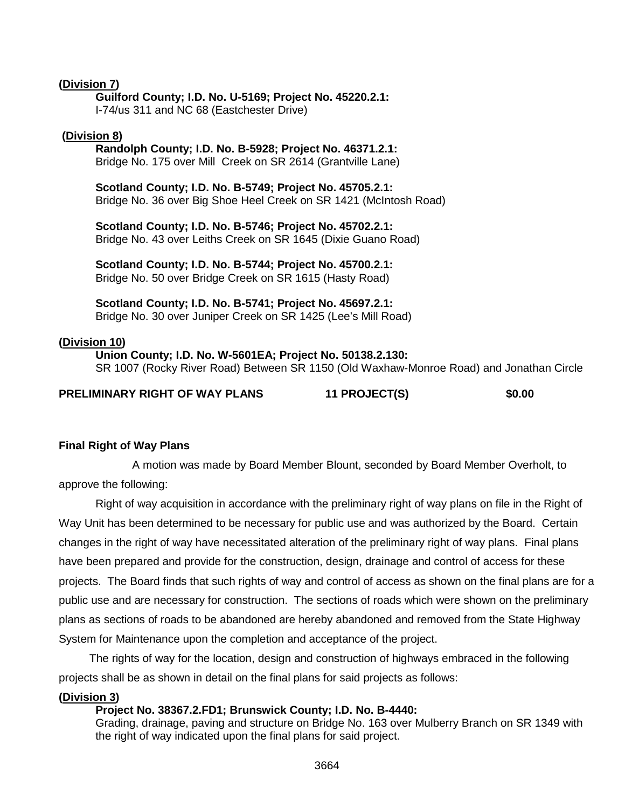## **(Division 7)**

### **Guilford County; I.D. No. U-5169; Project No. 45220.2.1:**

I-74/us 311 and NC 68 (Eastchester Drive)

### **(Division 8)**

## **Randolph County; I.D. No. B-5928; Project No. 46371.2.1:**

Bridge No. 175 over Mill Creek on SR 2614 (Grantville Lane)

**Scotland County; I.D. No. B-5749; Project No. 45705.2.1:** Bridge No. 36 over Big Shoe Heel Creek on SR 1421 (McIntosh Road)

**Scotland County; I.D. No. B-5746; Project No. 45702.2.1:** Bridge No. 43 over Leiths Creek on SR 1645 (Dixie Guano Road)

**Scotland County; I.D. No. B-5744; Project No. 45700.2.1:** Bridge No. 50 over Bridge Creek on SR 1615 (Hasty Road)

**Scotland County; I.D. No. B-5741; Project No. 45697.2.1:**

Bridge No. 30 over Juniper Creek on SR 1425 (Lee's Mill Road)

## **(Division 10)**

**Union County; I.D. No. W-5601EA; Project No. 50138.2.130:** SR 1007 (Rocky River Road) Between SR 1150 (Old Waxhaw-Monroe Road) and Jonathan Circle

## **PRELIMINARY RIGHT OF WAY PLANS 11 PROJECT(S) \$0.00**

## **Final Right of Way Plans**

A motion was made by Board Member Blount, seconded by Board Member Overholt, to approve the following:

Right of way acquisition in accordance with the preliminary right of way plans on file in the Right of Way Unit has been determined to be necessary for public use and was authorized by the Board. Certain changes in the right of way have necessitated alteration of the preliminary right of way plans. Final plans have been prepared and provide for the construction, design, drainage and control of access for these projects. The Board finds that such rights of way and control of access as shown on the final plans are for a public use and are necessary for construction. The sections of roads which were shown on the preliminary plans as sections of roads to be abandoned are hereby abandoned and removed from the State Highway System for Maintenance upon the completion and acceptance of the project.

The rights of way for the location, design and construction of highways embraced in the following projects shall be as shown in detail on the final plans for said projects as follows:

## **(Division 3)**

## **Project No. 38367.2.FD1; Brunswick County; I.D. No. B-4440:**

Grading, drainage, paving and structure on Bridge No. 163 over Mulberry Branch on SR 1349 with the right of way indicated upon the final plans for said project.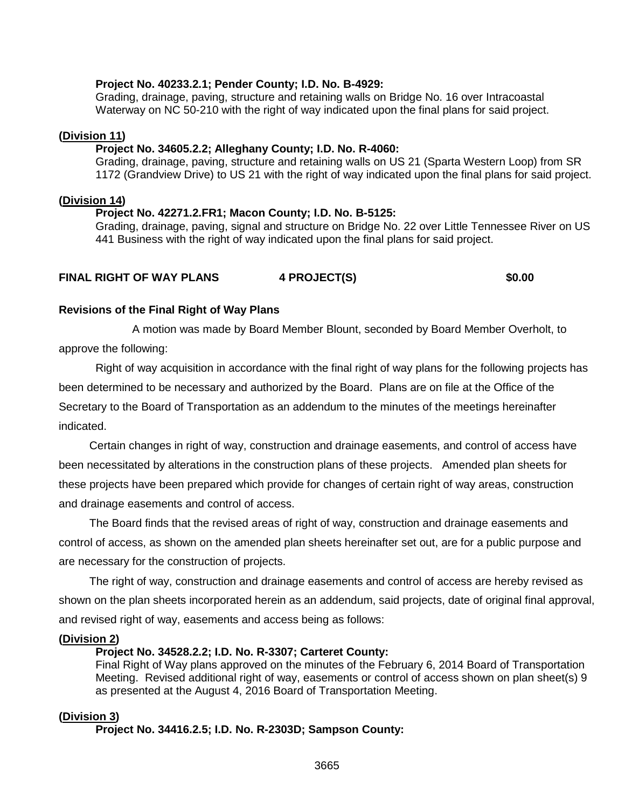## **Project No. 40233.2.1; Pender County; I.D. No. B-4929:**

Grading, drainage, paving, structure and retaining walls on Bridge No. 16 over Intracoastal Waterway on NC 50-210 with the right of way indicated upon the final plans for said project.

### **(Division 11)**

### **Project No. 34605.2.2; Alleghany County; I.D. No. R-4060:**

Grading, drainage, paving, structure and retaining walls on US 21 (Sparta Western Loop) from SR 1172 (Grandview Drive) to US 21 with the right of way indicated upon the final plans for said project.

#### **(Division 14)**

#### **Project No. 42271.2.FR1; Macon County; I.D. No. B-5125:**

Grading, drainage, paving, signal and structure on Bridge No. 22 over Little Tennessee River on US 441 Business with the right of way indicated upon the final plans for said project.

## **FINAL RIGHT OF WAY PLANS 4 PROJECT(S) \$0.00**

#### **Revisions of the Final Right of Way Plans**

A motion was made by Board Member Blount, seconded by Board Member Overholt, to approve the following:

Right of way acquisition in accordance with the final right of way plans for the following projects has been determined to be necessary and authorized by the Board. Plans are on file at the Office of the Secretary to the Board of Transportation as an addendum to the minutes of the meetings hereinafter indicated.

Certain changes in right of way, construction and drainage easements, and control of access have been necessitated by alterations in the construction plans of these projects. Amended plan sheets for these projects have been prepared which provide for changes of certain right of way areas, construction and drainage easements and control of access.

The Board finds that the revised areas of right of way, construction and drainage easements and control of access, as shown on the amended plan sheets hereinafter set out, are for a public purpose and are necessary for the construction of projects.

The right of way, construction and drainage easements and control of access are hereby revised as shown on the plan sheets incorporated herein as an addendum, said projects, date of original final approval, and revised right of way, easements and access being as follows:

## **(Division 2)**

## **Project No. 34528.2.2; I.D. No. R-3307; Carteret County:**

Final Right of Way plans approved on the minutes of the February 6, 2014 Board of Transportation Meeting. Revised additional right of way, easements or control of access shown on plan sheet(s) 9 as presented at the August 4, 2016 Board of Transportation Meeting.

## **(Division 3)**

**Project No. 34416.2.5; I.D. No. R-2303D; Sampson County:**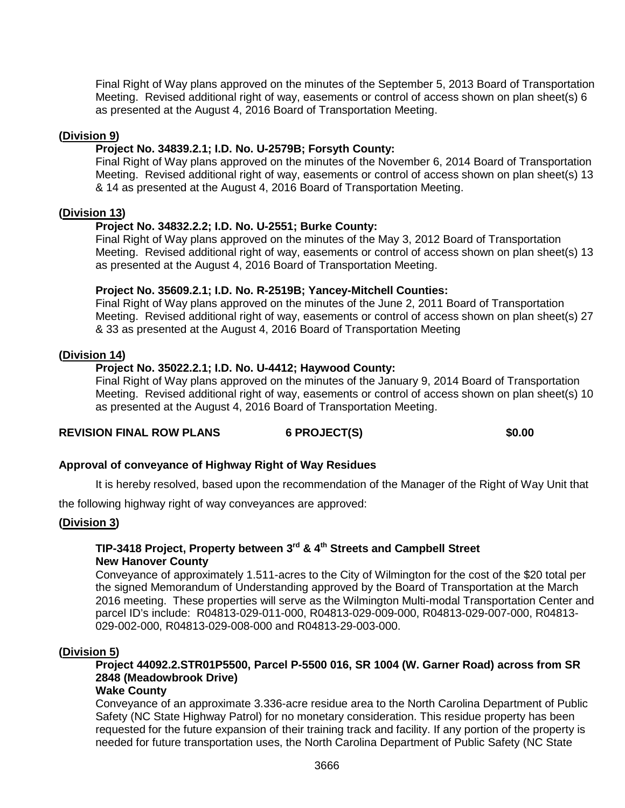Final Right of Way plans approved on the minutes of the September 5, 2013 Board of Transportation Meeting. Revised additional right of way, easements or control of access shown on plan sheet(s) 6 as presented at the August 4, 2016 Board of Transportation Meeting.

## **(Division 9)**

## **Project No. 34839.2.1; I.D. No. U-2579B; Forsyth County:**

Final Right of Way plans approved on the minutes of the November 6, 2014 Board of Transportation Meeting. Revised additional right of way, easements or control of access shown on plan sheet(s) 13 & 14 as presented at the August 4, 2016 Board of Transportation Meeting.

#### **(Division 13)**

## **Project No. 34832.2.2; I.D. No. U-2551; Burke County:**

Final Right of Way plans approved on the minutes of the May 3, 2012 Board of Transportation Meeting. Revised additional right of way, easements or control of access shown on plan sheet(s) 13 as presented at the August 4, 2016 Board of Transportation Meeting.

#### **Project No. 35609.2.1; I.D. No. R-2519B; Yancey-Mitchell Counties:**

Final Right of Way plans approved on the minutes of the June 2, 2011 Board of Transportation Meeting. Revised additional right of way, easements or control of access shown on plan sheet(s) 27 & 33 as presented at the August 4, 2016 Board of Transportation Meeting

#### **(Division 14)**

## **Project No. 35022.2.1; I.D. No. U-4412; Haywood County:**

Final Right of Way plans approved on the minutes of the January 9, 2014 Board of Transportation Meeting. Revised additional right of way, easements or control of access shown on plan sheet(s) 10 as presented at the August 4, 2016 Board of Transportation Meeting.

## REVISION FINAL ROW PLANS 6 PROJECT(S) \$0.00

**Approval of conveyance of Highway Right of Way Residues**

It is hereby resolved, based upon the recommendation of the Manager of the Right of Way Unit that

the following highway right of way conveyances are approved:

## **(Division 3)**

## **TIP-3418 Project, Property between 3rd & 4th Streets and Campbell Street New Hanover County**

Conveyance of approximately 1.511-acres to the City of Wilmington for the cost of the \$20 total per the signed Memorandum of Understanding approved by the Board of Transportation at the March 2016 meeting. These properties will serve as the Wilmington Multi-modal Transportation Center and parcel ID's include: R04813-029-011-000, R04813-029-009-000, R04813-029-007-000, R04813- 029-002-000, R04813-029-008-000 and R04813-29-003-000.

#### **(Division 5)**

## **Project 44092.2.STR01P5500, Parcel P-5500 016, SR 1004 (W. Garner Road) across from SR 2848 (Meadowbrook Drive)**

## **Wake County**

Conveyance of an approximate 3.336-acre residue area to the North Carolina Department of Public Safety (NC State Highway Patrol) for no monetary consideration. This residue property has been requested for the future expansion of their training track and facility. If any portion of the property is needed for future transportation uses, the North Carolina Department of Public Safety (NC State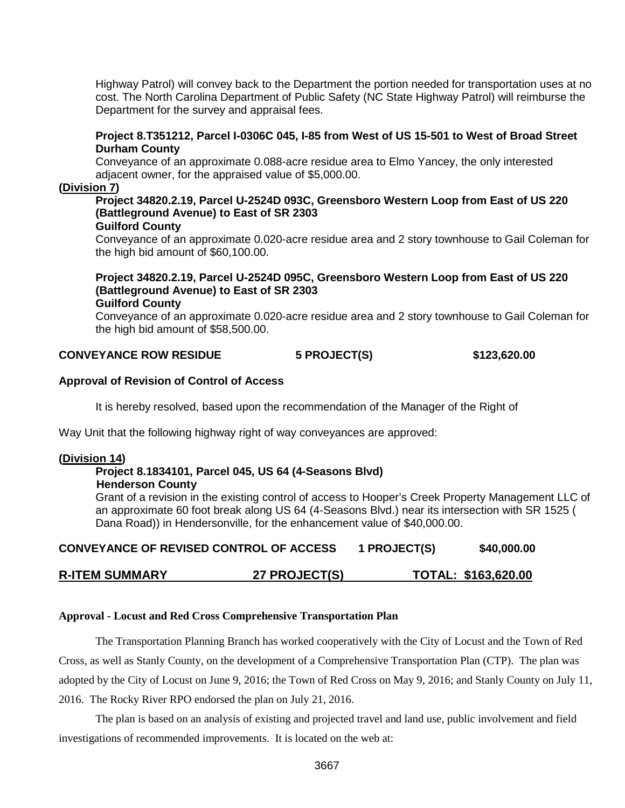Highway Patrol) will convey back to the Department the portion needed for transportation uses at no cost. The North Carolina Department of Public Safety (NC State Highway Patrol) will reimburse the Department for the survey and appraisal fees.

#### **Project 8.T351212, Parcel I-0306C 045, I-85 from West of US 15-501 to West of Broad Street Durham County**

Conveyance of an approximate 0.088-acre residue area to Elmo Yancey, the only interested adjacent owner, for the appraised value of \$5,000.00.

### **(Division 7)**

#### **Project 34820.2.19, Parcel U-2524D 093C, Greensboro Western Loop from East of US 220 (Battleground Avenue) to East of SR 2303 Guilford County**

Conveyance of an approximate 0.020-acre residue area and 2 story townhouse to Gail Coleman for the high bid amount of \$60,100.00.

# **Project 34820.2.19, Parcel U-2524D 095C, Greensboro Western Loop from East of US 220 (Battleground Avenue) to East of SR 2303**

**Guilford County**

Conveyance of an approximate 0.020-acre residue area and 2 story townhouse to Gail Coleman for the high bid amount of \$58,500.00.

## **CONVEYANCE ROW RESIDUE 5 PROJECT(S) \$123,620.00**

### **Approval of Revision of Control of Access**

It is hereby resolved, based upon the recommendation of the Manager of the Right of

Way Unit that the following highway right of way conveyances are approved:

## **(Division 14)**

#### **Project 8.1834101, Parcel 045, US 64 (4-Seasons Blvd) Henderson County**

Grant of a revision in the existing control of access to Hooper's Creek Property Management LLC of an approximate 60 foot break along US 64 (4-Seasons Blvd.) near its intersection with SR 1525 ( Dana Road)) in Hendersonville, for the enhancement value of \$40,000.00.

| <b>CONVEYANCE OF REVISED CONTROL OF ACCESS</b> | 1 PROJECT(S) | \$40,000.00 |
|------------------------------------------------|--------------|-------------|
|                                                |              |             |

## **R-ITEM SUMMARY 27 PROJECT(S) TOTAL: \$163,620.00**

#### **Approval - Locust and Red Cross Comprehensive Transportation Plan**

The Transportation Planning Branch has worked cooperatively with the City of Locust and the Town of Red Cross, as well as Stanly County, on the development of a Comprehensive Transportation Plan (CTP). The plan was adopted by the City of Locust on June 9, 2016; the Town of Red Cross on May 9, 2016; and Stanly County on July 11, 2016. The Rocky River RPO endorsed the plan on July 21, 2016.

The plan is based on an analysis of existing and projected travel and land use, public involvement and field investigations of recommended improvements. It is located on the web at: